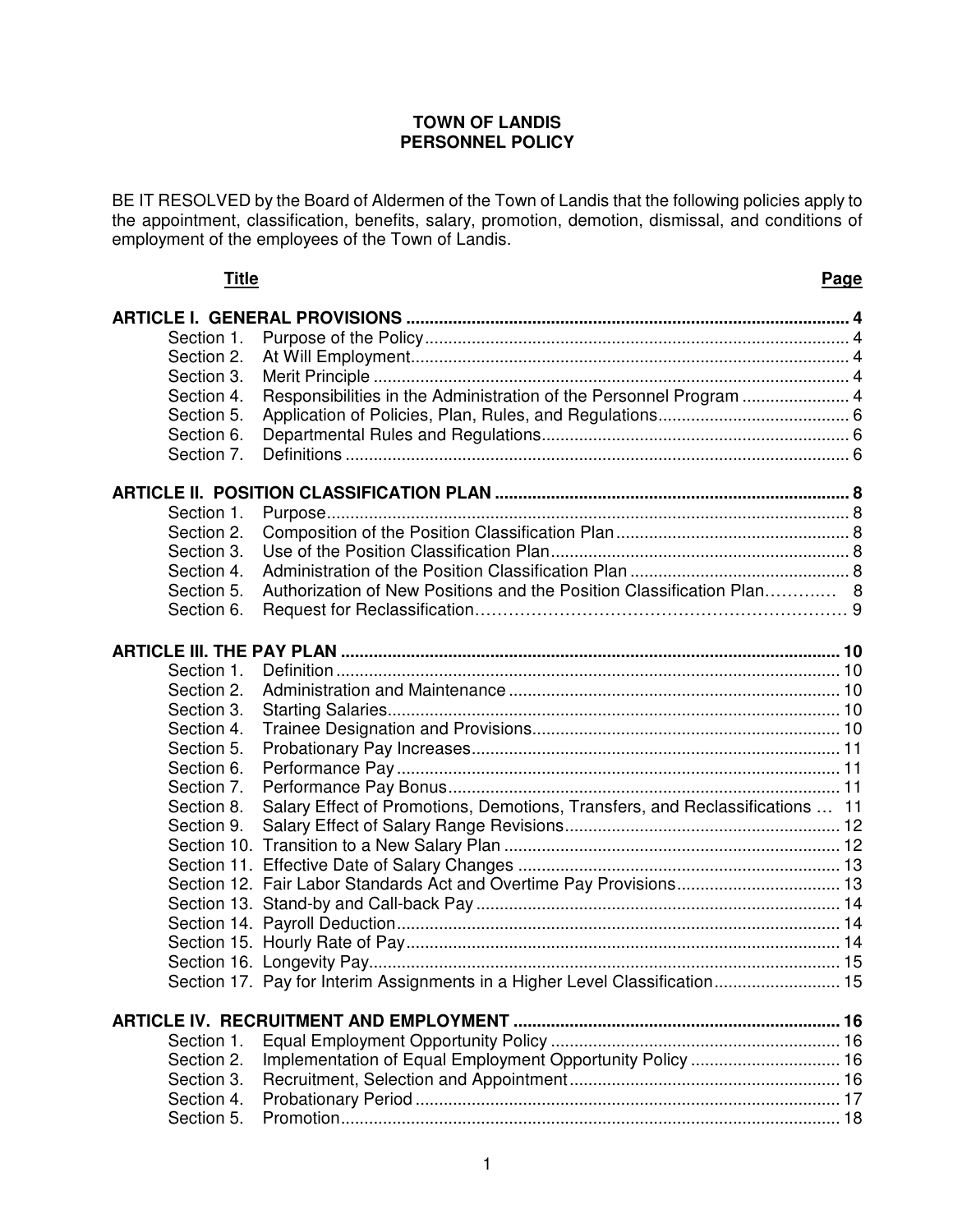### **TOWN OF LANDIS PERSONNEL POLICY**

BE IT RESOLVED by the Board of Aldermen of the Town of Landis that the following policies apply to the appointment, classification, benefits, salary, promotion, demotion, dismissal, and conditions of employment of the employees of the Town of Landis.

| Title      |                                                                              | <b>Page</b> |
|------------|------------------------------------------------------------------------------|-------------|
|            |                                                                              |             |
| Section 1. |                                                                              |             |
| Section 2. |                                                                              |             |
| Section 3. |                                                                              |             |
| Section 4. | Responsibilities in the Administration of the Personnel Program  4           |             |
| Section 5. |                                                                              |             |
| Section 6. |                                                                              |             |
| Section 7. |                                                                              |             |
|            |                                                                              |             |
| Section 1. |                                                                              |             |
| Section 2. |                                                                              |             |
| Section 3. |                                                                              |             |
| Section 4. |                                                                              |             |
| Section 5. | Authorization of New Positions and the Position Classification Plan 8        |             |
| Section 6. |                                                                              |             |
|            |                                                                              |             |
| Section 1. |                                                                              |             |
| Section 2. |                                                                              |             |
| Section 3. |                                                                              |             |
|            |                                                                              |             |
| Section 4. |                                                                              |             |
| Section 5. |                                                                              |             |
| Section 6. |                                                                              |             |
| Section 7. |                                                                              |             |
| Section 8. | Salary Effect of Promotions, Demotions, Transfers, and Reclassifications  11 |             |
| Section 9. |                                                                              |             |
|            |                                                                              |             |
|            |                                                                              |             |
|            |                                                                              |             |
|            |                                                                              |             |
|            |                                                                              |             |
|            |                                                                              |             |
|            |                                                                              |             |
|            | Section 17. Pay for Interim Assignments in a Higher Level Classification 15  |             |
|            |                                                                              |             |
| Section 1. |                                                                              |             |
| Section 2. | Implementation of Equal Employment Opportunity Policy  16                    |             |
| Section 3. |                                                                              |             |
| Section 4. |                                                                              |             |
| Section 5. |                                                                              |             |
|            |                                                                              |             |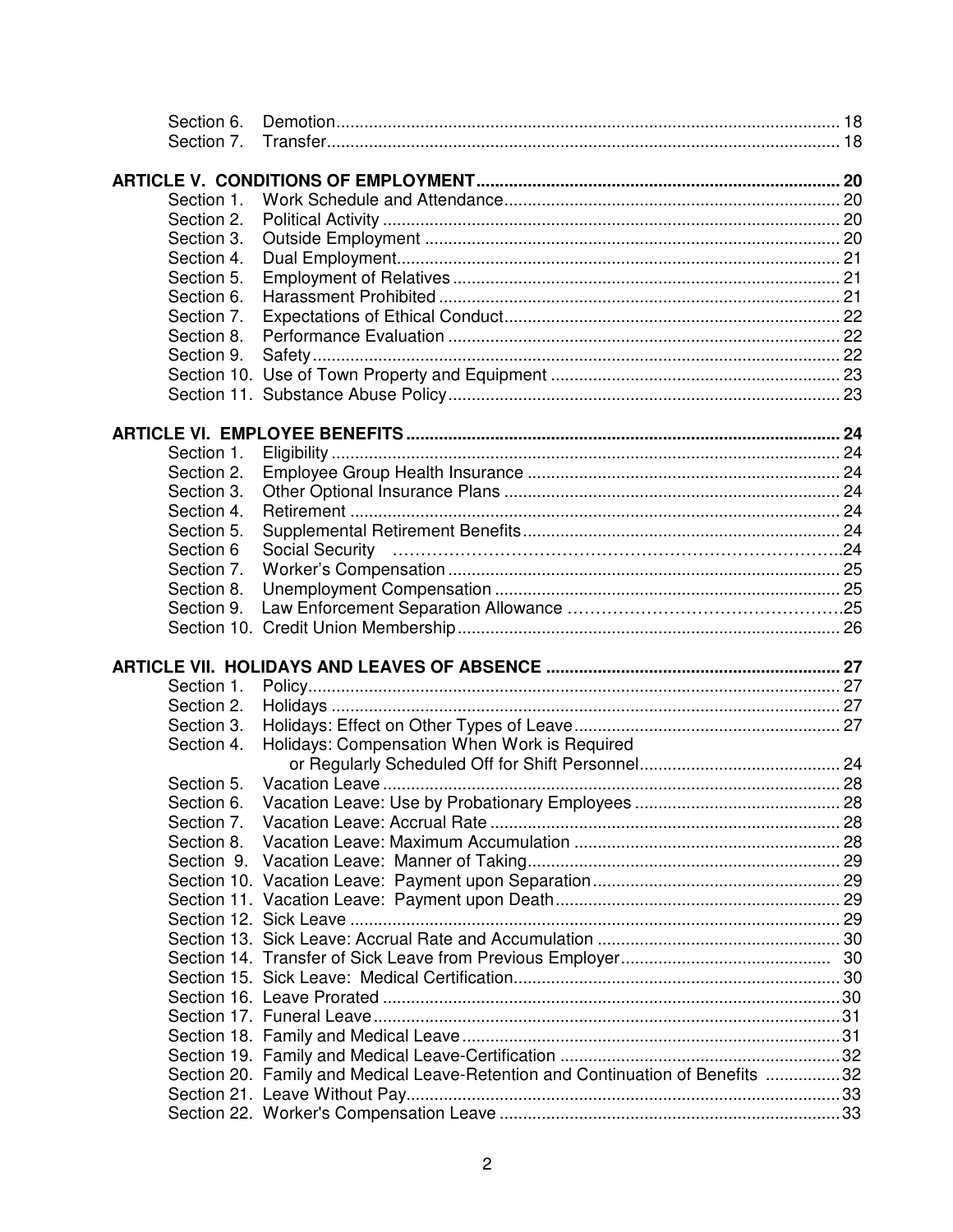| Section 6. |                                                                                |  |
|------------|--------------------------------------------------------------------------------|--|
| Section 7. |                                                                                |  |
|            |                                                                                |  |
|            |                                                                                |  |
| Section 1. |                                                                                |  |
| Section 2. |                                                                                |  |
| Section 3. |                                                                                |  |
| Section 4. |                                                                                |  |
| Section 5. |                                                                                |  |
| Section 6. |                                                                                |  |
| Section 7. |                                                                                |  |
| Section 8. |                                                                                |  |
| Section 9. |                                                                                |  |
|            |                                                                                |  |
|            |                                                                                |  |
|            |                                                                                |  |
|            |                                                                                |  |
| Section 1. |                                                                                |  |
| Section 2. |                                                                                |  |
| Section 3. |                                                                                |  |
|            |                                                                                |  |
| Section 4. |                                                                                |  |
| Section 5. |                                                                                |  |
| Section 6  |                                                                                |  |
| Section 7. |                                                                                |  |
| Section 8. |                                                                                |  |
| Section 9. |                                                                                |  |
|            |                                                                                |  |
|            |                                                                                |  |
|            |                                                                                |  |
| Section 1. |                                                                                |  |
| Section 2. |                                                                                |  |
| Section 3. |                                                                                |  |
| Section 4. | Holidays: Compensation When Work is Required                                   |  |
|            |                                                                                |  |
| Section 5. |                                                                                |  |
| Section 6. |                                                                                |  |
| Section 7. |                                                                                |  |
| Section 8. |                                                                                |  |
|            |                                                                                |  |
|            |                                                                                |  |
|            |                                                                                |  |
|            |                                                                                |  |
|            |                                                                                |  |
|            |                                                                                |  |
|            |                                                                                |  |
|            |                                                                                |  |
|            |                                                                                |  |
|            |                                                                                |  |
|            |                                                                                |  |
|            |                                                                                |  |
|            |                                                                                |  |
|            | Section 20. Family and Medical Leave-Retention and Continuation of Benefits 32 |  |
|            |                                                                                |  |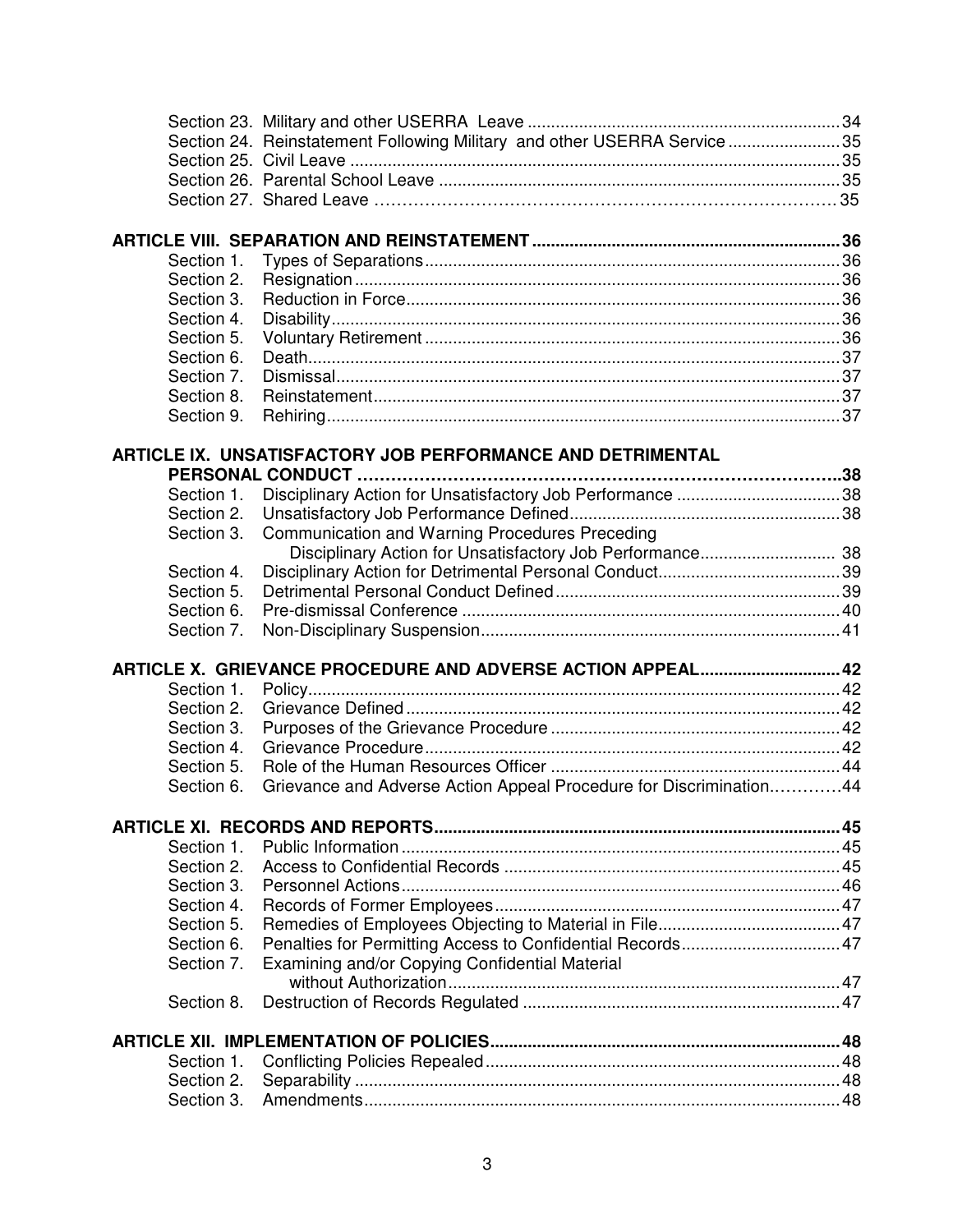|                          | Section 24. Reinstatement Following Military and other USERRA Service 35 |  |
|--------------------------|--------------------------------------------------------------------------|--|
|                          |                                                                          |  |
|                          |                                                                          |  |
|                          |                                                                          |  |
|                          |                                                                          |  |
|                          |                                                                          |  |
| Section 1.               |                                                                          |  |
| Section 2.               |                                                                          |  |
| Section 3.               |                                                                          |  |
| Section 4.<br>Section 5. |                                                                          |  |
| Section 6.               |                                                                          |  |
| Section 7.               |                                                                          |  |
| Section 8.               |                                                                          |  |
| Section 9.               |                                                                          |  |
|                          |                                                                          |  |
|                          | ARTICLE IX. UNSATISFACTORY JOB PERFORMANCE AND DETRIMENTAL               |  |
|                          |                                                                          |  |
| Section 1.               |                                                                          |  |
| Section 2.               |                                                                          |  |
| Section 3.               | Communication and Warning Procedures Preceding                           |  |
|                          | Disciplinary Action for Unsatisfactory Job Performance 38                |  |
| Section 4.               |                                                                          |  |
| Section 5.               |                                                                          |  |
| Section 6.               |                                                                          |  |
|                          |                                                                          |  |
| Section 7.               |                                                                          |  |
|                          |                                                                          |  |
|                          | ARTICLE X. GRIEVANCE PROCEDURE AND ADVERSE ACTION APPEAL 42              |  |
| Section 1.               |                                                                          |  |
| Section 2.               |                                                                          |  |
| Section 3.<br>Section 4. |                                                                          |  |
| Section 5.               |                                                                          |  |
| Section 6.               | Grievance and Adverse Action Appeal Procedure for Discrimination44       |  |
|                          |                                                                          |  |
|                          |                                                                          |  |
| Section 1.               |                                                                          |  |
| Section 2.               |                                                                          |  |
| Section 3.               |                                                                          |  |
| Section 4.               |                                                                          |  |
| Section 5.               |                                                                          |  |
| Section 6.               |                                                                          |  |
| Section 7.               | Examining and/or Copying Confidential Material                           |  |
|                          |                                                                          |  |
| Section 8.               |                                                                          |  |
|                          |                                                                          |  |
| Section 1.               |                                                                          |  |
| Section 2.<br>Section 3. |                                                                          |  |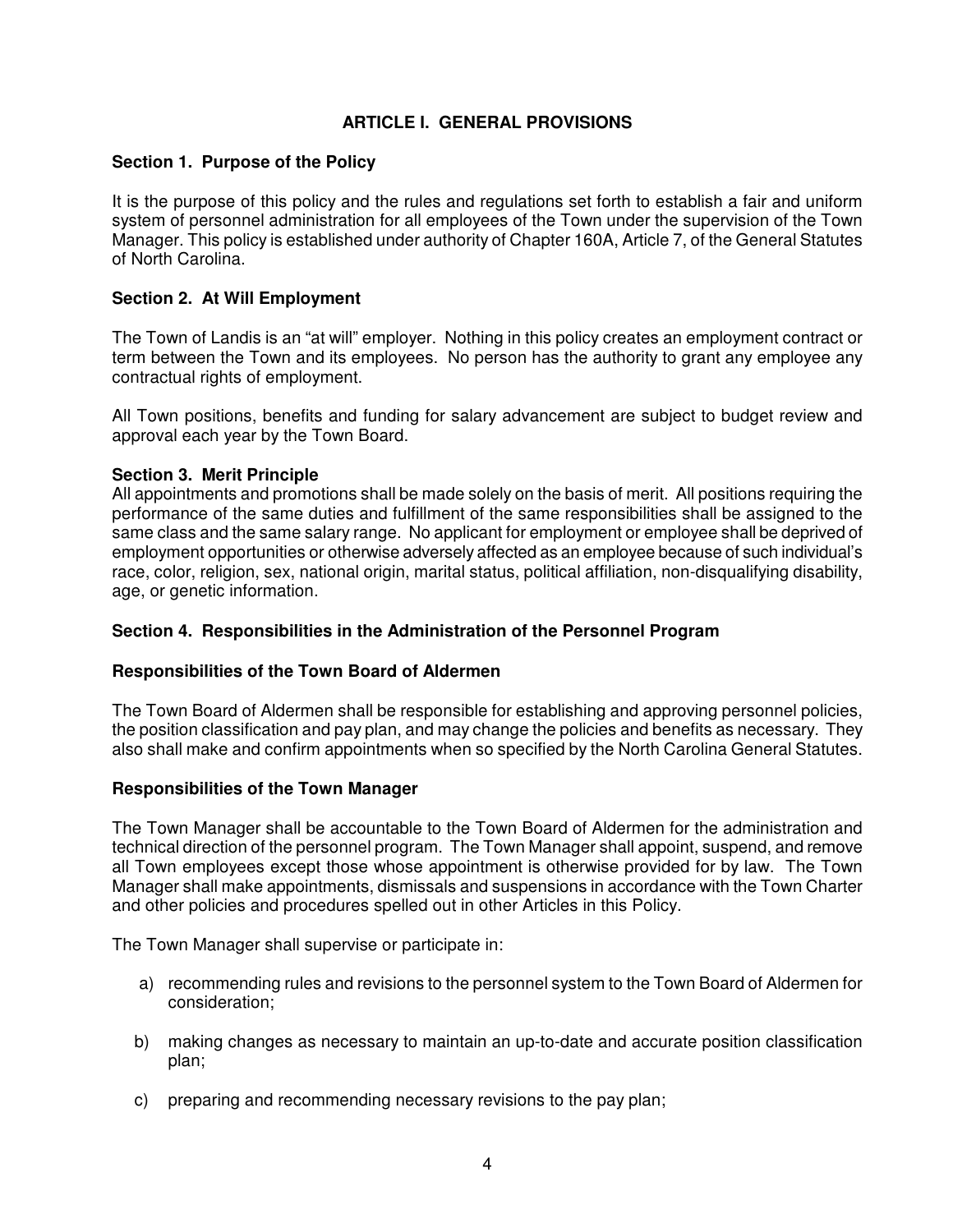# **ARTICLE I. GENERAL PROVISIONS**

# **Section 1. Purpose of the Policy**

It is the purpose of this policy and the rules and regulations set forth to establish a fair and uniform system of personnel administration for all employees of the Town under the supervision of the Town Manager. This policy is established under authority of Chapter 160A, Article 7, of the General Statutes of North Carolina.

# **Section 2. At Will Employment**

The Town of Landis is an "at will" employer. Nothing in this policy creates an employment contract or term between the Town and its employees. No person has the authority to grant any employee any contractual rights of employment.

All Town positions, benefits and funding for salary advancement are subject to budget review and approval each year by the Town Board.

### **Section 3. Merit Principle**

All appointments and promotions shall be made solely on the basis of merit. All positions requiring the performance of the same duties and fulfillment of the same responsibilities shall be assigned to the same class and the same salary range. No applicant for employment or employee shall be deprived of employment opportunities or otherwise adversely affected as an employee because of such individual's race, color, religion, sex, national origin, marital status, political affiliation, non-disqualifying disability, age, or genetic information.

### **Section 4. Responsibilities in the Administration of the Personnel Program**

### **Responsibilities of the Town Board of Aldermen**

The Town Board of Aldermen shall be responsible for establishing and approving personnel policies, the position classification and pay plan, and may change the policies and benefits as necessary. They also shall make and confirm appointments when so specified by the North Carolina General Statutes.

### **Responsibilities of the Town Manager**

The Town Manager shall be accountable to the Town Board of Aldermen for the administration and technical direction of the personnel program. The Town Manager shall appoint, suspend, and remove all Town employees except those whose appointment is otherwise provided for by law. The Town Manager shall make appointments, dismissals and suspensions in accordance with the Town Charter and other policies and procedures spelled out in other Articles in this Policy.

The Town Manager shall supervise or participate in:

- a) recommending rules and revisions to the personnel system to the Town Board of Aldermen for consideration;
- b) making changes as necessary to maintain an up-to-date and accurate position classification plan;
- c) preparing and recommending necessary revisions to the pay plan;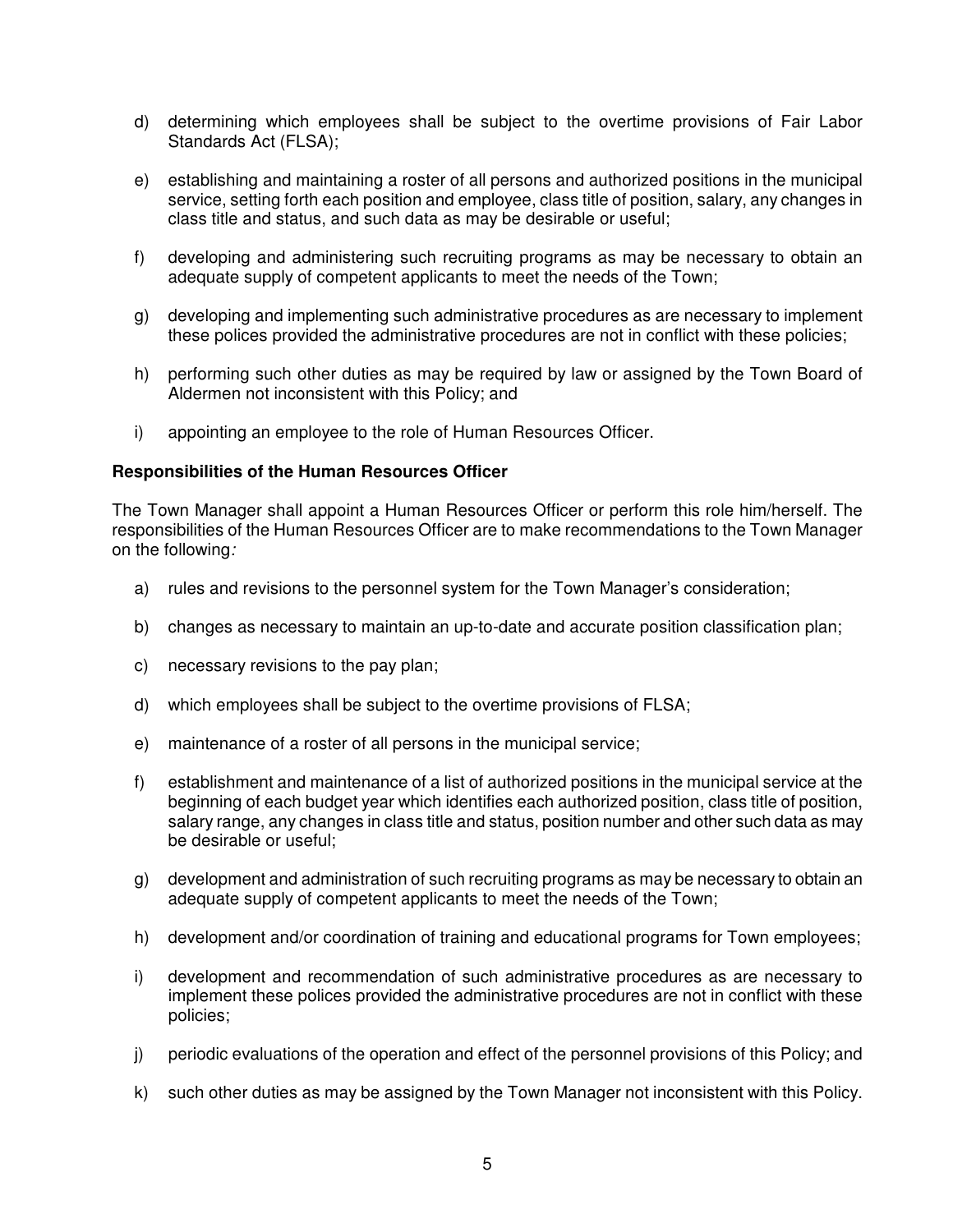- d) determining which employees shall be subject to the overtime provisions of Fair Labor Standards Act (FLSA);
- e) establishing and maintaining a roster of all persons and authorized positions in the municipal service, setting forth each position and employee, class title of position, salary, any changes in class title and status, and such data as may be desirable or useful;
- f) developing and administering such recruiting programs as may be necessary to obtain an adequate supply of competent applicants to meet the needs of the Town;
- g) developing and implementing such administrative procedures as are necessary to implement these polices provided the administrative procedures are not in conflict with these policies;
- h) performing such other duties as may be required by law or assigned by the Town Board of Aldermen not inconsistent with this Policy; and
- i) appointing an employee to the role of Human Resources Officer.

### **Responsibilities of the Human Resources Officer**

The Town Manager shall appoint a Human Resources Officer or perform this role him/herself. The responsibilities of the Human Resources Officer are to make recommendations to the Town Manager on the following:

- a) rules and revisions to the personnel system for the Town Manager's consideration;
- b) changes as necessary to maintain an up-to-date and accurate position classification plan;
- c) necessary revisions to the pay plan;
- d) which employees shall be subject to the overtime provisions of FLSA;
- e) maintenance of a roster of all persons in the municipal service;
- f) establishment and maintenance of a list of authorized positions in the municipal service at the beginning of each budget year which identifies each authorized position, class title of position, salary range, any changes in class title and status, position number and other such data as may be desirable or useful;
- g) development and administration of such recruiting programs as may be necessary to obtain an adequate supply of competent applicants to meet the needs of the Town;
- h) development and/or coordination of training and educational programs for Town employees;
- i) development and recommendation of such administrative procedures as are necessary to implement these polices provided the administrative procedures are not in conflict with these policies;
- j) periodic evaluations of the operation and effect of the personnel provisions of this Policy; and
- k) such other duties as may be assigned by the Town Manager not inconsistent with this Policy.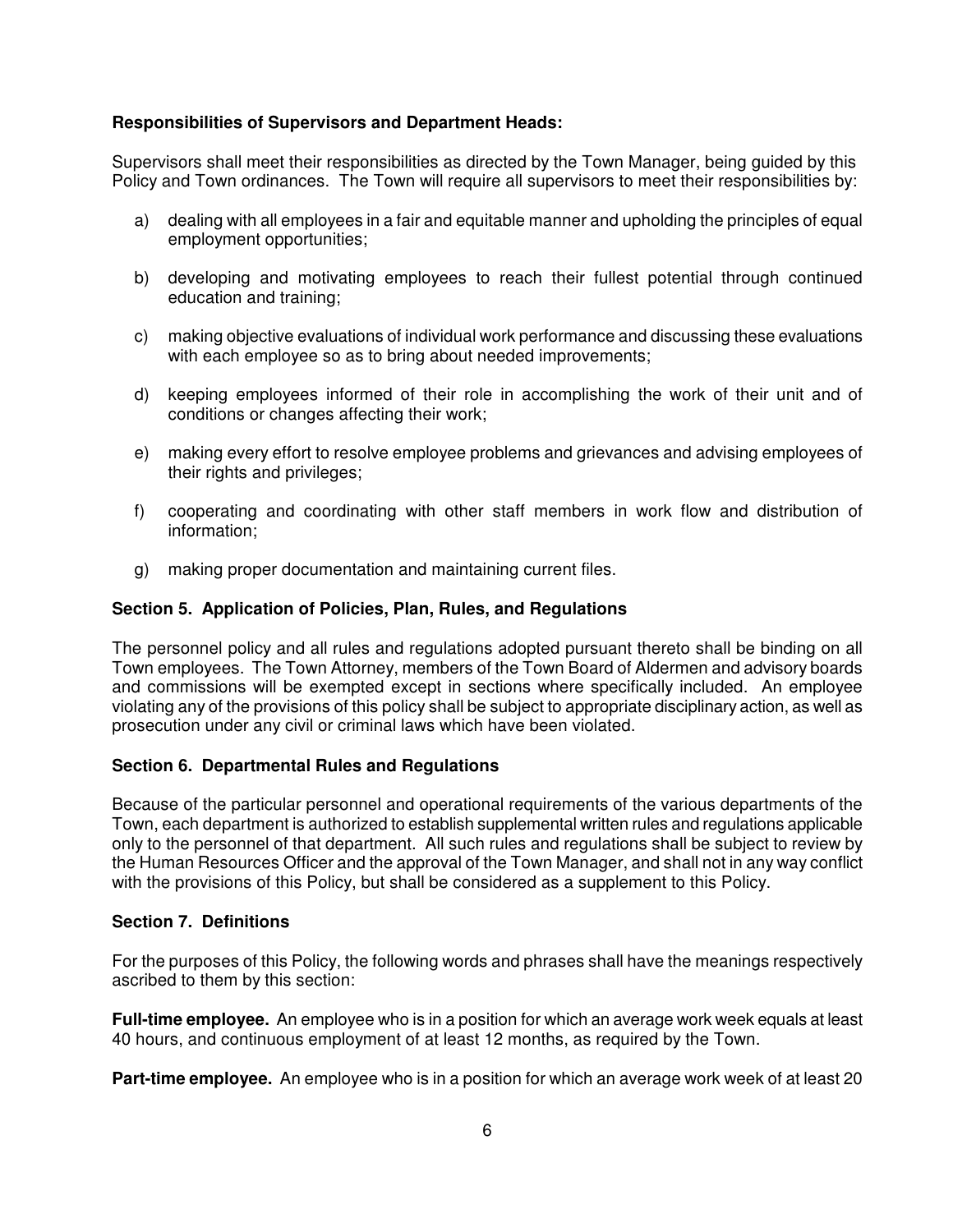# **Responsibilities of Supervisors and Department Heads:**

Supervisors shall meet their responsibilities as directed by the Town Manager, being guided by this Policy and Town ordinances. The Town will require all supervisors to meet their responsibilities by:

- a) dealing with all employees in a fair and equitable manner and upholding the principles of equal employment opportunities;
- b) developing and motivating employees to reach their fullest potential through continued education and training;
- c) making objective evaluations of individual work performance and discussing these evaluations with each employee so as to bring about needed improvements;
- d) keeping employees informed of their role in accomplishing the work of their unit and of conditions or changes affecting their work;
- e) making every effort to resolve employee problems and grievances and advising employees of their rights and privileges;
- f) cooperating and coordinating with other staff members in work flow and distribution of information;
- g) making proper documentation and maintaining current files.

#### **Section 5. Application of Policies, Plan, Rules, and Regulations**

The personnel policy and all rules and regulations adopted pursuant thereto shall be binding on all Town employees. The Town Attorney, members of the Town Board of Aldermen and advisory boards and commissions will be exempted except in sections where specifically included. An employee violating any of the provisions of this policy shall be subject to appropriate disciplinary action, as well as prosecution under any civil or criminal laws which have been violated.

### **Section 6. Departmental Rules and Regulations**

Because of the particular personnel and operational requirements of the various departments of the Town, each department is authorized to establish supplemental written rules and regulations applicable only to the personnel of that department. All such rules and regulations shall be subject to review by the Human Resources Officer and the approval of the Town Manager, and shall not in any way conflict with the provisions of this Policy, but shall be considered as a supplement to this Policy.

#### **Section 7. Definitions**

For the purposes of this Policy, the following words and phrases shall have the meanings respectively ascribed to them by this section:

**Full-time employee.** An employee who is in a position for which an average work week equals at least 40 hours, and continuous employment of at least 12 months, as required by the Town.

**Part-time employee.** An employee who is in a position for which an average work week of at least 20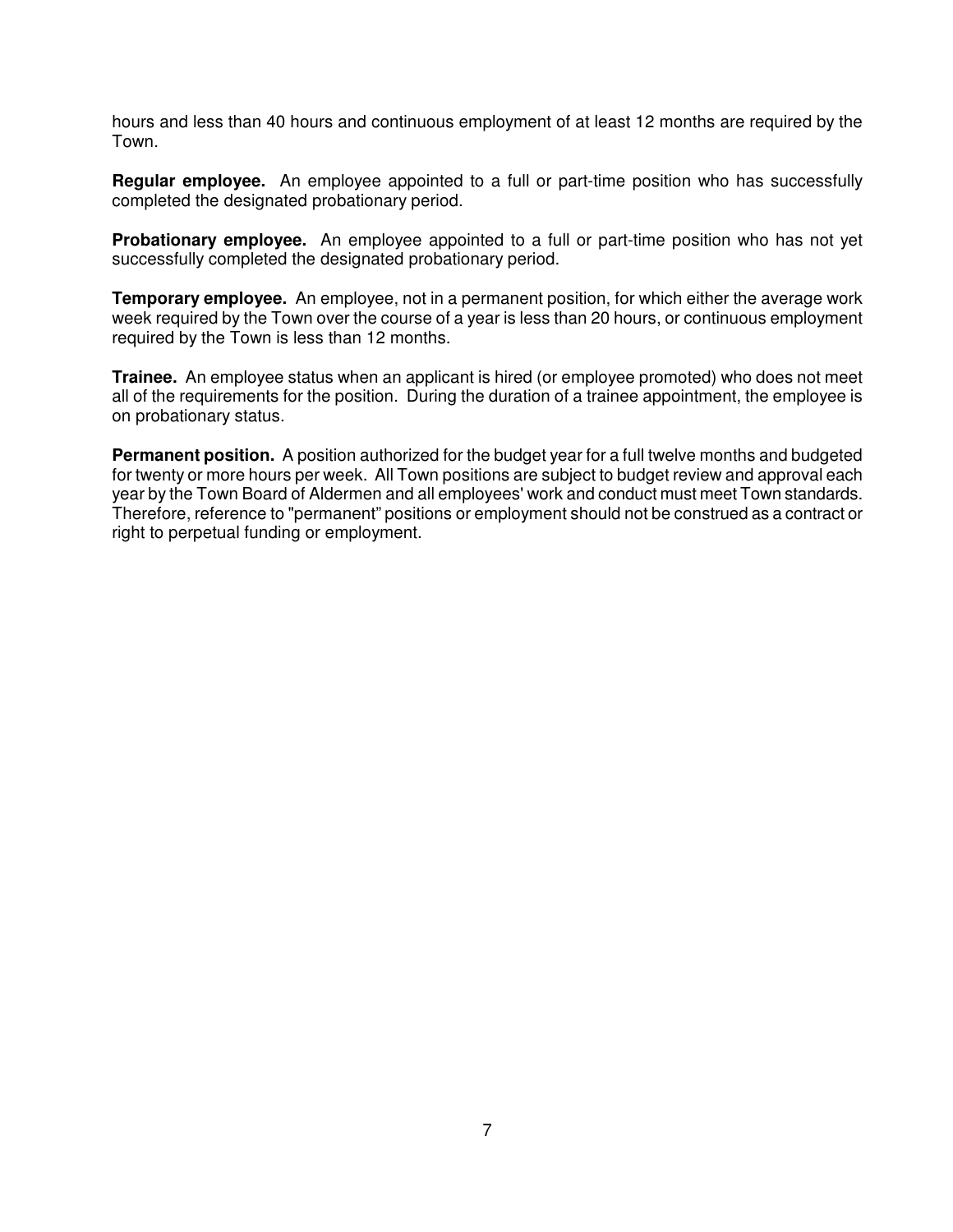hours and less than 40 hours and continuous employment of at least 12 months are required by the Town.

**Regular employee.** An employee appointed to a full or part-time position who has successfully completed the designated probationary period.

**Probationary employee.** An employee appointed to a full or part-time position who has not yet successfully completed the designated probationary period.

**Temporary employee.** An employee, not in a permanent position, for which either the average work week required by the Town over the course of a year is less than 20 hours, or continuous employment required by the Town is less than 12 months.

**Trainee.** An employee status when an applicant is hired (or employee promoted) who does not meet all of the requirements for the position. During the duration of a trainee appointment, the employee is on probationary status.

**Permanent position.** A position authorized for the budget year for a full twelve months and budgeted for twenty or more hours per week. All Town positions are subject to budget review and approval each year by the Town Board of Aldermen and all employees' work and conduct must meet Town standards. Therefore, reference to "permanent" positions or employment should not be construed as a contract or right to perpetual funding or employment.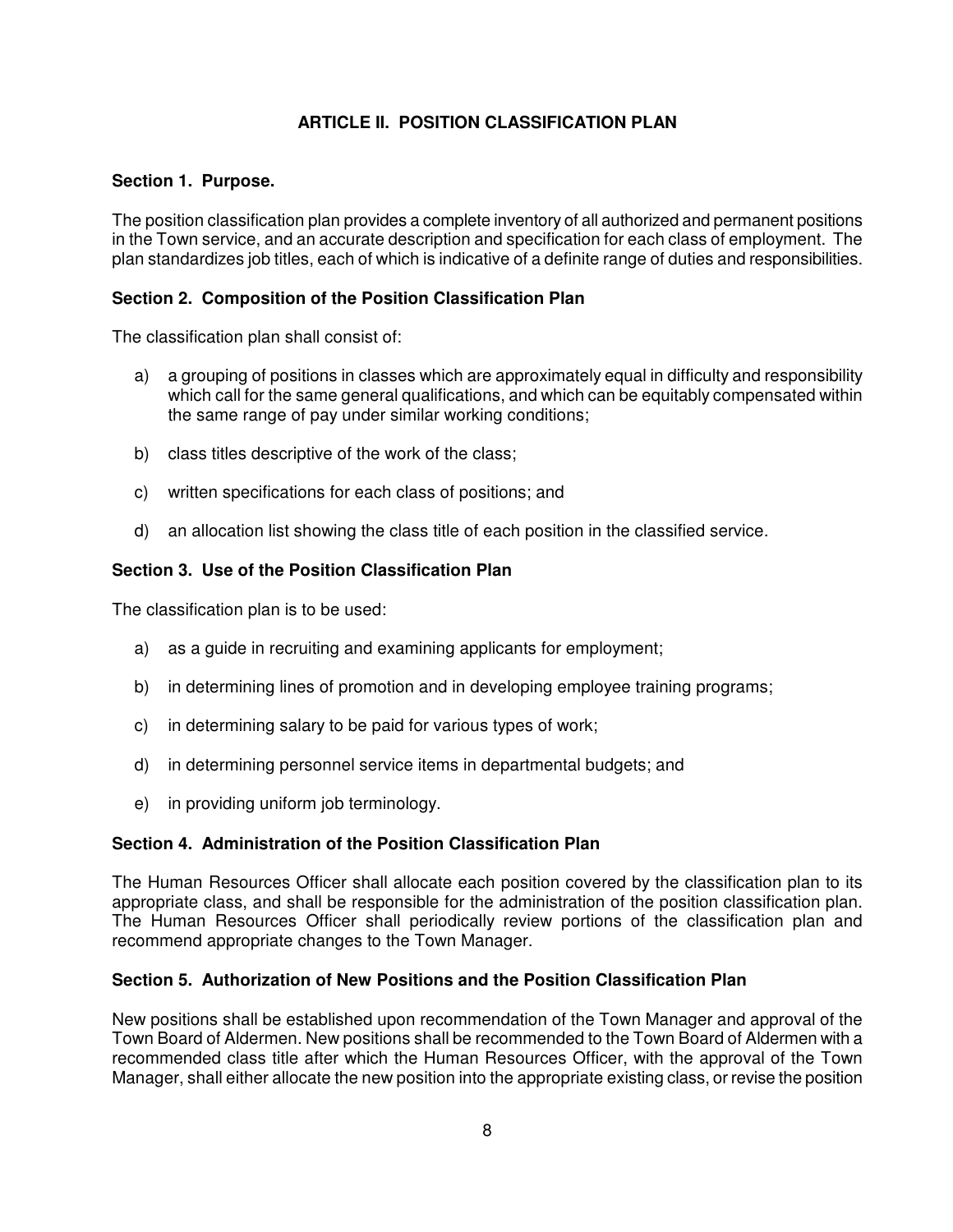# **ARTICLE II. POSITION CLASSIFICATION PLAN**

# **Section 1. Purpose.**

The position classification plan provides a complete inventory of all authorized and permanent positions in the Town service, and an accurate description and specification for each class of employment. The plan standardizes job titles, each of which is indicative of a definite range of duties and responsibilities.

# **Section 2. Composition of the Position Classification Plan**

The classification plan shall consist of:

- a) a grouping of positions in classes which are approximately equal in difficulty and responsibility which call for the same general qualifications, and which can be equitably compensated within the same range of pay under similar working conditions;
- b) class titles descriptive of the work of the class;
- c) written specifications for each class of positions; and
- d) an allocation list showing the class title of each position in the classified service.

# **Section 3. Use of the Position Classification Plan**

The classification plan is to be used:

- a) as a guide in recruiting and examining applicants for employment;
- b) in determining lines of promotion and in developing employee training programs;
- c) in determining salary to be paid for various types of work;
- d) in determining personnel service items in departmental budgets; and
- e) in providing uniform job terminology.

# **Section 4. Administration of the Position Classification Plan**

The Human Resources Officer shall allocate each position covered by the classification plan to its appropriate class, and shall be responsible for the administration of the position classification plan. The Human Resources Officer shall periodically review portions of the classification plan and recommend appropriate changes to the Town Manager.

# **Section 5. Authorization of New Positions and the Position Classification Plan**

New positions shall be established upon recommendation of the Town Manager and approval of the Town Board of Aldermen. New positions shall be recommended to the Town Board of Aldermen with a recommended class title after which the Human Resources Officer, with the approval of the Town Manager, shall either allocate the new position into the appropriate existing class, or revise the position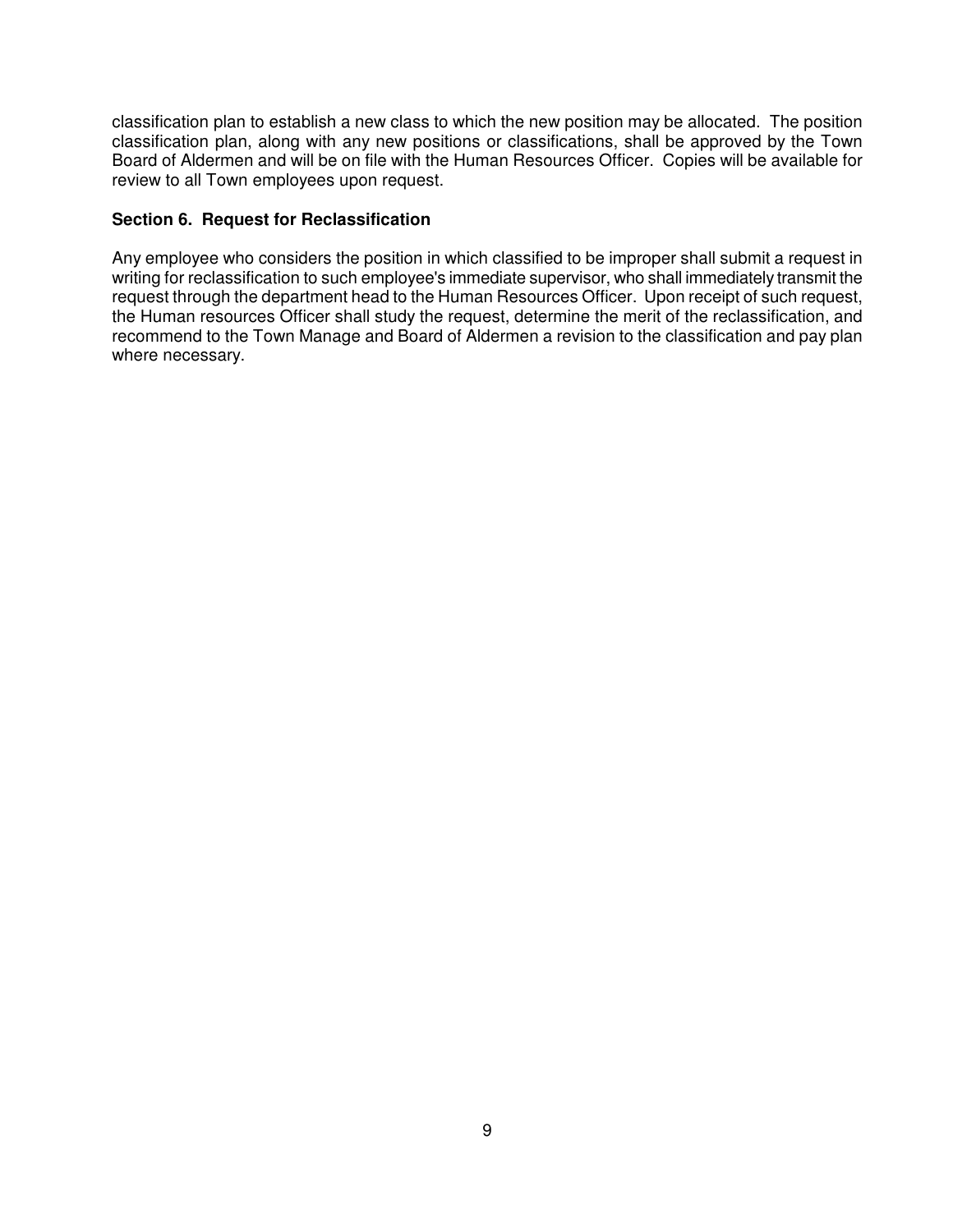classification plan to establish a new class to which the new position may be allocated. The position classification plan, along with any new positions or classifications, shall be approved by the Town Board of Aldermen and will be on file with the Human Resources Officer. Copies will be available for review to all Town employees upon request.

# **Section 6. Request for Reclassification**

Any employee who considers the position in which classified to be improper shall submit a request in writing for reclassification to such employee's immediate supervisor, who shall immediately transmit the request through the department head to the Human Resources Officer. Upon receipt of such request, the Human resources Officer shall study the request, determine the merit of the reclassification, and recommend to the Town Manage and Board of Aldermen a revision to the classification and pay plan where necessary.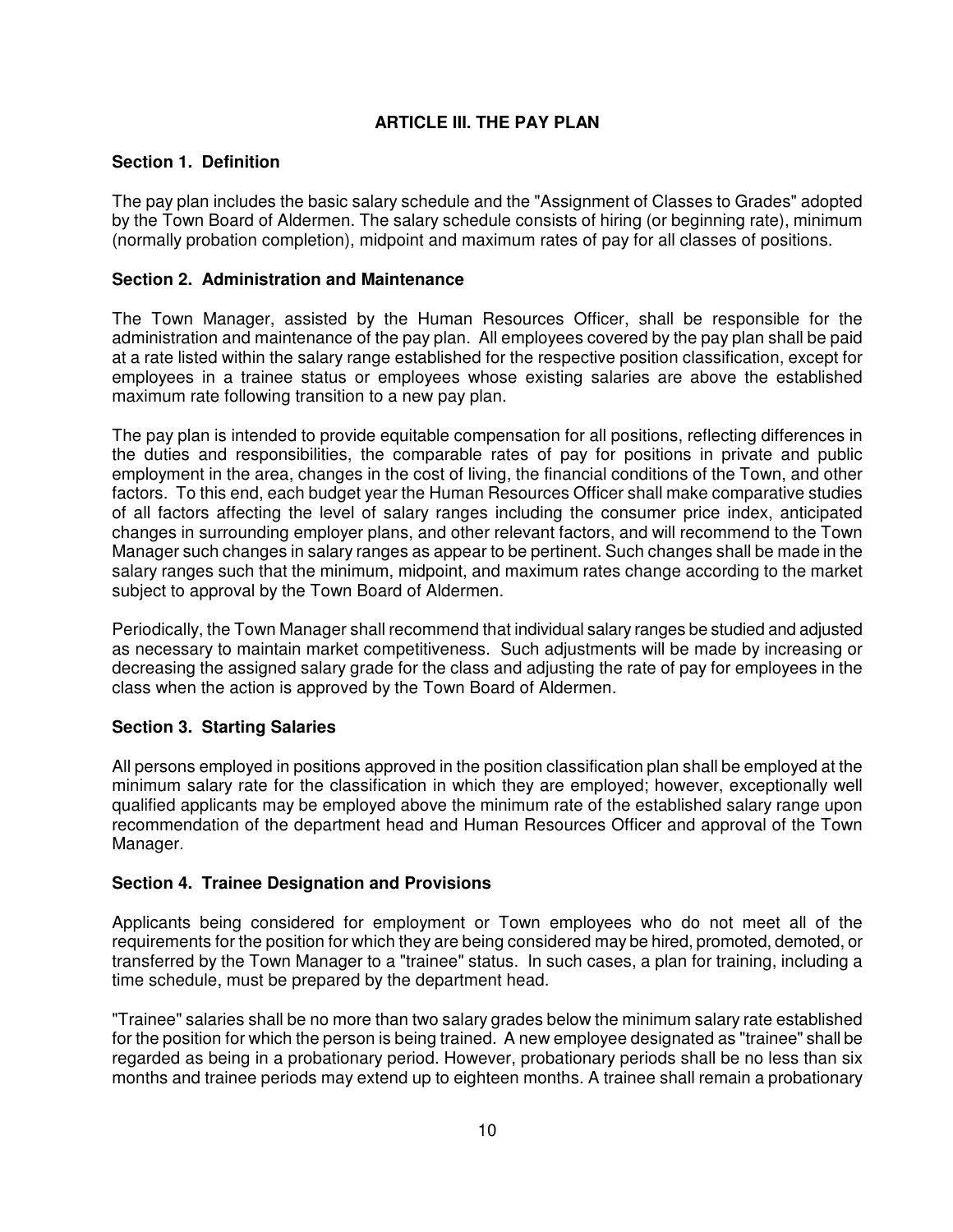# **ARTICLE III. THE PAY PLAN**

### **Section 1. Definition**

The pay plan includes the basic salary schedule and the "Assignment of Classes to Grades" adopted by the Town Board of Aldermen. The salary schedule consists of hiring (or beginning rate), minimum (normally probation completion), midpoint and maximum rates of pay for all classes of positions.

# **Section 2. Administration and Maintenance**

The Town Manager, assisted by the Human Resources Officer, shall be responsible for the administration and maintenance of the pay plan. All employees covered by the pay plan shall be paid at a rate listed within the salary range established for the respective position classification, except for employees in a trainee status or employees whose existing salaries are above the established maximum rate following transition to a new pay plan.

The pay plan is intended to provide equitable compensation for all positions, reflecting differences in the duties and responsibilities, the comparable rates of pay for positions in private and public employment in the area, changes in the cost of living, the financial conditions of the Town, and other factors. To this end, each budget year the Human Resources Officer shall make comparative studies of all factors affecting the level of salary ranges including the consumer price index, anticipated changes in surrounding employer plans, and other relevant factors, and will recommend to the Town Manager such changes in salary ranges as appear to be pertinent. Such changes shall be made in the salary ranges such that the minimum, midpoint, and maximum rates change according to the market subject to approval by the Town Board of Aldermen.

Periodically, the Town Manager shall recommend that individual salary ranges be studied and adjusted as necessary to maintain market competitiveness. Such adjustments will be made by increasing or decreasing the assigned salary grade for the class and adjusting the rate of pay for employees in the class when the action is approved by the Town Board of Aldermen.

# **Section 3. Starting Salaries**

All persons employed in positions approved in the position classification plan shall be employed at the minimum salary rate for the classification in which they are employed; however, exceptionally well qualified applicants may be employed above the minimum rate of the established salary range upon recommendation of the department head and Human Resources Officer and approval of the Town Manager.

### **Section 4. Trainee Designation and Provisions**

Applicants being considered for employment or Town employees who do not meet all of the requirements for the position for which they are being considered may be hired, promoted, demoted, or transferred by the Town Manager to a "trainee" status. In such cases, a plan for training, including a time schedule, must be prepared by the department head.

"Trainee" salaries shall be no more than two salary grades below the minimum salary rate established for the position for which the person is being trained. A new employee designated as "trainee" shall be regarded as being in a probationary period. However, probationary periods shall be no less than six months and trainee periods may extend up to eighteen months. A trainee shall remain a probationary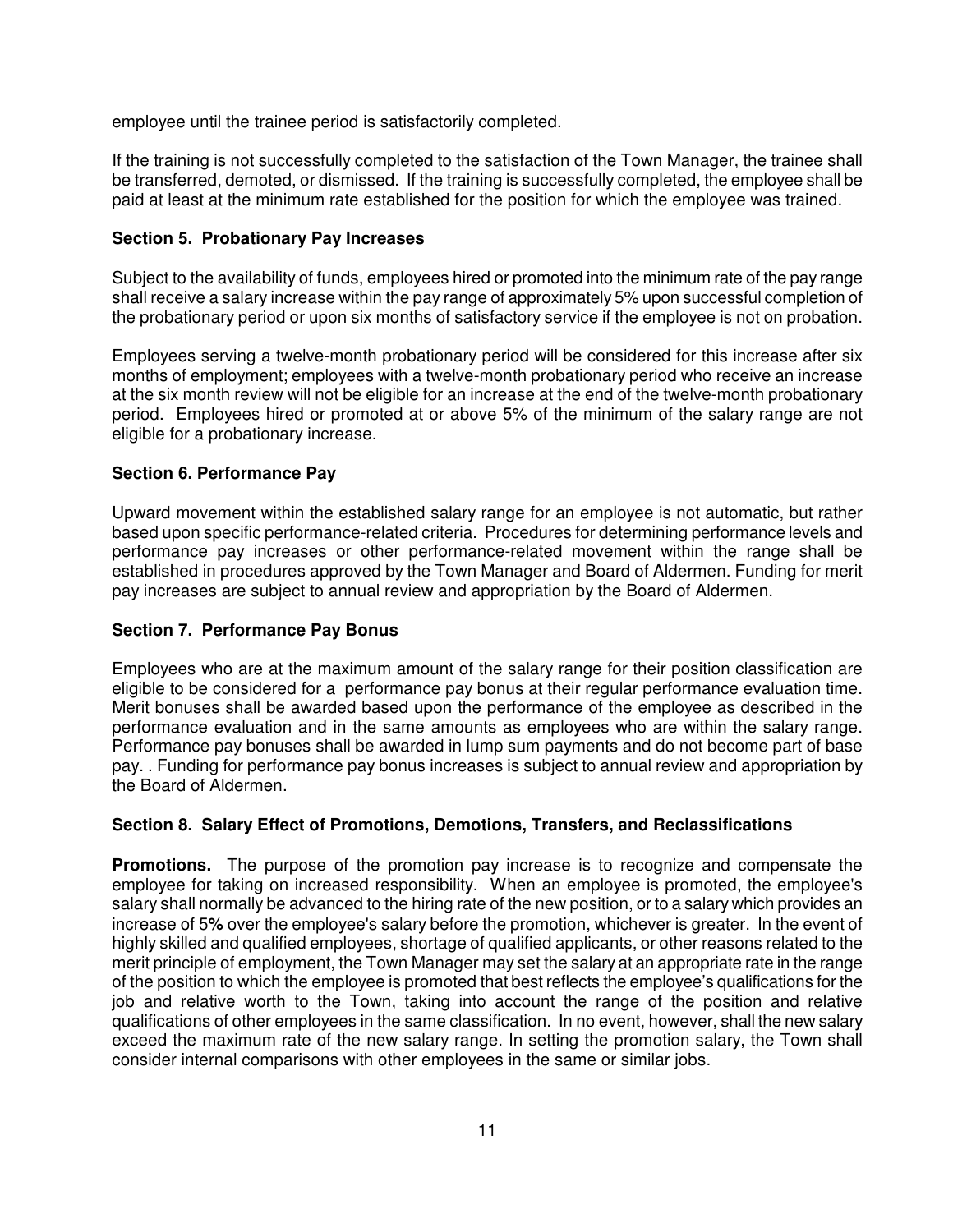employee until the trainee period is satisfactorily completed.

If the training is not successfully completed to the satisfaction of the Town Manager, the trainee shall be transferred, demoted, or dismissed. If the training is successfully completed, the employee shall be paid at least at the minimum rate established for the position for which the employee was trained.

# **Section 5. Probationary Pay Increases**

Subject to the availability of funds, employees hired or promoted into the minimum rate of the pay range shall receive a salary increase within the pay range of approximately 5% upon successful completion of the probationary period or upon six months of satisfactory service if the employee is not on probation.

Employees serving a twelve-month probationary period will be considered for this increase after six months of employment; employees with a twelve-month probationary period who receive an increase at the six month review will not be eligible for an increase at the end of the twelve-month probationary period. Employees hired or promoted at or above 5% of the minimum of the salary range are not eligible for a probationary increase.

# **Section 6. Performance Pay**

Upward movement within the established salary range for an employee is not automatic, but rather based upon specific performance-related criteria. Procedures for determining performance levels and performance pay increases or other performance-related movement within the range shall be established in procedures approved by the Town Manager and Board of Aldermen. Funding for merit pay increases are subject to annual review and appropriation by the Board of Aldermen.

### **Section 7. Performance Pay Bonus**

Employees who are at the maximum amount of the salary range for their position classification are eligible to be considered for a performance pay bonus at their regular performance evaluation time. Merit bonuses shall be awarded based upon the performance of the employee as described in the performance evaluation and in the same amounts as employees who are within the salary range. Performance pay bonuses shall be awarded in lump sum payments and do not become part of base pay. . Funding for performance pay bonus increases is subject to annual review and appropriation by the Board of Aldermen.

### **Section 8. Salary Effect of Promotions, Demotions, Transfers, and Reclassifications**

**Promotions.** The purpose of the promotion pay increase is to recognize and compensate the employee for taking on increased responsibility. When an employee is promoted, the employee's salary shall normally be advanced to the hiring rate of the new position, or to a salary which provides an increase of 5**%** over the employee's salary before the promotion, whichever is greater. In the event of highly skilled and qualified employees, shortage of qualified applicants, or other reasons related to the merit principle of employment, the Town Manager may set the salary at an appropriate rate in the range of the position to which the employee is promoted that best reflects the employee's qualifications for the job and relative worth to the Town, taking into account the range of the position and relative qualifications of other employees in the same classification. In no event, however, shall the new salary exceed the maximum rate of the new salary range. In setting the promotion salary, the Town shall consider internal comparisons with other employees in the same or similar jobs.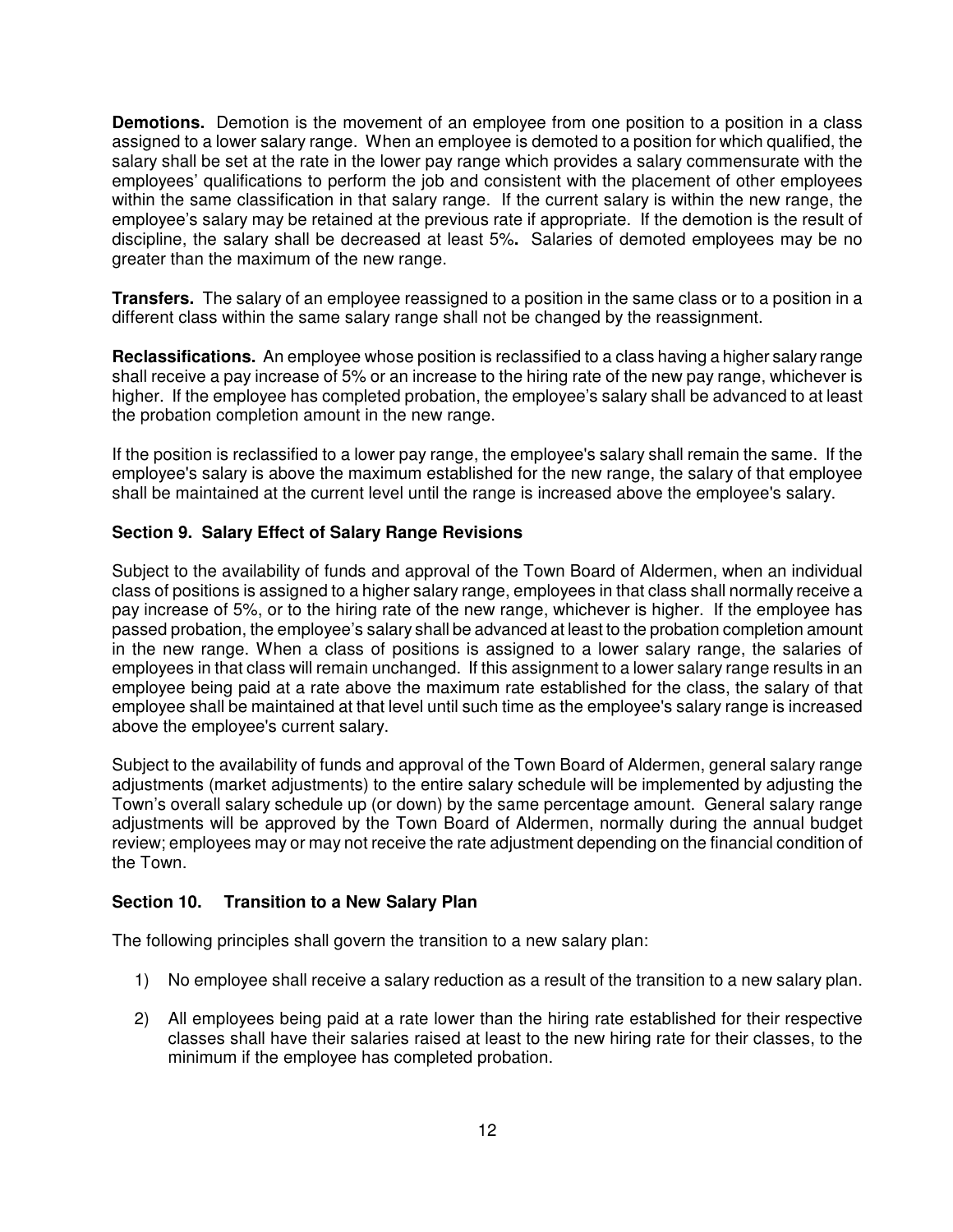**Demotions.** Demotion is the movement of an employee from one position to a position in a class assigned to a lower salary range. When an employee is demoted to a position for which qualified, the salary shall be set at the rate in the lower pay range which provides a salary commensurate with the employees' qualifications to perform the job and consistent with the placement of other employees within the same classification in that salary range. If the current salary is within the new range, the employee's salary may be retained at the previous rate if appropriate. If the demotion is the result of discipline, the salary shall be decreased at least 5%**.** Salaries of demoted employees may be no greater than the maximum of the new range.

**Transfers.** The salary of an employee reassigned to a position in the same class or to a position in a different class within the same salary range shall not be changed by the reassignment.

**Reclassifications.** An employee whose position is reclassified to a class having a higher salary range shall receive a pay increase of 5% or an increase to the hiring rate of the new pay range, whichever is higher. If the employee has completed probation, the employee's salary shall be advanced to at least the probation completion amount in the new range.

If the position is reclassified to a lower pay range, the employee's salary shall remain the same. If the employee's salary is above the maximum established for the new range, the salary of that employee shall be maintained at the current level until the range is increased above the employee's salary.

# **Section 9. Salary Effect of Salary Range Revisions**

Subject to the availability of funds and approval of the Town Board of Aldermen, when an individual class of positions is assigned to a higher salary range, employees in that class shall normally receive a pay increase of 5%, or to the hiring rate of the new range, whichever is higher. If the employee has passed probation, the employee's salary shall be advanced at least to the probation completion amount in the new range. When a class of positions is assigned to a lower salary range, the salaries of employees in that class will remain unchanged. If this assignment to a lower salary range results in an employee being paid at a rate above the maximum rate established for the class, the salary of that employee shall be maintained at that level until such time as the employee's salary range is increased above the employee's current salary.

Subject to the availability of funds and approval of the Town Board of Aldermen, general salary range adjustments (market adjustments) to the entire salary schedule will be implemented by adjusting the Town's overall salary schedule up (or down) by the same percentage amount. General salary range adjustments will be approved by the Town Board of Aldermen, normally during the annual budget review; employees may or may not receive the rate adjustment depending on the financial condition of the Town.

### **Section 10. Transition to a New Salary Plan**

The following principles shall govern the transition to a new salary plan:

- 1) No employee shall receive a salary reduction as a result of the transition to a new salary plan.
- 2) All employees being paid at a rate lower than the hiring rate established for their respective classes shall have their salaries raised at least to the new hiring rate for their classes, to the minimum if the employee has completed probation.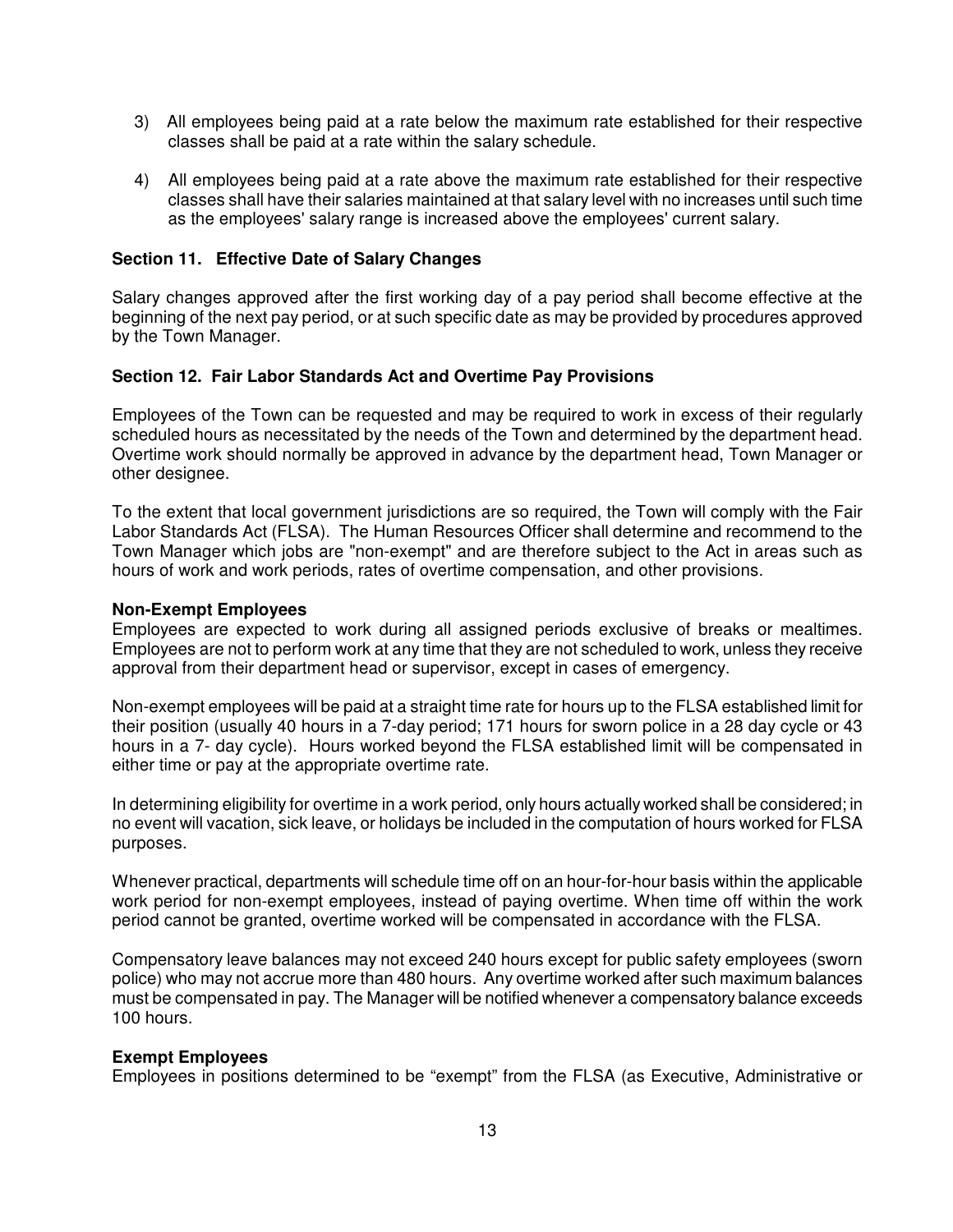- 3) All employees being paid at a rate below the maximum rate established for their respective classes shall be paid at a rate within the salary schedule.
- 4) All employees being paid at a rate above the maximum rate established for their respective classes shall have their salaries maintained at that salary level with no increases until such time as the employees' salary range is increased above the employees' current salary.

#### **Section 11. Effective Date of Salary Changes**

Salary changes approved after the first working day of a pay period shall become effective at the beginning of the next pay period, or at such specific date as may be provided by procedures approved by the Town Manager.

#### **Section 12. Fair Labor Standards Act and Overtime Pay Provisions**

Employees of the Town can be requested and may be required to work in excess of their regularly scheduled hours as necessitated by the needs of the Town and determined by the department head. Overtime work should normally be approved in advance by the department head, Town Manager or other designee.

To the extent that local government jurisdictions are so required, the Town will comply with the Fair Labor Standards Act (FLSA). The Human Resources Officer shall determine and recommend to the Town Manager which jobs are "non-exempt" and are therefore subject to the Act in areas such as hours of work and work periods, rates of overtime compensation, and other provisions.

#### **Non-Exempt Employees**

Employees are expected to work during all assigned periods exclusive of breaks or mealtimes. Employees are not to perform work at any time that they are not scheduled to work, unless they receive approval from their department head or supervisor, except in cases of emergency.

Non-exempt employees will be paid at a straight time rate for hours up to the FLSA established limit for their position (usually 40 hours in a 7-day period; 171 hours for sworn police in a 28 day cycle or 43 hours in a 7- day cycle). Hours worked beyond the FLSA established limit will be compensated in either time or pay at the appropriate overtime rate.

In determining eligibility for overtime in a work period, only hours actually worked shall be considered; in no event will vacation, sick leave, or holidays be included in the computation of hours worked for FLSA purposes.

Whenever practical, departments will schedule time off on an hour-for-hour basis within the applicable work period for non-exempt employees, instead of paying overtime. When time off within the work period cannot be granted, overtime worked will be compensated in accordance with the FLSA.

Compensatory leave balances may not exceed 240 hours except for public safety employees (sworn police) who may not accrue more than 480 hours. Any overtime worked after such maximum balances must be compensated in pay. The Manager will be notified whenever a compensatory balance exceeds 100 hours.

#### **Exempt Employees**

Employees in positions determined to be "exempt" from the FLSA (as Executive, Administrative or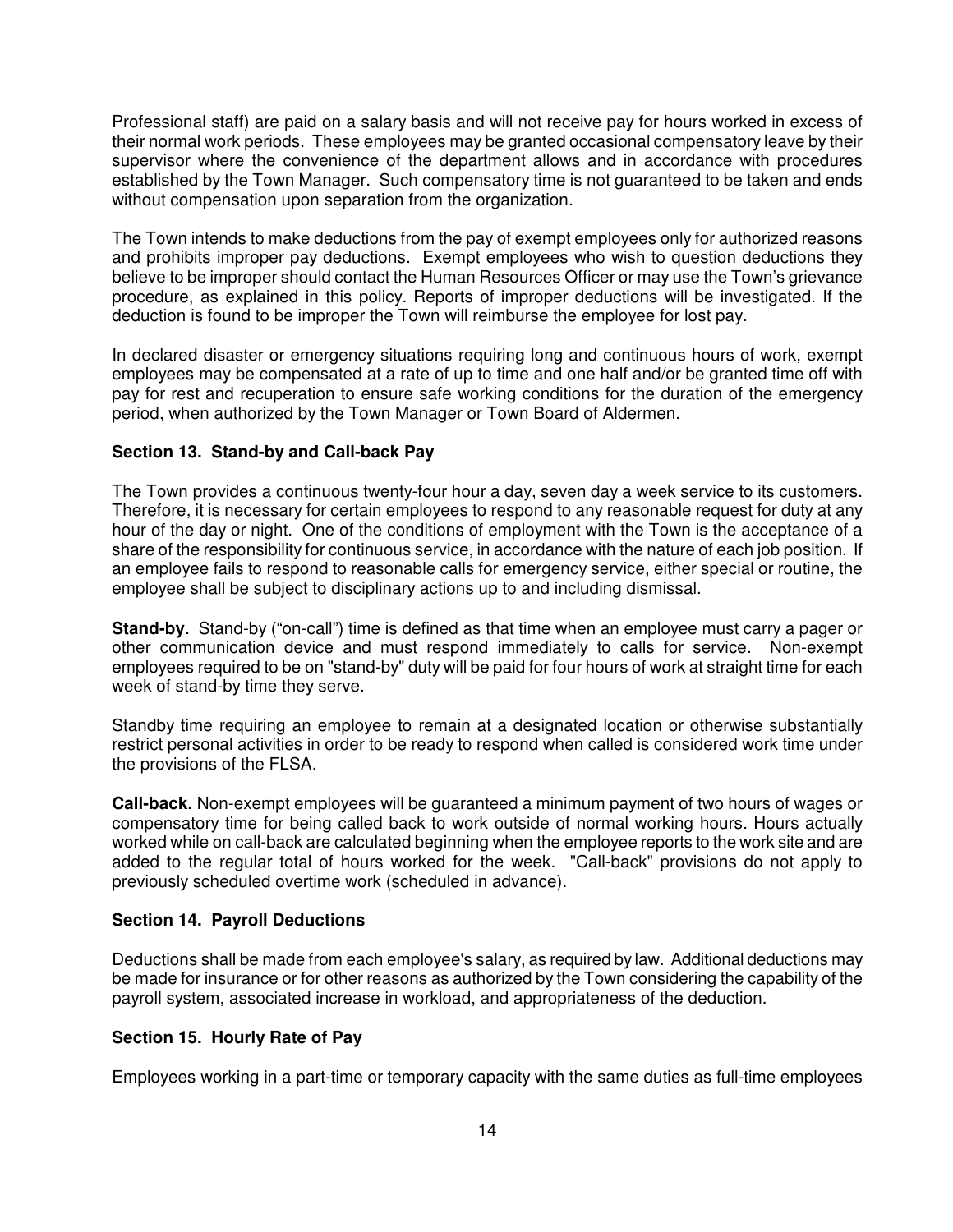Professional staff) are paid on a salary basis and will not receive pay for hours worked in excess of their normal work periods. These employees may be granted occasional compensatory leave by their supervisor where the convenience of the department allows and in accordance with procedures established by the Town Manager. Such compensatory time is not guaranteed to be taken and ends without compensation upon separation from the organization.

The Town intends to make deductions from the pay of exempt employees only for authorized reasons and prohibits improper pay deductions. Exempt employees who wish to question deductions they believe to be improper should contact the Human Resources Officer or may use the Town's grievance procedure, as explained in this policy. Reports of improper deductions will be investigated. If the deduction is found to be improper the Town will reimburse the employee for lost pay.

In declared disaster or emergency situations requiring long and continuous hours of work, exempt employees may be compensated at a rate of up to time and one half and/or be granted time off with pay for rest and recuperation to ensure safe working conditions for the duration of the emergency period, when authorized by the Town Manager or Town Board of Aldermen.

### **Section 13. Stand-by and Call-back Pay**

The Town provides a continuous twenty-four hour a day, seven day a week service to its customers. Therefore, it is necessary for certain employees to respond to any reasonable request for duty at any hour of the day or night. One of the conditions of employment with the Town is the acceptance of a share of the responsibility for continuous service, in accordance with the nature of each job position. If an employee fails to respond to reasonable calls for emergency service, either special or routine, the employee shall be subject to disciplinary actions up to and including dismissal.

**Stand-by.** Stand-by ("on-call") time is defined as that time when an employee must carry a pager or other communication device and must respond immediately to calls for service. Non-exempt employees required to be on "stand-by" duty will be paid for four hours of work at straight time for each week of stand-by time they serve.

Standby time requiring an employee to remain at a designated location or otherwise substantially restrict personal activities in order to be ready to respond when called is considered work time under the provisions of the FLSA.

**Call-back.** Non-exempt employees will be guaranteed a minimum payment of two hours of wages or compensatory time for being called back to work outside of normal working hours. Hours actually worked while on call-back are calculated beginning when the employee reports to the work site and are added to the regular total of hours worked for the week. "Call-back" provisions do not apply to previously scheduled overtime work (scheduled in advance).

### **Section 14. Payroll Deductions**

Deductions shall be made from each employee's salary, as required by law. Additional deductions may be made for insurance or for other reasons as authorized by the Town considering the capability of the payroll system, associated increase in workload, and appropriateness of the deduction.

### **Section 15. Hourly Rate of Pay**

Employees working in a part-time or temporary capacity with the same duties as full-time employees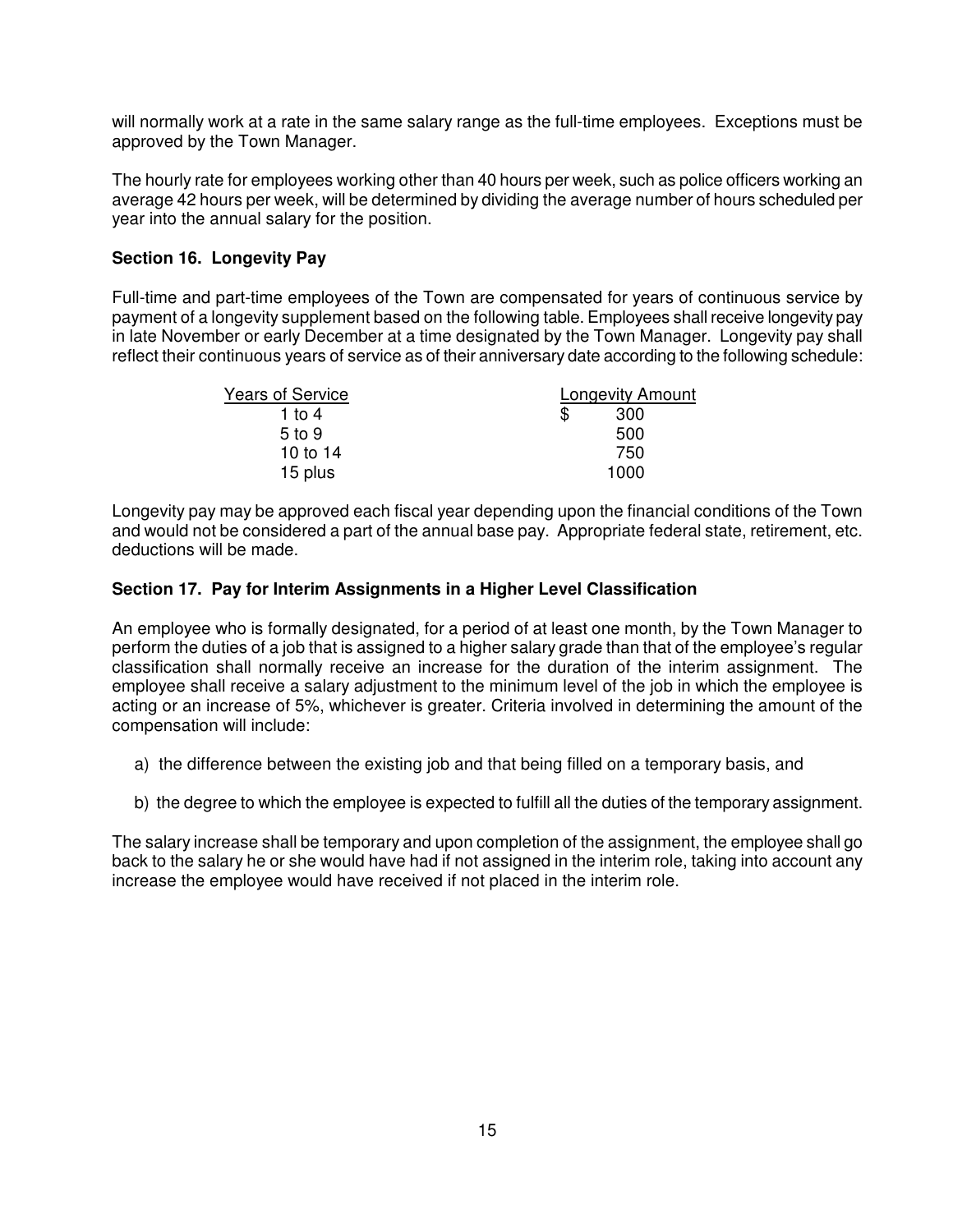will normally work at a rate in the same salary range as the full-time employees. Exceptions must be approved by the Town Manager.

The hourly rate for employees working other than 40 hours per week, such as police officers working an average 42 hours per week, will be determined by dividing the average number of hours scheduled per year into the annual salary for the position.

# **Section 16. Longevity Pay**

Full-time and part-time employees of the Town are compensated for years of continuous service by payment of a longevity supplement based on the following table. Employees shall receive longevity pay in late November or early December at a time designated by the Town Manager. Longevity pay shall reflect their continuous years of service as of their anniversary date according to the following schedule:

| <b>Years of Service</b> | <b>Longevity Amount</b> |  |
|-------------------------|-------------------------|--|
| 1 to 4                  | \$<br>300               |  |
| $5$ to $9$              | 500                     |  |
| 10 to 14                | 750                     |  |
| 15 plus                 | 1000                    |  |

Longevity pay may be approved each fiscal year depending upon the financial conditions of the Town and would not be considered a part of the annual base pay. Appropriate federal state, retirement, etc. deductions will be made.

### **Section 17. Pay for Interim Assignments in a Higher Level Classification**

An employee who is formally designated, for a period of at least one month, by the Town Manager to perform the duties of a job that is assigned to a higher salary grade than that of the employee's regular classification shall normally receive an increase for the duration of the interim assignment. The employee shall receive a salary adjustment to the minimum level of the job in which the employee is acting or an increase of 5%, whichever is greater. Criteria involved in determining the amount of the compensation will include:

- a) the difference between the existing job and that being filled on a temporary basis, and
- b) the degree to which the employee is expected to fulfill all the duties of the temporary assignment.

The salary increase shall be temporary and upon completion of the assignment, the employee shall go back to the salary he or she would have had if not assigned in the interim role, taking into account any increase the employee would have received if not placed in the interim role.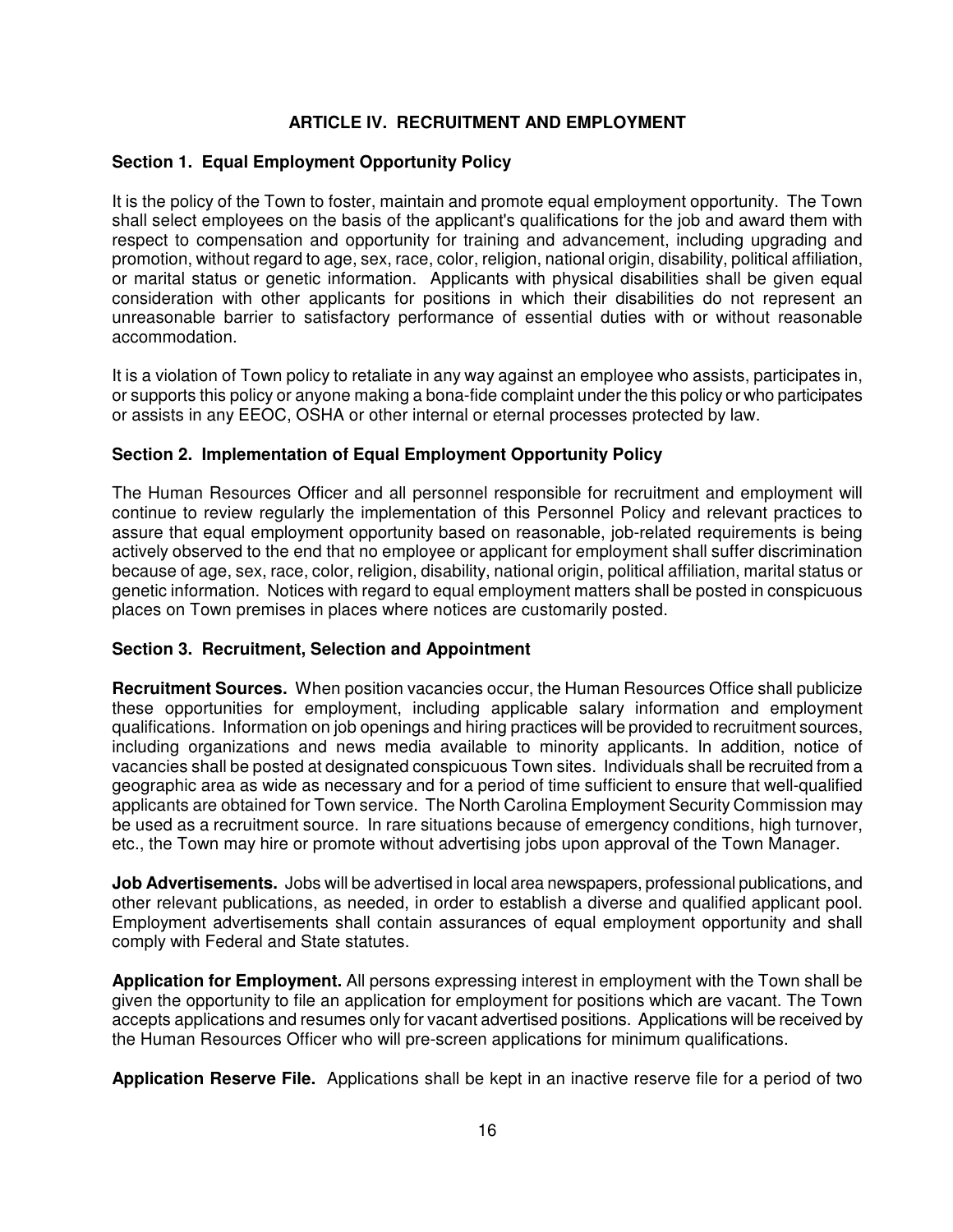# **ARTICLE IV. RECRUITMENT AND EMPLOYMENT**

# **Section 1. Equal Employment Opportunity Policy**

It is the policy of the Town to foster, maintain and promote equal employment opportunity. The Town shall select employees on the basis of the applicant's qualifications for the job and award them with respect to compensation and opportunity for training and advancement, including upgrading and promotion, without regard to age, sex, race, color, religion, national origin, disability, political affiliation, or marital status or genetic information. Applicants with physical disabilities shall be given equal consideration with other applicants for positions in which their disabilities do not represent an unreasonable barrier to satisfactory performance of essential duties with or without reasonable accommodation.

It is a violation of Town policy to retaliate in any way against an employee who assists, participates in, or supports this policy or anyone making a bona-fide complaint under the this policy or who participates or assists in any EEOC, OSHA or other internal or eternal processes protected by law.

### **Section 2. Implementation of Equal Employment Opportunity Policy**

The Human Resources Officer and all personnel responsible for recruitment and employment will continue to review regularly the implementation of this Personnel Policy and relevant practices to assure that equal employment opportunity based on reasonable, job-related requirements is being actively observed to the end that no employee or applicant for employment shall suffer discrimination because of age, sex, race, color, religion, disability, national origin, political affiliation, marital status or genetic information. Notices with regard to equal employment matters shall be posted in conspicuous places on Town premises in places where notices are customarily posted.

### **Section 3. Recruitment, Selection and Appointment**

**Recruitment Sources.** When position vacancies occur, the Human Resources Office shall publicize these opportunities for employment, including applicable salary information and employment qualifications. Information on job openings and hiring practices will be provided to recruitment sources, including organizations and news media available to minority applicants. In addition, notice of vacancies shall be posted at designated conspicuous Town sites. Individuals shall be recruited from a geographic area as wide as necessary and for a period of time sufficient to ensure that well-qualified applicants are obtained for Town service. The North Carolina Employment Security Commission may be used as a recruitment source. In rare situations because of emergency conditions, high turnover, etc., the Town may hire or promote without advertising jobs upon approval of the Town Manager.

**Job Advertisements.** Jobs will be advertised in local area newspapers, professional publications, and other relevant publications, as needed, in order to establish a diverse and qualified applicant pool. Employment advertisements shall contain assurances of equal employment opportunity and shall comply with Federal and State statutes.

**Application for Employment.** All persons expressing interest in employment with the Town shall be given the opportunity to file an application for employment for positions which are vacant. The Town accepts applications and resumes only for vacant advertised positions. Applications will be received by the Human Resources Officer who will pre-screen applications for minimum qualifications.

**Application Reserve File.** Applications shall be kept in an inactive reserve file for a period of two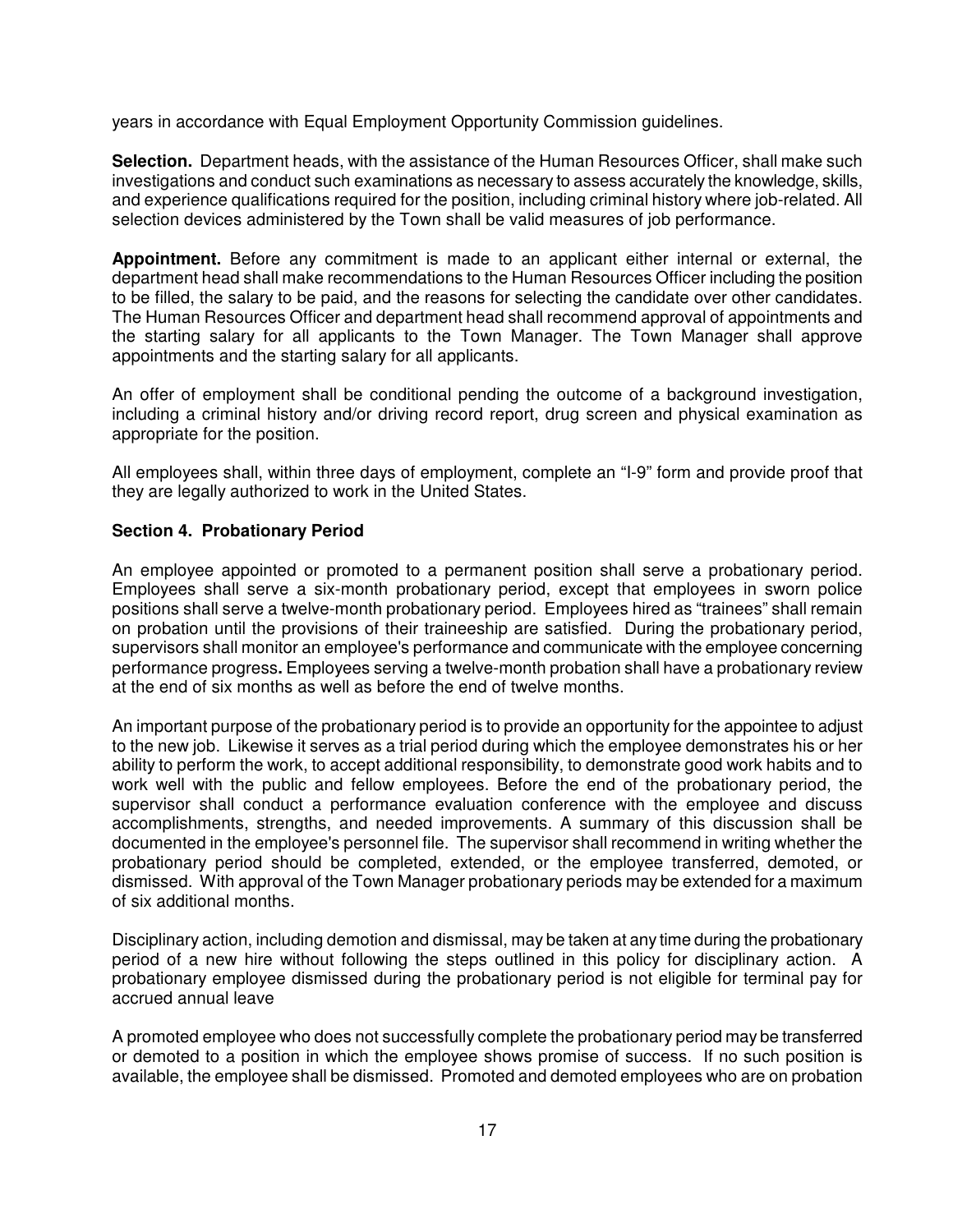years in accordance with Equal Employment Opportunity Commission guidelines.

**Selection.** Department heads, with the assistance of the Human Resources Officer, shall make such investigations and conduct such examinations as necessary to assess accurately the knowledge, skills, and experience qualifications required for the position, including criminal history where job-related. All selection devices administered by the Town shall be valid measures of job performance.

**Appointment.** Before any commitment is made to an applicant either internal or external, the department head shall make recommendations to the Human Resources Officer including the position to be filled, the salary to be paid, and the reasons for selecting the candidate over other candidates. The Human Resources Officer and department head shall recommend approval of appointments and the starting salary for all applicants to the Town Manager. The Town Manager shall approve appointments and the starting salary for all applicants.

An offer of employment shall be conditional pending the outcome of a background investigation, including a criminal history and/or driving record report, drug screen and physical examination as appropriate for the position.

All employees shall, within three days of employment, complete an "I-9" form and provide proof that they are legally authorized to work in the United States.

# **Section 4. Probationary Period**

An employee appointed or promoted to a permanent position shall serve a probationary period. Employees shall serve a six-month probationary period, except that employees in sworn police positions shall serve a twelve-month probationary period. Employees hired as "trainees" shall remain on probation until the provisions of their traineeship are satisfied. During the probationary period, supervisors shall monitor an employee's performance and communicate with the employee concerning performance progress**.** Employees serving a twelve-month probation shall have a probationary review at the end of six months as well as before the end of twelve months.

An important purpose of the probationary period is to provide an opportunity for the appointee to adjust to the new job. Likewise it serves as a trial period during which the employee demonstrates his or her ability to perform the work, to accept additional responsibility, to demonstrate good work habits and to work well with the public and fellow employees. Before the end of the probationary period, the supervisor shall conduct a performance evaluation conference with the employee and discuss accomplishments, strengths, and needed improvements. A summary of this discussion shall be documented in the employee's personnel file. The supervisor shall recommend in writing whether the probationary period should be completed, extended, or the employee transferred, demoted, or dismissed. With approval of the Town Manager probationary periods may be extended for a maximum of six additional months.

Disciplinary action, including demotion and dismissal, may be taken at any time during the probationary period of a new hire without following the steps outlined in this policy for disciplinary action. A probationary employee dismissed during the probationary period is not eligible for terminal pay for accrued annual leave

A promoted employee who does not successfully complete the probationary period may be transferred or demoted to a position in which the employee shows promise of success. If no such position is available, the employee shall be dismissed. Promoted and demoted employees who are on probation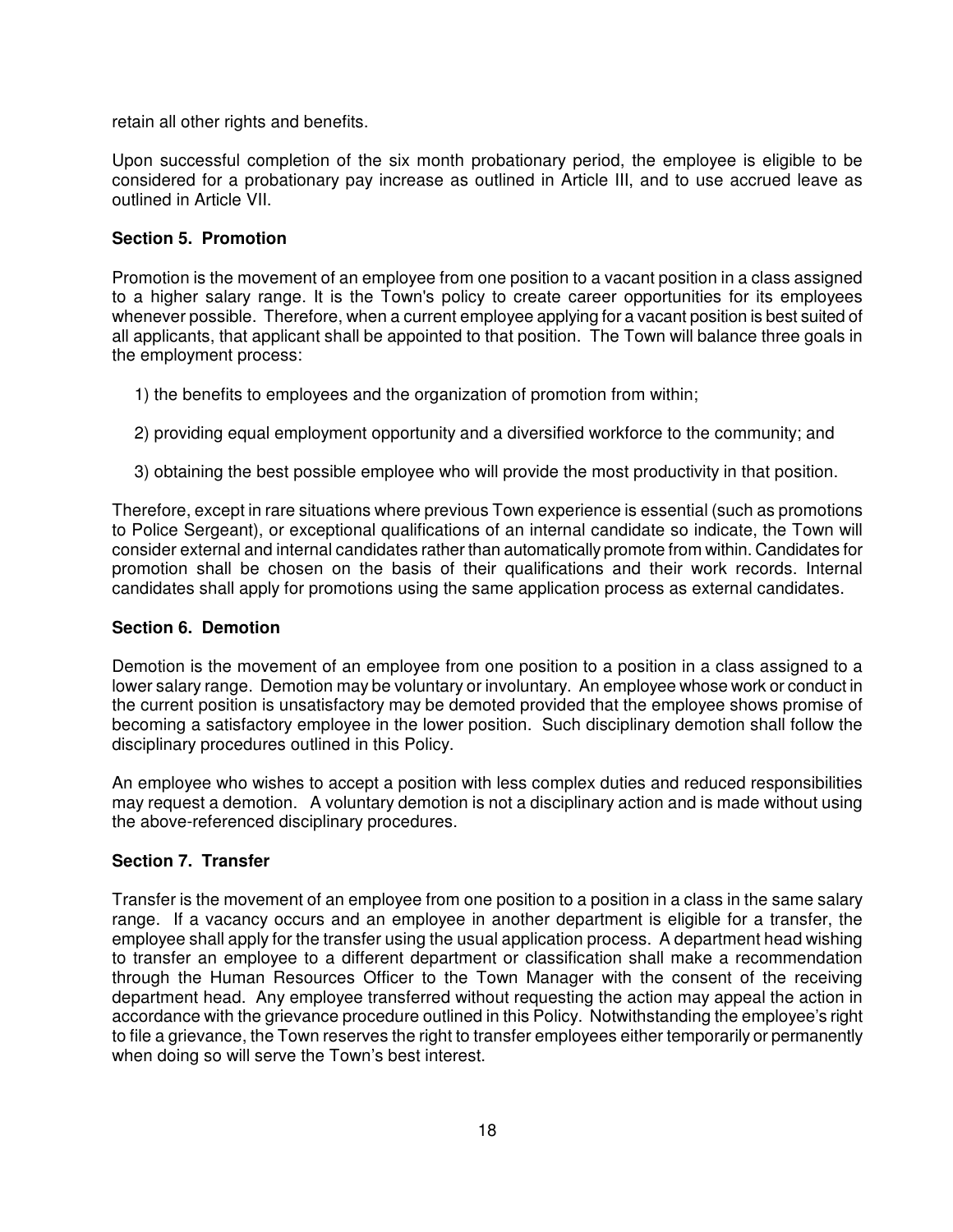retain all other rights and benefits.

Upon successful completion of the six month probationary period, the employee is eligible to be considered for a probationary pay increase as outlined in Article III, and to use accrued leave as outlined in Article VII.

# **Section 5. Promotion**

Promotion is the movement of an employee from one position to a vacant position in a class assigned to a higher salary range. It is the Town's policy to create career opportunities for its employees whenever possible. Therefore, when a current employee applying for a vacant position is best suited of all applicants, that applicant shall be appointed to that position. The Town will balance three goals in the employment process:

- 1) the benefits to employees and the organization of promotion from within;
- 2) providing equal employment opportunity and a diversified workforce to the community; and
- 3) obtaining the best possible employee who will provide the most productivity in that position.

Therefore, except in rare situations where previous Town experience is essential (such as promotions to Police Sergeant), or exceptional qualifications of an internal candidate so indicate, the Town will consider external and internal candidates rather than automatically promote from within. Candidates for promotion shall be chosen on the basis of their qualifications and their work records. Internal candidates shall apply for promotions using the same application process as external candidates.

### **Section 6. Demotion**

Demotion is the movement of an employee from one position to a position in a class assigned to a lower salary range. Demotion may be voluntary or involuntary. An employee whose work or conduct in the current position is unsatisfactory may be demoted provided that the employee shows promise of becoming a satisfactory employee in the lower position. Such disciplinary demotion shall follow the disciplinary procedures outlined in this Policy.

An employee who wishes to accept a position with less complex duties and reduced responsibilities may request a demotion. A voluntary demotion is not a disciplinary action and is made without using the above-referenced disciplinary procedures.

# **Section 7. Transfer**

Transfer is the movement of an employee from one position to a position in a class in the same salary range. If a vacancy occurs and an employee in another department is eligible for a transfer, the employee shall apply for the transfer using the usual application process. A department head wishing to transfer an employee to a different department or classification shall make a recommendation through the Human Resources Officer to the Town Manager with the consent of the receiving department head. Any employee transferred without requesting the action may appeal the action in accordance with the grievance procedure outlined in this Policy. Notwithstanding the employee's right to file a grievance, the Town reserves the right to transfer employees either temporarily or permanently when doing so will serve the Town's best interest.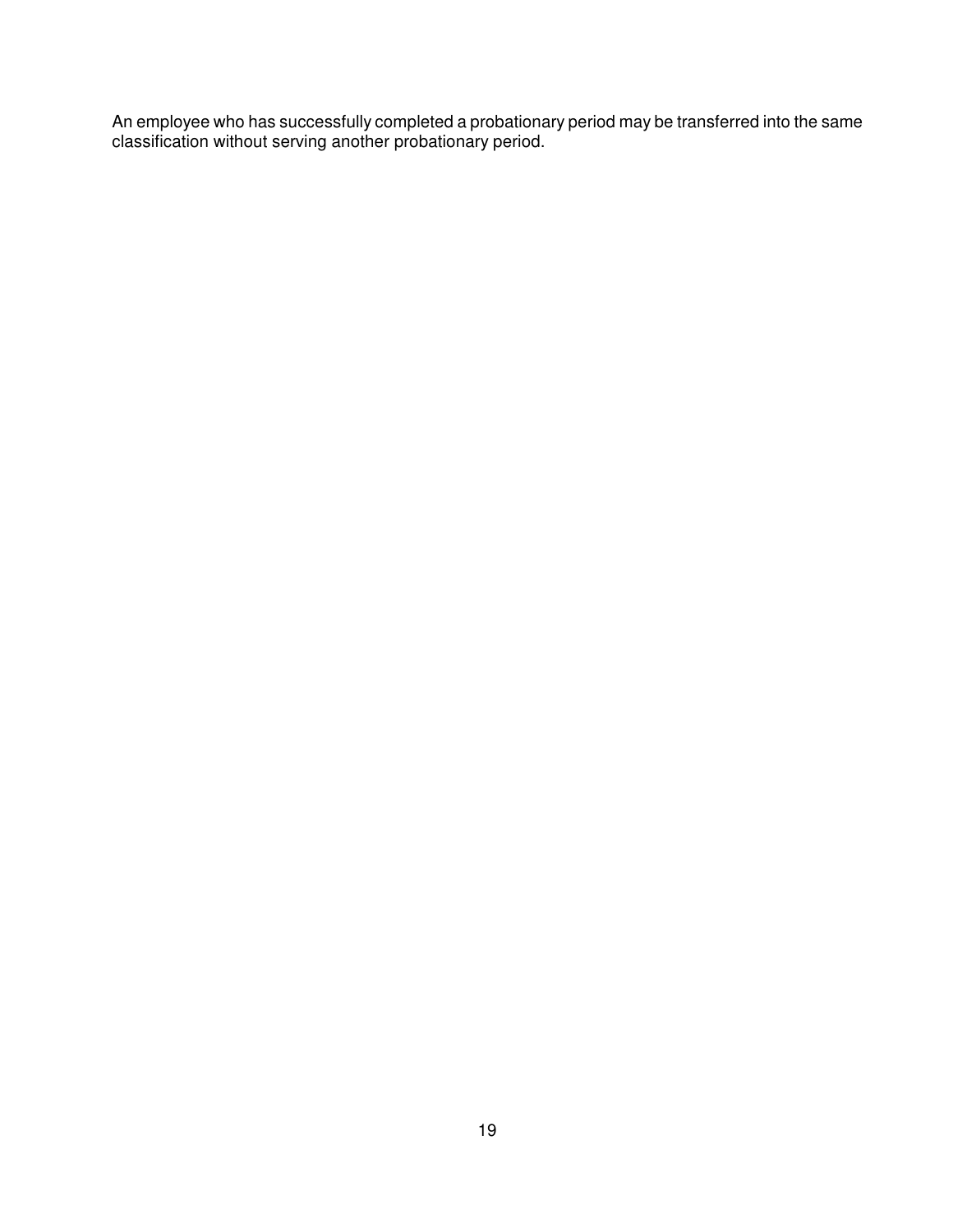An employee who has successfully completed a probationary period may be transferred into the same classification without serving another probationary period.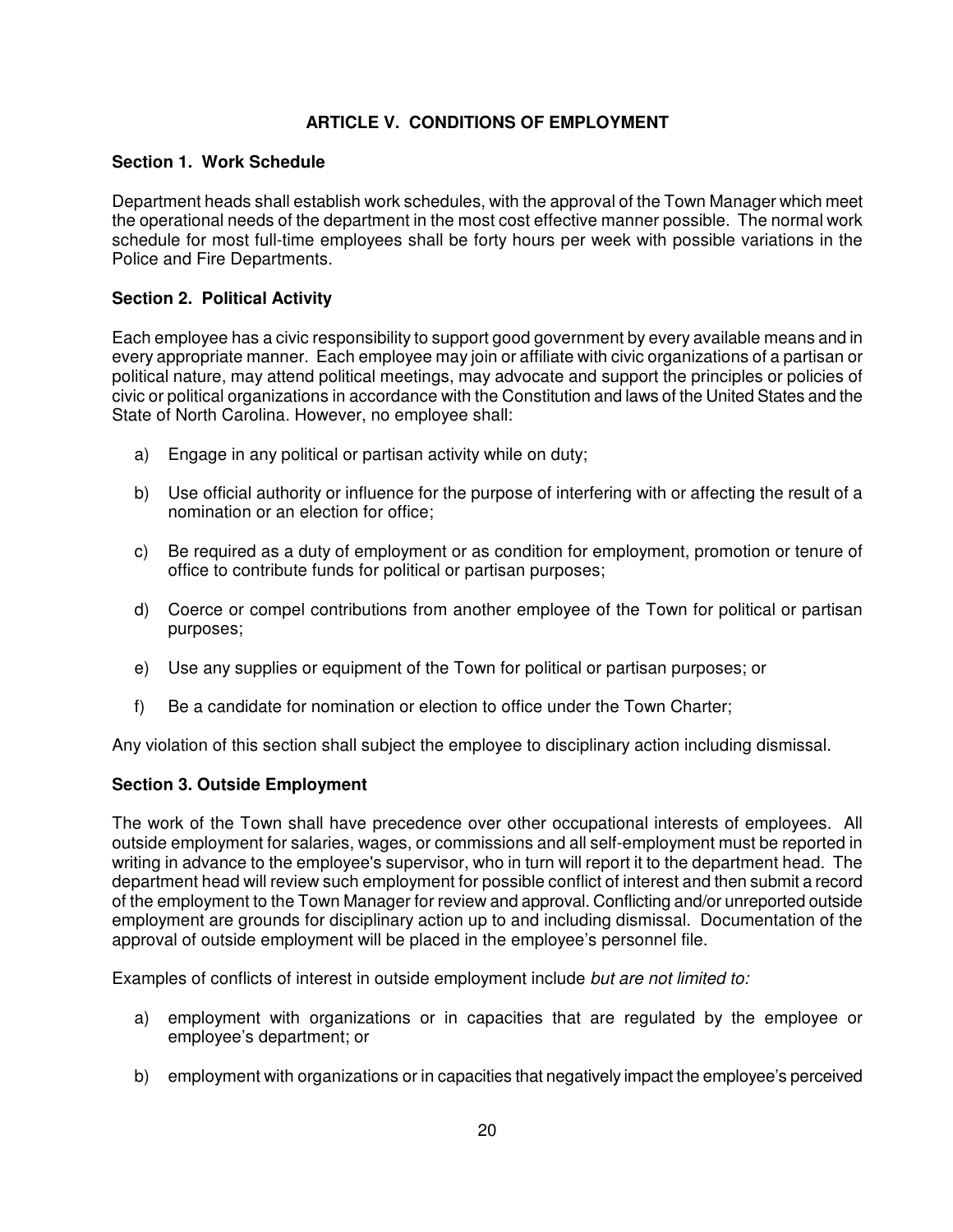# **ARTICLE V. CONDITIONS OF EMPLOYMENT**

### **Section 1. Work Schedule**

Department heads shall establish work schedules, with the approval of the Town Manager which meet the operational needs of the department in the most cost effective manner possible. The normal work schedule for most full-time employees shall be forty hours per week with possible variations in the Police and Fire Departments.

# **Section 2. Political Activity**

Each employee has a civic responsibility to support good government by every available means and in every appropriate manner. Each employee may join or affiliate with civic organizations of a partisan or political nature, may attend political meetings, may advocate and support the principles or policies of civic or political organizations in accordance with the Constitution and laws of the United States and the State of North Carolina. However, no employee shall:

- a) Engage in any political or partisan activity while on duty;
- b) Use official authority or influence for the purpose of interfering with or affecting the result of a nomination or an election for office;
- c) Be required as a duty of employment or as condition for employment, promotion or tenure of office to contribute funds for political or partisan purposes;
- d) Coerce or compel contributions from another employee of the Town for political or partisan purposes;
- e) Use any supplies or equipment of the Town for political or partisan purposes; or
- f) Be a candidate for nomination or election to office under the Town Charter;

Any violation of this section shall subject the employee to disciplinary action including dismissal.

### **Section 3. Outside Employment**

The work of the Town shall have precedence over other occupational interests of employees. All outside employment for salaries, wages, or commissions and all self-employment must be reported in writing in advance to the employee's supervisor, who in turn will report it to the department head. The department head will review such employment for possible conflict of interest and then submit a record of the employment to the Town Manager for review and approval. Conflicting and/or unreported outside employment are grounds for disciplinary action up to and including dismissal. Documentation of the approval of outside employment will be placed in the employee's personnel file.

Examples of conflicts of interest in outside employment include but are not limited to:

- a) employment with organizations or in capacities that are regulated by the employee or employee's department; or
- b) employment with organizations or in capacities that negatively impact the employee's perceived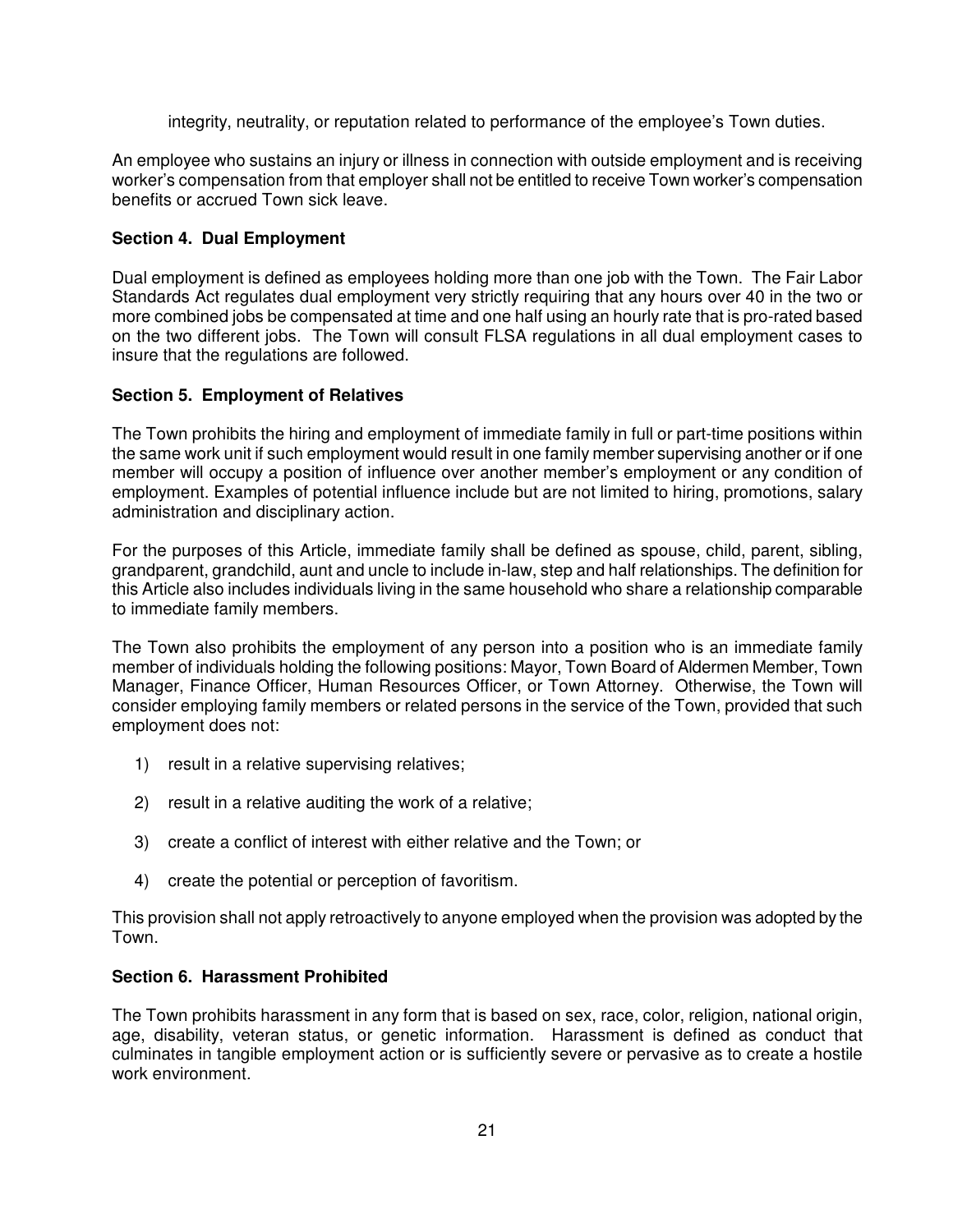integrity, neutrality, or reputation related to performance of the employee's Town duties.

An employee who sustains an injury or illness in connection with outside employment and is receiving worker's compensation from that employer shall not be entitled to receive Town worker's compensation benefits or accrued Town sick leave.

# **Section 4. Dual Employment**

Dual employment is defined as employees holding more than one job with the Town. The Fair Labor Standards Act regulates dual employment very strictly requiring that any hours over 40 in the two or more combined jobs be compensated at time and one half using an hourly rate that is pro-rated based on the two different jobs. The Town will consult FLSA regulations in all dual employment cases to insure that the regulations are followed.

### **Section 5. Employment of Relatives**

The Town prohibits the hiring and employment of immediate family in full or part-time positions within the same work unit if such employment would result in one family member supervising another or if one member will occupy a position of influence over another member's employment or any condition of employment. Examples of potential influence include but are not limited to hiring, promotions, salary administration and disciplinary action.

For the purposes of this Article, immediate family shall be defined as spouse, child, parent, sibling, grandparent, grandchild, aunt and uncle to include in-law, step and half relationships. The definition for this Article also includes individuals living in the same household who share a relationship comparable to immediate family members.

The Town also prohibits the employment of any person into a position who is an immediate family member of individuals holding the following positions: Mayor, Town Board of Aldermen Member, Town Manager, Finance Officer, Human Resources Officer, or Town Attorney. Otherwise, the Town will consider employing family members or related persons in the service of the Town, provided that such employment does not:

- 1) result in a relative supervising relatives;
- 2) result in a relative auditing the work of a relative;
- 3) create a conflict of interest with either relative and the Town; or
- 4) create the potential or perception of favoritism.

This provision shall not apply retroactively to anyone employed when the provision was adopted by the Town.

# **Section 6. Harassment Prohibited**

The Town prohibits harassment in any form that is based on sex, race, color, religion, national origin, age, disability, veteran status, or genetic information. Harassment is defined as conduct that culminates in tangible employment action or is sufficiently severe or pervasive as to create a hostile work environment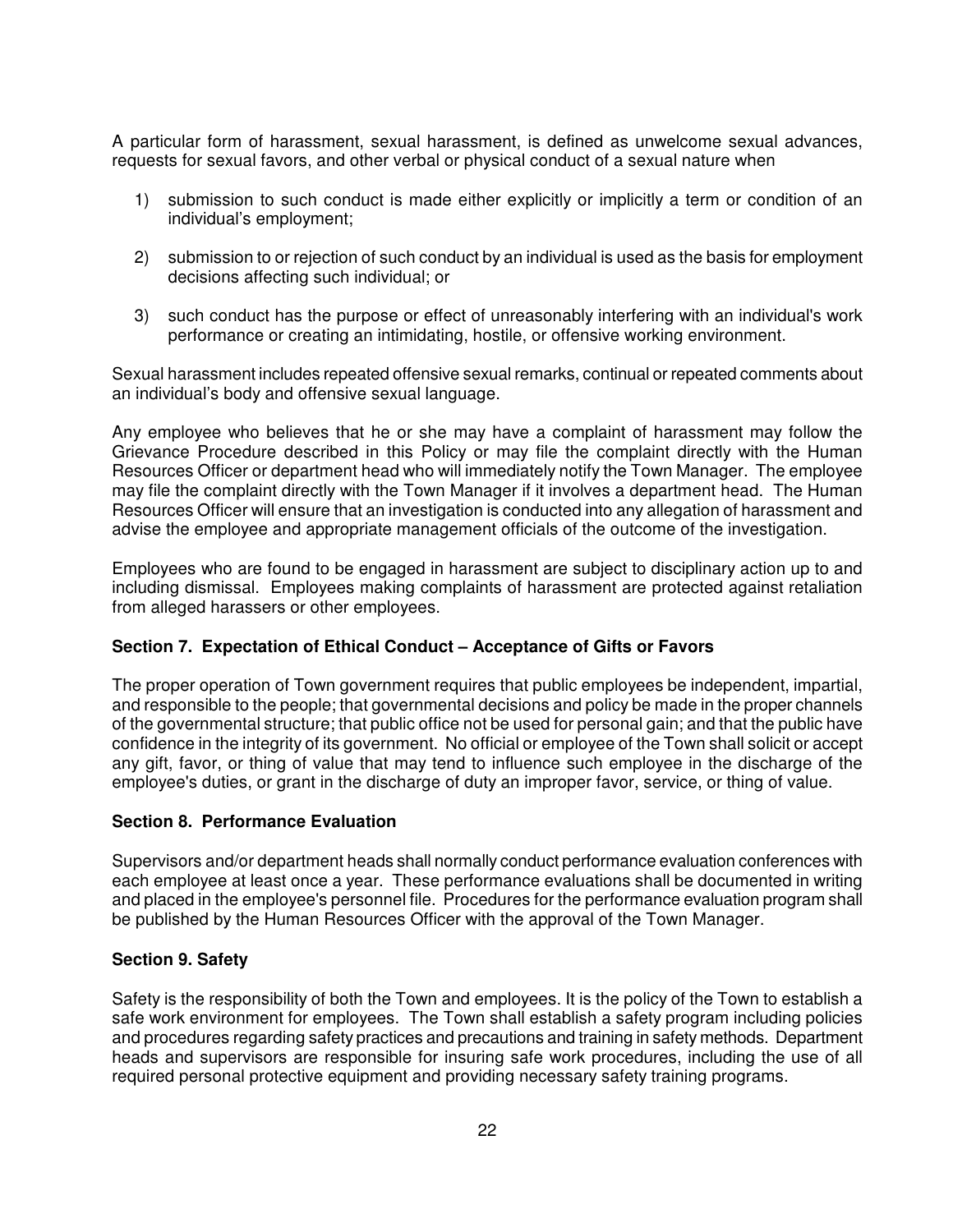A particular form of harassment, sexual harassment, is defined as unwelcome sexual advances, requests for sexual favors, and other verbal or physical conduct of a sexual nature when

- 1) submission to such conduct is made either explicitly or implicitly a term or condition of an individual's employment;
- 2) submission to or rejection of such conduct by an individual is used as the basis for employment decisions affecting such individual; or
- 3) such conduct has the purpose or effect of unreasonably interfering with an individual's work performance or creating an intimidating, hostile, or offensive working environment.

Sexual harassment includes repeated offensive sexual remarks, continual or repeated comments about an individual's body and offensive sexual language.

Any employee who believes that he or she may have a complaint of harassment may follow the Grievance Procedure described in this Policy or may file the complaint directly with the Human Resources Officer or department head who will immediately notify the Town Manager. The employee may file the complaint directly with the Town Manager if it involves a department head. The Human Resources Officer will ensure that an investigation is conducted into any allegation of harassment and advise the employee and appropriate management officials of the outcome of the investigation.

Employees who are found to be engaged in harassment are subject to disciplinary action up to and including dismissal. Employees making complaints of harassment are protected against retaliation from alleged harassers or other employees.

# **Section 7. Expectation of Ethical Conduct – Acceptance of Gifts or Favors**

The proper operation of Town government requires that public employees be independent, impartial, and responsible to the people; that governmental decisions and policy be made in the proper channels of the governmental structure; that public office not be used for personal gain; and that the public have confidence in the integrity of its government. No official or employee of the Town shall solicit or accept any gift, favor, or thing of value that may tend to influence such employee in the discharge of the employee's duties, or grant in the discharge of duty an improper favor, service, or thing of value.

### **Section 8. Performance Evaluation**

Supervisors and/or department heads shall normally conduct performance evaluation conferences with each employee at least once a year. These performance evaluations shall be documented in writing and placed in the employee's personnel file. Procedures for the performance evaluation program shall be published by the Human Resources Officer with the approval of the Town Manager.

### **Section 9. Safety**

Safety is the responsibility of both the Town and employees. It is the policy of the Town to establish a safe work environment for employees. The Town shall establish a safety program including policies and procedures regarding safety practices and precautions and training in safety methods. Department heads and supervisors are responsible for insuring safe work procedures, including the use of all required personal protective equipment and providing necessary safety training programs.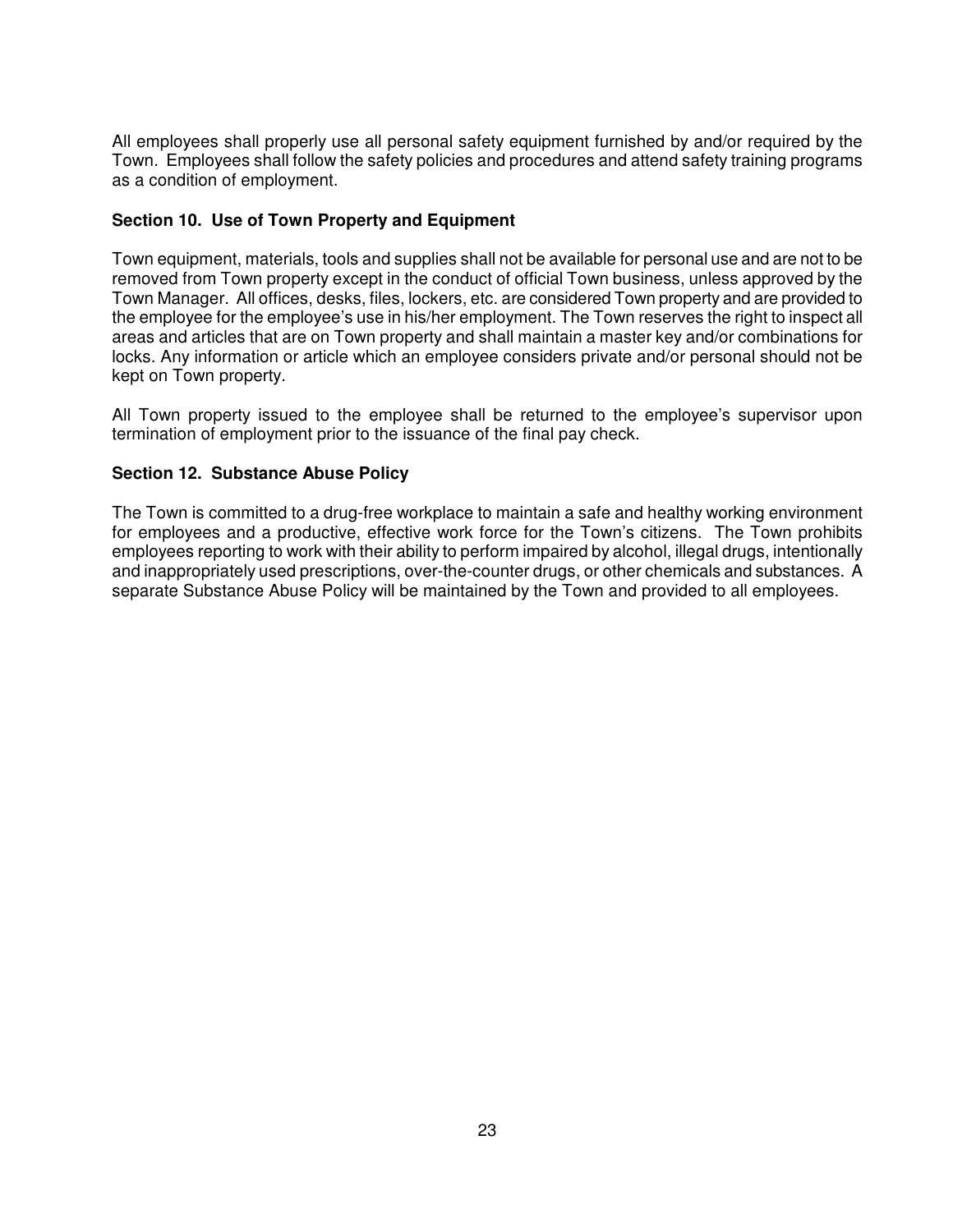All employees shall properly use all personal safety equipment furnished by and/or required by the Town. Employees shall follow the safety policies and procedures and attend safety training programs as a condition of employment.

### **Section 10. Use of Town Property and Equipment**

Town equipment, materials, tools and supplies shall not be available for personal use and are not to be removed from Town property except in the conduct of official Town business, unless approved by the Town Manager. All offices, desks, files, lockers, etc. are considered Town property and are provided to the employee for the employee's use in his/her employment. The Town reserves the right to inspect all areas and articles that are on Town property and shall maintain a master key and/or combinations for locks. Any information or article which an employee considers private and/or personal should not be kept on Town property.

All Town property issued to the employee shall be returned to the employee's supervisor upon termination of employment prior to the issuance of the final pay check.

### **Section 12. Substance Abuse Policy**

The Town is committed to a drug-free workplace to maintain a safe and healthy working environment for employees and a productive, effective work force for the Town's citizens. The Town prohibits employees reporting to work with their ability to perform impaired by alcohol, illegal drugs, intentionally and inappropriately used prescriptions, over-the-counter drugs, or other chemicals and substances. A separate Substance Abuse Policy will be maintained by the Town and provided to all employees.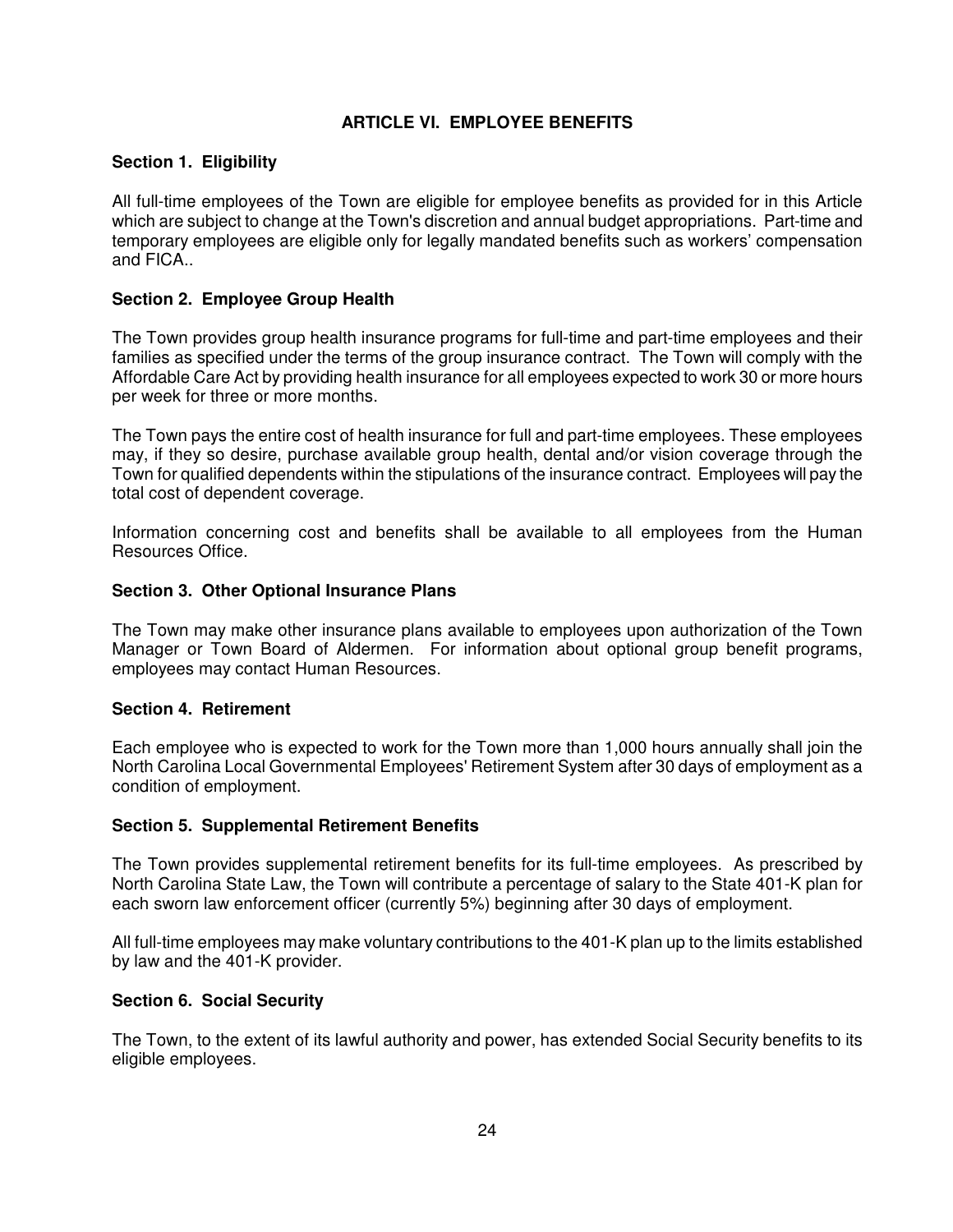# **ARTICLE VI. EMPLOYEE BENEFITS**

# **Section 1. Eligibility**

All full-time employees of the Town are eligible for employee benefits as provided for in this Article which are subject to change at the Town's discretion and annual budget appropriations. Part-time and temporary employees are eligible only for legally mandated benefits such as workers' compensation and FICA..

# **Section 2. Employee Group Health**

The Town provides group health insurance programs for full-time and part-time employees and their families as specified under the terms of the group insurance contract. The Town will comply with the Affordable Care Act by providing health insurance for all employees expected to work 30 or more hours per week for three or more months.

The Town pays the entire cost of health insurance for full and part-time employees. These employees may, if they so desire, purchase available group health, dental and/or vision coverage through the Town for qualified dependents within the stipulations of the insurance contract. Employees will pay the total cost of dependent coverage.

Information concerning cost and benefits shall be available to all employees from the Human Resources Office.

### **Section 3. Other Optional Insurance Plans**

The Town may make other insurance plans available to employees upon authorization of the Town Manager or Town Board of Aldermen. For information about optional group benefit programs, employees may contact Human Resources.

### **Section 4. Retirement**

Each employee who is expected to work for the Town more than 1,000 hours annually shall join the North Carolina Local Governmental Employees' Retirement System after 30 days of employment as a condition of employment.

### **Section 5. Supplemental Retirement Benefits**

The Town provides supplemental retirement benefits for its full-time employees. As prescribed by North Carolina State Law, the Town will contribute a percentage of salary to the State 401-K plan for each sworn law enforcement officer (currently 5%) beginning after 30 days of employment.

All full-time employees may make voluntary contributions to the 401-K plan up to the limits established by law and the 401-K provider.

# **Section 6. Social Security**

The Town, to the extent of its lawful authority and power, has extended Social Security benefits to its eligible employees.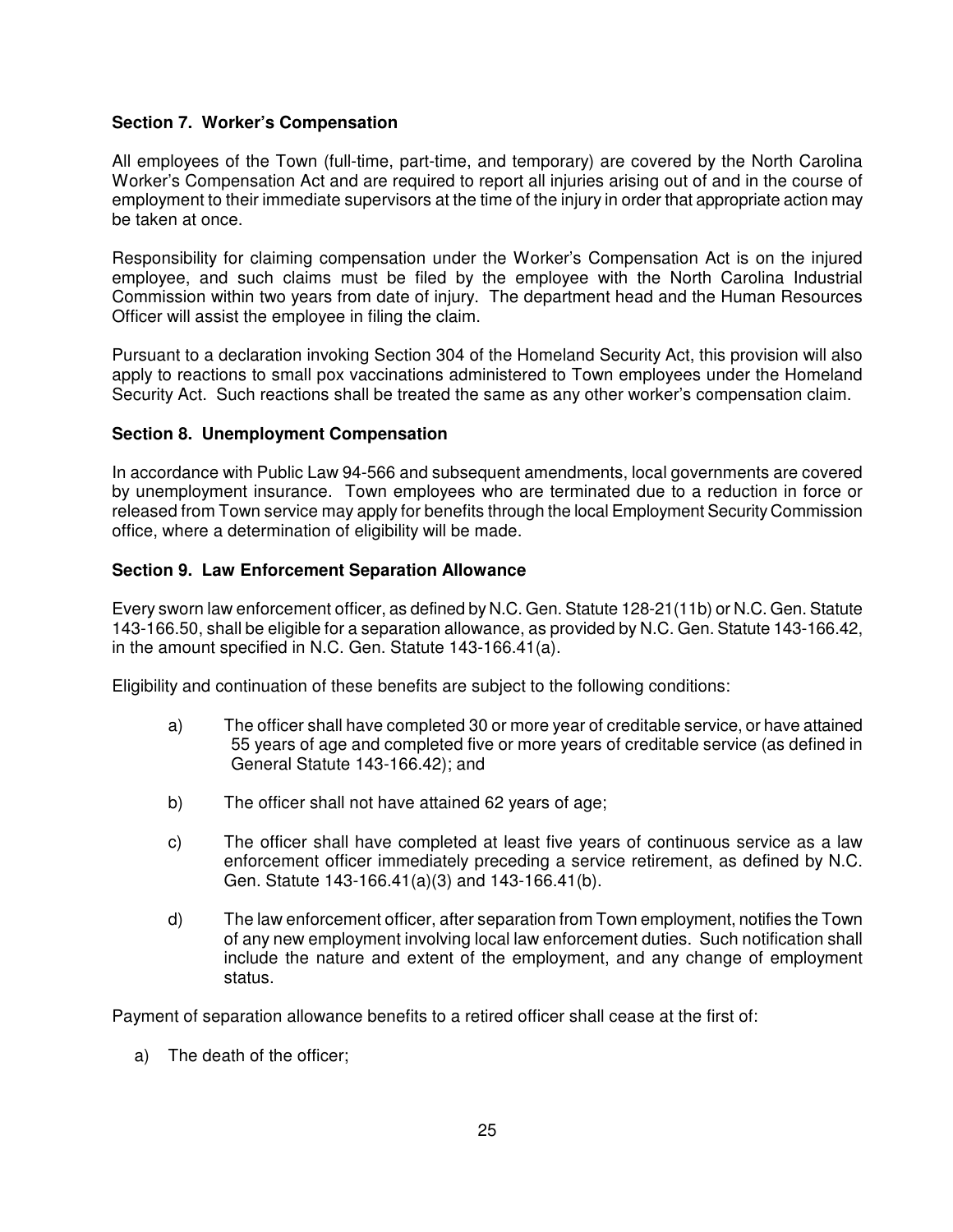# **Section 7. Worker's Compensation**

All employees of the Town (full-time, part-time, and temporary) are covered by the North Carolina Worker's Compensation Act and are required to report all injuries arising out of and in the course of employment to their immediate supervisors at the time of the injury in order that appropriate action may be taken at once.

Responsibility for claiming compensation under the Worker's Compensation Act is on the injured employee, and such claims must be filed by the employee with the North Carolina Industrial Commission within two years from date of injury. The department head and the Human Resources Officer will assist the employee in filing the claim.

Pursuant to a declaration invoking Section 304 of the Homeland Security Act, this provision will also apply to reactions to small pox vaccinations administered to Town employees under the Homeland Security Act. Such reactions shall be treated the same as any other worker's compensation claim.

### **Section 8. Unemployment Compensation**

In accordance with Public Law 94-566 and subsequent amendments, local governments are covered by unemployment insurance. Town employees who are terminated due to a reduction in force or released from Town service may apply for benefits through the local Employment Security Commission office, where a determination of eligibility will be made.

### **Section 9. Law Enforcement Separation Allowance**

Every sworn law enforcement officer, as defined by N.C. Gen. Statute 128-21(11b) or N.C. Gen. Statute 143-166.50, shall be eligible for a separation allowance, as provided by N.C. Gen. Statute 143-166.42, in the amount specified in N.C. Gen. Statute 143-166.41(a).

Eligibility and continuation of these benefits are subject to the following conditions:

- a) The officer shall have completed 30 or more year of creditable service, or have attained 55 years of age and completed five or more years of creditable service (as defined in General Statute 143-166.42); and
- b) The officer shall not have attained 62 years of age;
- c) The officer shall have completed at least five years of continuous service as a law enforcement officer immediately preceding a service retirement, as defined by N.C. Gen. Statute 143-166.41(a)(3) and 143-166.41(b).
- d) The law enforcement officer, after separation from Town employment, notifies the Town of any new employment involving local law enforcement duties. Such notification shall include the nature and extent of the employment, and any change of employment status.

Payment of separation allowance benefits to a retired officer shall cease at the first of:

a) The death of the officer;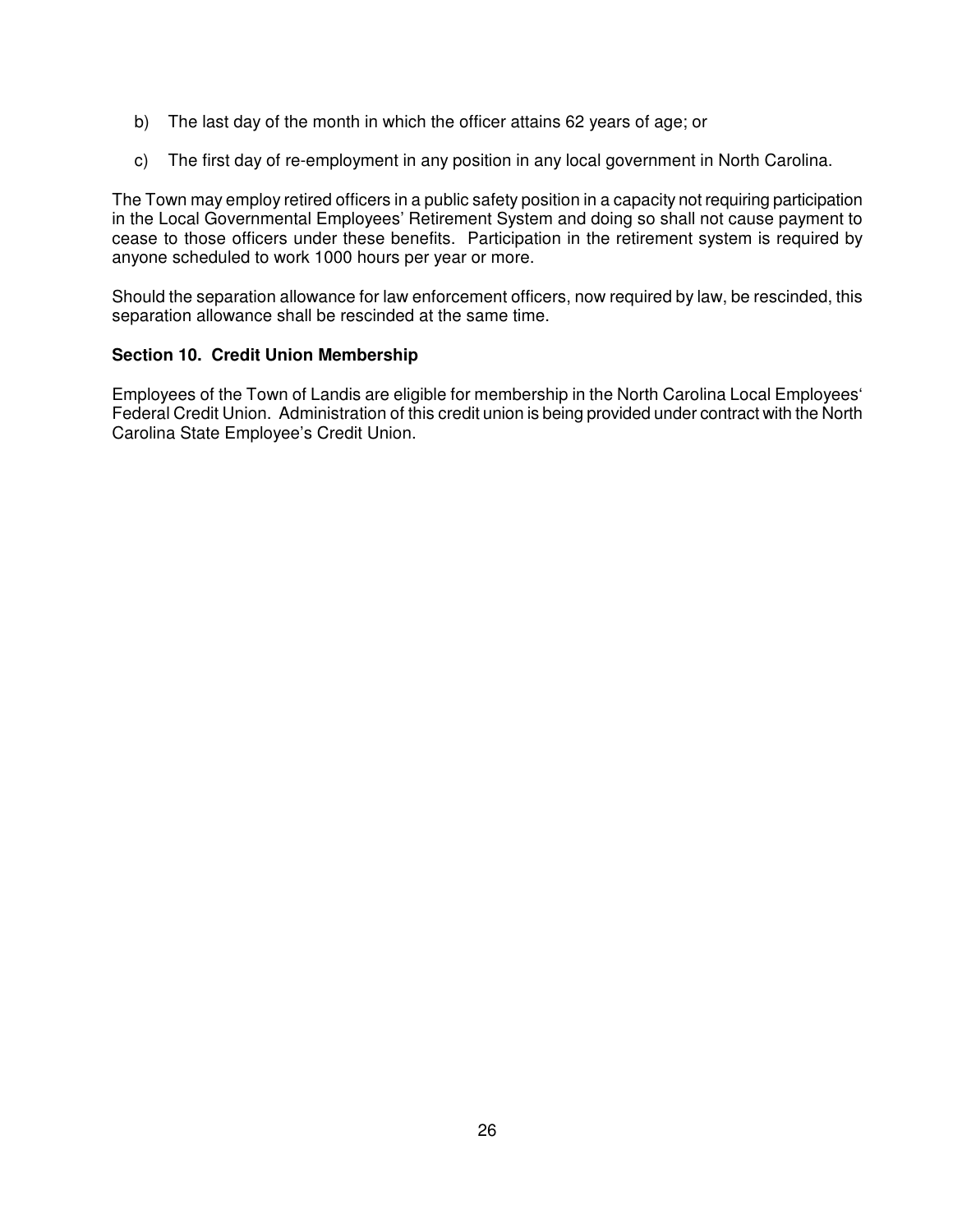- b) The last day of the month in which the officer attains 62 years of age; or
- c) The first day of re-employment in any position in any local government in North Carolina.

The Town may employ retired officers in a public safety position in a capacity not requiring participation in the Local Governmental Employees' Retirement System and doing so shall not cause payment to cease to those officers under these benefits. Participation in the retirement system is required by anyone scheduled to work 1000 hours per year or more.

Should the separation allowance for law enforcement officers, now required by law, be rescinded, this separation allowance shall be rescinded at the same time.

# **Section 10. Credit Union Membership**

Employees of the Town of Landis are eligible for membership in the North Carolina Local Employees' Federal Credit Union. Administration of this credit union is being provided under contract with the North Carolina State Employee's Credit Union.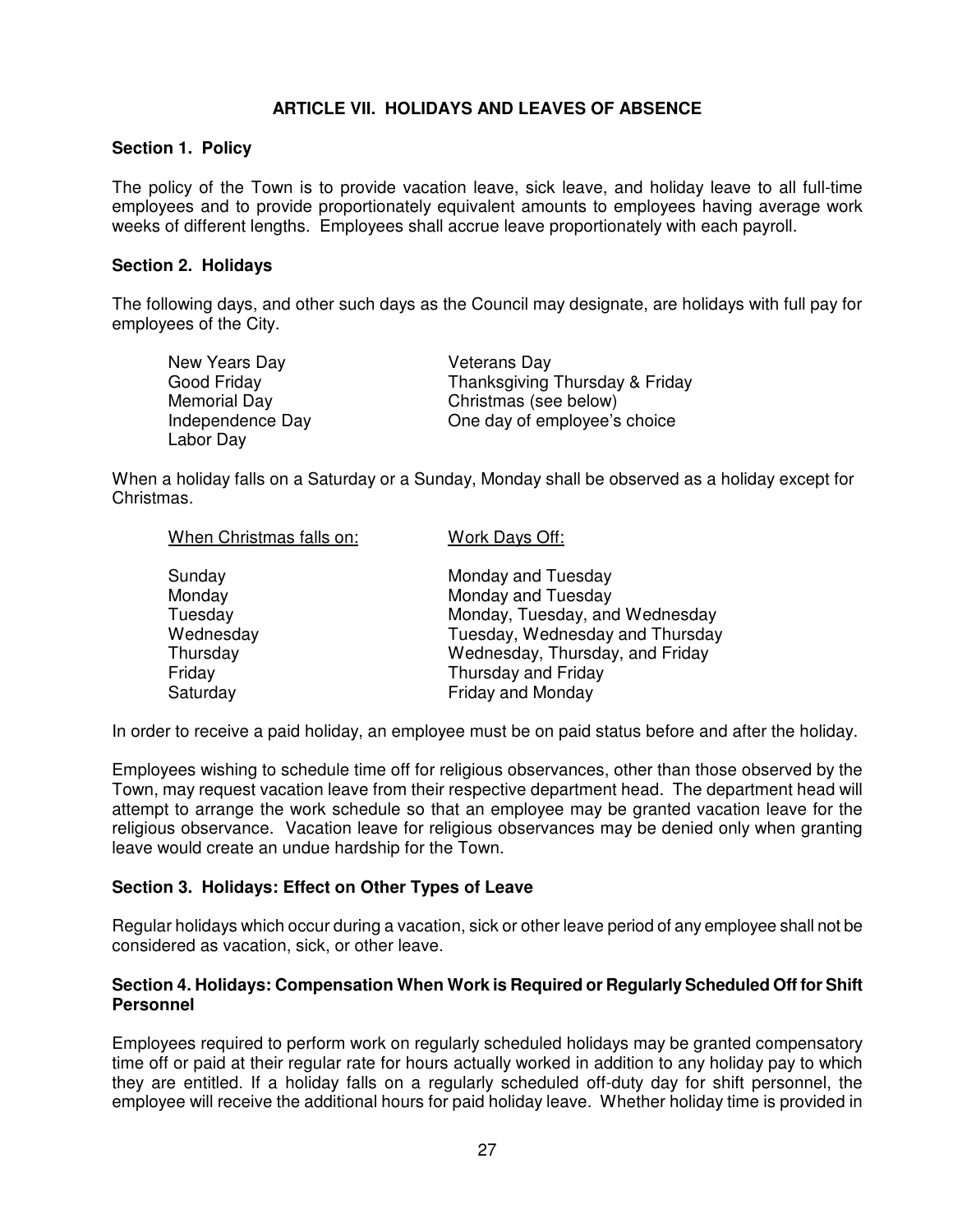# **ARTICLE VII. HOLIDAYS AND LEAVES OF ABSENCE**

#### **Section 1. Policy**

The policy of the Town is to provide vacation leave, sick leave, and holiday leave to all full-time employees and to provide proportionately equivalent amounts to employees having average work weeks of different lengths. Employees shall accrue leave proportionately with each payroll.

#### **Section 2. Holidays**

The following days, and other such days as the Council may designate, are holidays with full pay for employees of the City.

| New Years Day    | <b>Veterans Day</b>            |
|------------------|--------------------------------|
| Good Friday      | Thanksgiving Thursday & Friday |
| Memorial Day     | Christmas (see below)          |
| Independence Day | One day of employee's choice   |
| Labor Day        |                                |

When a holiday falls on a Saturday or a Sunday, Monday shall be observed as a holiday except for Christmas.

| Monday, Tuesday, and Wednesday  |
|---------------------------------|
| Tuesday, Wednesday and Thursday |
| Wednesday, Thursday, and Friday |
|                                 |
|                                 |
|                                 |

In order to receive a paid holiday, an employee must be on paid status before and after the holiday.

Employees wishing to schedule time off for religious observances, other than those observed by the Town, may request vacation leave from their respective department head. The department head will attempt to arrange the work schedule so that an employee may be granted vacation leave for the religious observance. Vacation leave for religious observances may be denied only when granting leave would create an undue hardship for the Town.

### **Section 3. Holidays: Effect on Other Types of Leave**

Regular holidays which occur during a vacation, sick or other leave period of any employee shall not be considered as vacation, sick, or other leave.

### **Section 4. Holidays: Compensation When Work is Required or Regularly Scheduled Off for Shift Personnel**

Employees required to perform work on regularly scheduled holidays may be granted compensatory time off or paid at their regular rate for hours actually worked in addition to any holiday pay to which they are entitled. If a holiday falls on a regularly scheduled off-duty day for shift personnel, the employee will receive the additional hours for paid holiday leave. Whether holiday time is provided in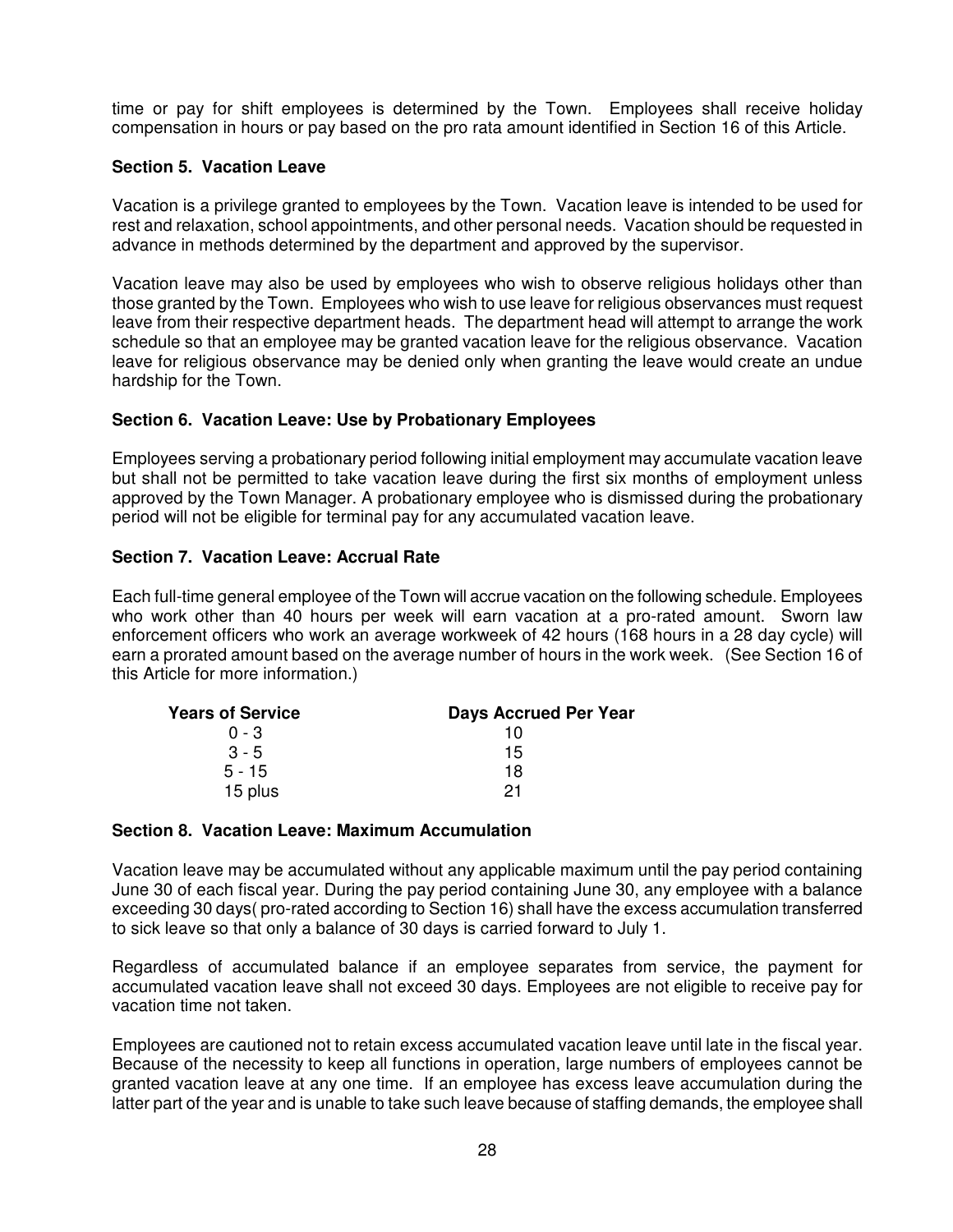time or pay for shift employees is determined by the Town. Employees shall receive holiday compensation in hours or pay based on the pro rata amount identified in Section 16 of this Article.

# **Section 5. Vacation Leave**

Vacation is a privilege granted to employees by the Town. Vacation leave is intended to be used for rest and relaxation, school appointments, and other personal needs. Vacation should be requested in advance in methods determined by the department and approved by the supervisor.

Vacation leave may also be used by employees who wish to observe religious holidays other than those granted by the Town. Employees who wish to use leave for religious observances must request leave from their respective department heads. The department head will attempt to arrange the work schedule so that an employee may be granted vacation leave for the religious observance. Vacation leave for religious observance may be denied only when granting the leave would create an undue hardship for the Town.

### **Section 6. Vacation Leave: Use by Probationary Employees**

Employees serving a probationary period following initial employment may accumulate vacation leave but shall not be permitted to take vacation leave during the first six months of employment unless approved by the Town Manager. A probationary employee who is dismissed during the probationary period will not be eligible for terminal pay for any accumulated vacation leave.

### **Section 7. Vacation Leave: Accrual Rate**

Each full-time general employee of the Town will accrue vacation on the following schedule. Employees who work other than 40 hours per week will earn vacation at a pro-rated amount. Sworn law enforcement officers who work an average workweek of 42 hours (168 hours in a 28 day cycle) will earn a prorated amount based on the average number of hours in the work week. (See Section 16 of this Article for more information.)

| <b>Years of Service</b> | Days Accrued Per Year |
|-------------------------|-----------------------|
| $0 - 3$                 | 10                    |
| $3 - 5$                 | 15                    |
| $5 - 15$                | 18                    |
| 15 plus                 | 21                    |

### **Section 8. Vacation Leave: Maximum Accumulation**

Vacation leave may be accumulated without any applicable maximum until the pay period containing June 30 of each fiscal year. During the pay period containing June 30, any employee with a balance exceeding 30 days( pro-rated according to Section 16) shall have the excess accumulation transferred to sick leave so that only a balance of 30 days is carried forward to July 1.

Regardless of accumulated balance if an employee separates from service, the payment for accumulated vacation leave shall not exceed 30 days. Employees are not eligible to receive pay for vacation time not taken.

Employees are cautioned not to retain excess accumulated vacation leave until late in the fiscal year. Because of the necessity to keep all functions in operation, large numbers of employees cannot be granted vacation leave at any one time. If an employee has excess leave accumulation during the latter part of the year and is unable to take such leave because of staffing demands, the employee shall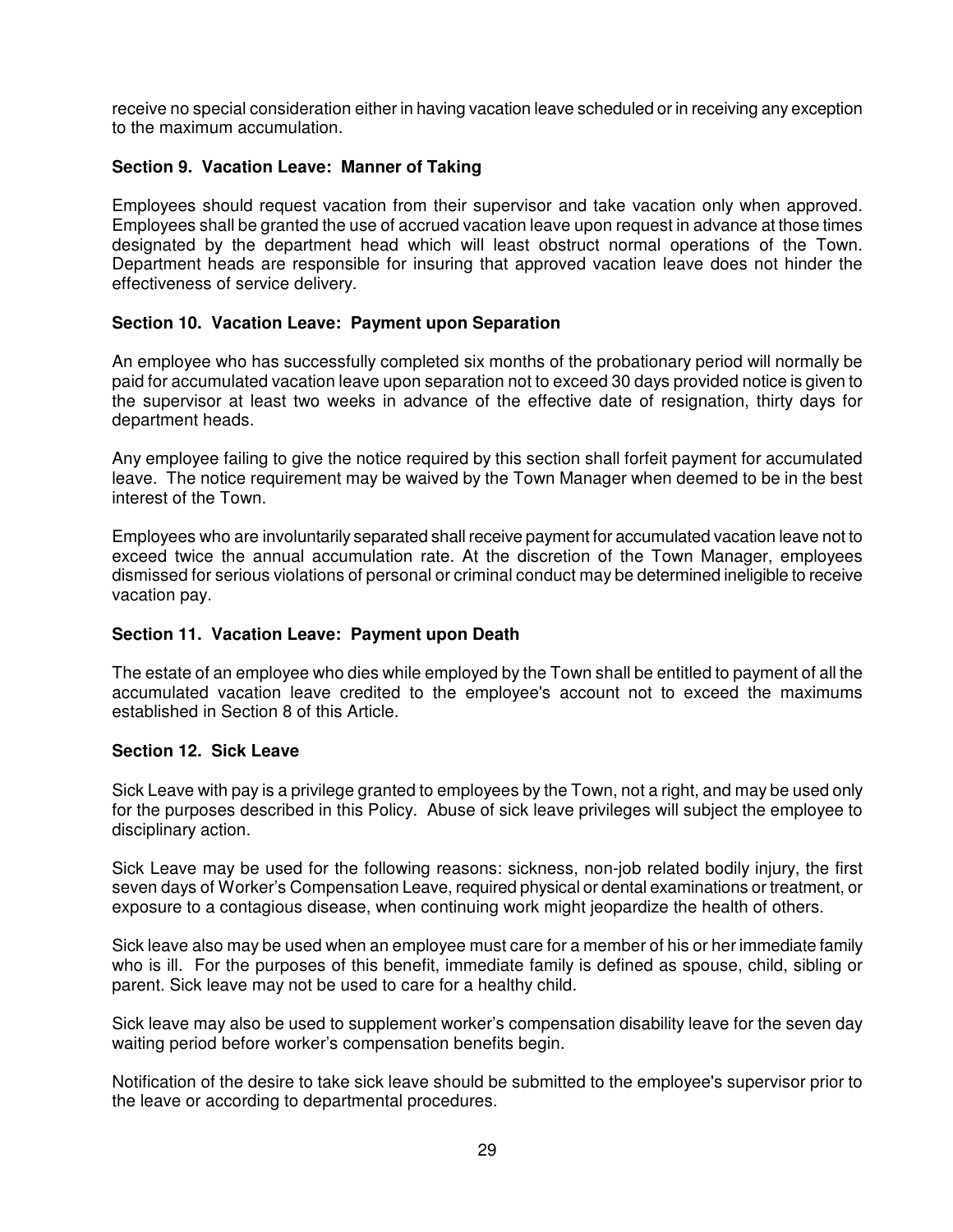receive no special consideration either in having vacation leave scheduled or in receiving any exception to the maximum accumulation.

# **Section 9. Vacation Leave: Manner of Taking**

Employees should request vacation from their supervisor and take vacation only when approved. Employees shall be granted the use of accrued vacation leave upon request in advance at those times designated by the department head which will least obstruct normal operations of the Town. Department heads are responsible for insuring that approved vacation leave does not hinder the effectiveness of service delivery.

# **Section 10. Vacation Leave: Payment upon Separation**

An employee who has successfully completed six months of the probationary period will normally be paid for accumulated vacation leave upon separation not to exceed 30 days provided notice is given to the supervisor at least two weeks in advance of the effective date of resignation, thirty days for department heads.

Any employee failing to give the notice required by this section shall forfeit payment for accumulated leave. The notice requirement may be waived by the Town Manager when deemed to be in the best interest of the Town.

Employees who are involuntarily separated shall receive payment for accumulated vacation leave not to exceed twice the annual accumulation rate. At the discretion of the Town Manager, employees dismissed for serious violations of personal or criminal conduct may be determined ineligible to receive vacation pay.

### **Section 11. Vacation Leave: Payment upon Death**

The estate of an employee who dies while employed by the Town shall be entitled to payment of all the accumulated vacation leave credited to the employee's account not to exceed the maximums established in Section 8 of this Article.

### **Section 12. Sick Leave**

Sick Leave with pay is a privilege granted to employees by the Town, not a right, and may be used only for the purposes described in this Policy. Abuse of sick leave privileges will subject the employee to disciplinary action.

Sick Leave may be used for the following reasons: sickness, non-job related bodily injury, the first seven days of Worker's Compensation Leave, required physical or dental examinations or treatment, or exposure to a contagious disease, when continuing work might jeopardize the health of others.

Sick leave also may be used when an employee must care for a member of his or her immediate family who is ill. For the purposes of this benefit, immediate family is defined as spouse, child, sibling or parent. Sick leave may not be used to care for a healthy child.

Sick leave may also be used to supplement worker's compensation disability leave for the seven day waiting period before worker's compensation benefits begin.

Notification of the desire to take sick leave should be submitted to the employee's supervisor prior to the leave or according to departmental procedures.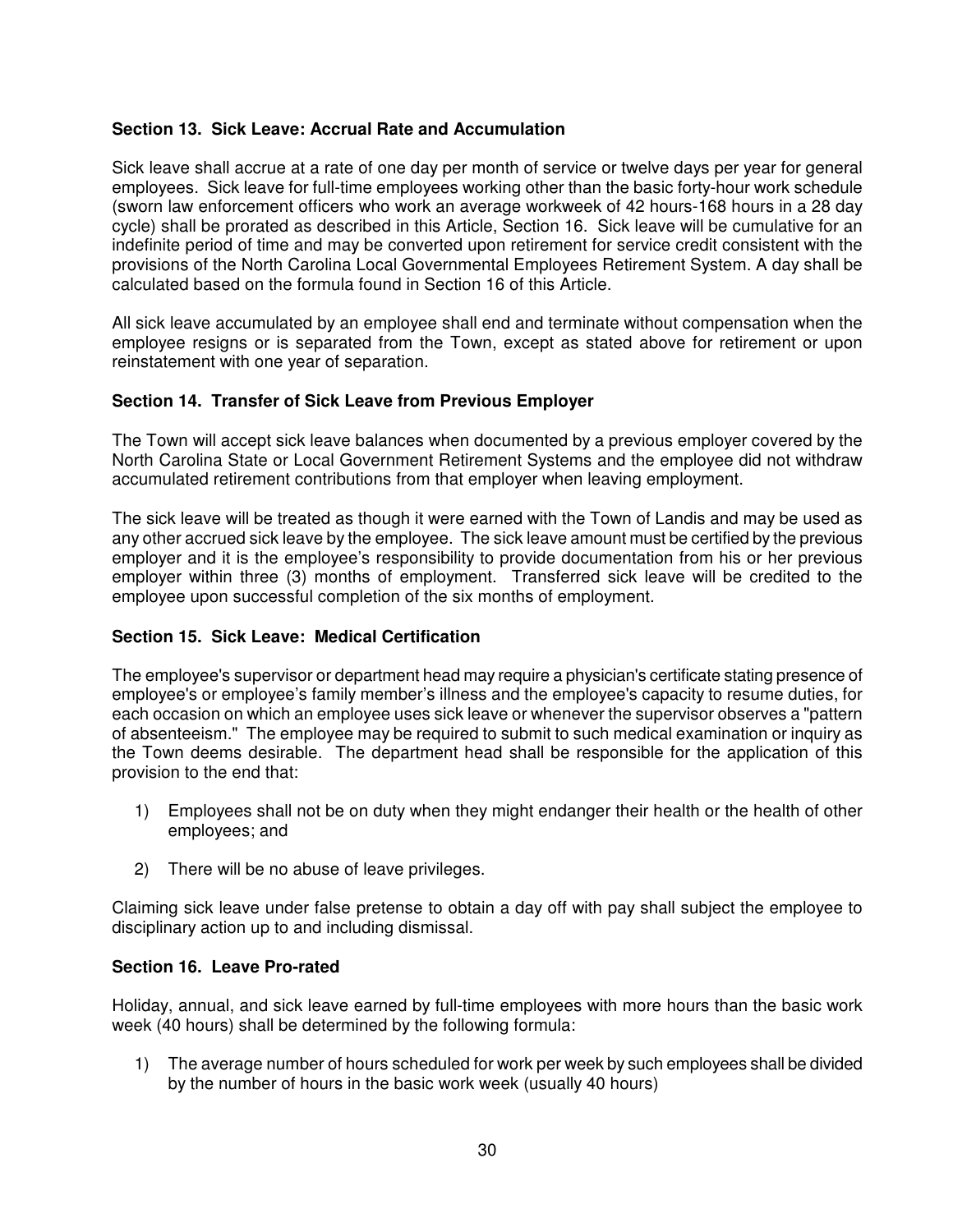# **Section 13. Sick Leave: Accrual Rate and Accumulation**

Sick leave shall accrue at a rate of one day per month of service or twelve days per year for general employees. Sick leave for full-time employees working other than the basic forty-hour work schedule (sworn law enforcement officers who work an average workweek of 42 hours-168 hours in a 28 day cycle) shall be prorated as described in this Article, Section 16. Sick leave will be cumulative for an indefinite period of time and may be converted upon retirement for service credit consistent with the provisions of the North Carolina Local Governmental Employees Retirement System. A day shall be calculated based on the formula found in Section 16 of this Article.

All sick leave accumulated by an employee shall end and terminate without compensation when the employee resigns or is separated from the Town, except as stated above for retirement or upon reinstatement with one year of separation.

### **Section 14. Transfer of Sick Leave from Previous Employer**

The Town will accept sick leave balances when documented by a previous employer covered by the North Carolina State or Local Government Retirement Systems and the employee did not withdraw accumulated retirement contributions from that employer when leaving employment.

The sick leave will be treated as though it were earned with the Town of Landis and may be used as any other accrued sick leave by the employee. The sick leave amount must be certified by the previous employer and it is the employee's responsibility to provide documentation from his or her previous employer within three (3) months of employment. Transferred sick leave will be credited to the employee upon successful completion of the six months of employment.

### **Section 15. Sick Leave: Medical Certification**

The employee's supervisor or department head may require a physician's certificate stating presence of employee's or employee's family member's illness and the employee's capacity to resume duties, for each occasion on which an employee uses sick leave or whenever the supervisor observes a "pattern of absenteeism." The employee may be required to submit to such medical examination or inquiry as the Town deems desirable. The department head shall be responsible for the application of this provision to the end that:

- 1) Employees shall not be on duty when they might endanger their health or the health of other employees; and
- 2) There will be no abuse of leave privileges.

Claiming sick leave under false pretense to obtain a day off with pay shall subject the employee to disciplinary action up to and including dismissal.

### **Section 16. Leave Pro-rated**

Holiday, annual, and sick leave earned by full-time employees with more hours than the basic work week (40 hours) shall be determined by the following formula:

1) The average number of hours scheduled for work per week by such employees shall be divided by the number of hours in the basic work week (usually 40 hours)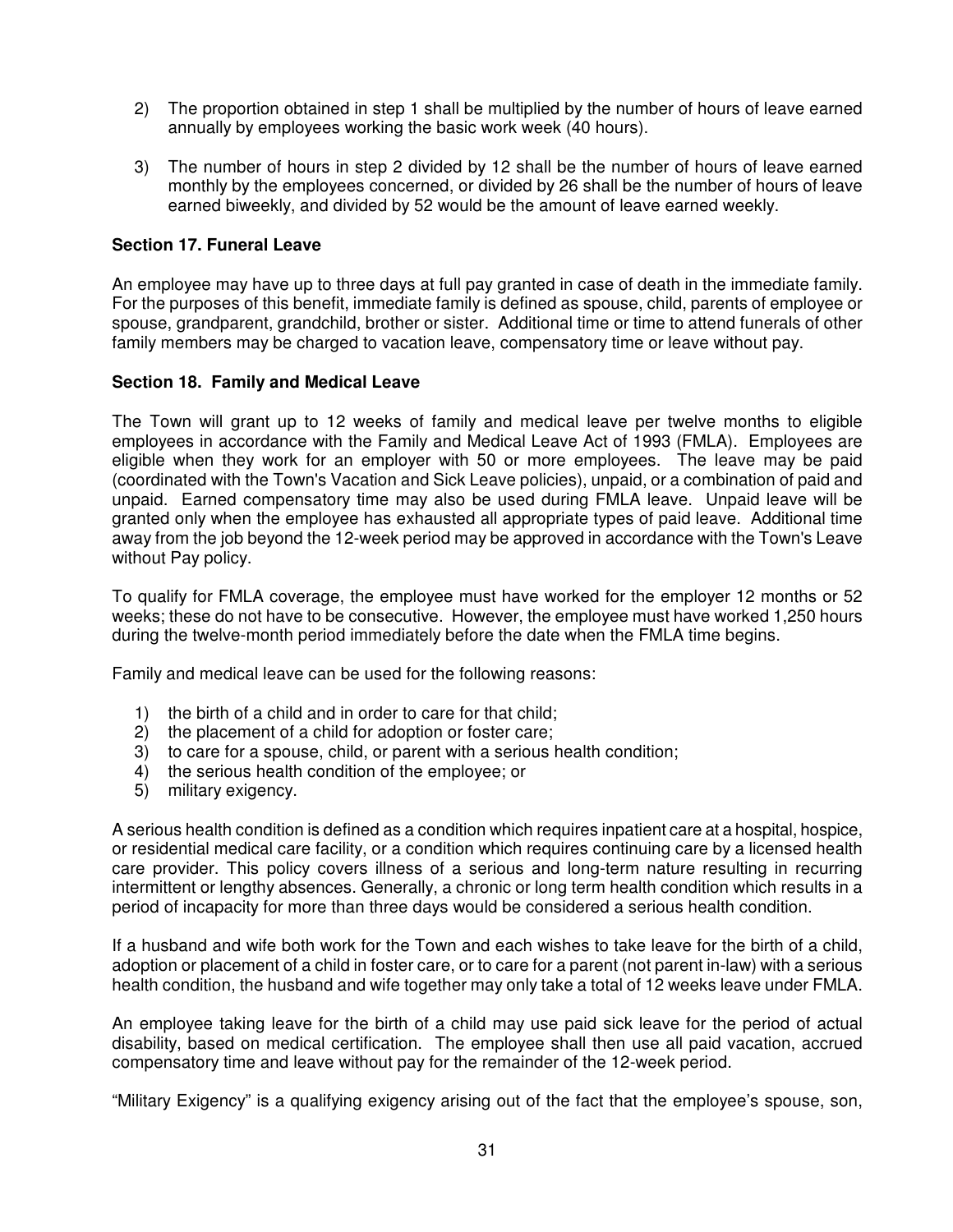- 2) The proportion obtained in step 1 shall be multiplied by the number of hours of leave earned annually by employees working the basic work week (40 hours).
- 3) The number of hours in step 2 divided by 12 shall be the number of hours of leave earned monthly by the employees concerned, or divided by 26 shall be the number of hours of leave earned biweekly, and divided by 52 would be the amount of leave earned weekly.

# **Section 17. Funeral Leave**

An employee may have up to three days at full pay granted in case of death in the immediate family. For the purposes of this benefit, immediate family is defined as spouse, child, parents of employee or spouse, grandparent, grandchild, brother or sister. Additional time or time to attend funerals of other family members may be charged to vacation leave, compensatory time or leave without pay.

### **Section 18. Family and Medical Leave**

The Town will grant up to 12 weeks of family and medical leave per twelve months to eligible employees in accordance with the Family and Medical Leave Act of 1993 (FMLA). Employees are eligible when they work for an employer with 50 or more employees. The leave may be paid (coordinated with the Town's Vacation and Sick Leave policies), unpaid, or a combination of paid and unpaid. Earned compensatory time may also be used during FMLA leave. Unpaid leave will be granted only when the employee has exhausted all appropriate types of paid leave. Additional time away from the job beyond the 12-week period may be approved in accordance with the Town's Leave without Pay policy.

To qualify for FMLA coverage, the employee must have worked for the employer 12 months or 52 weeks; these do not have to be consecutive. However, the employee must have worked 1,250 hours during the twelve-month period immediately before the date when the FMLA time begins.

Family and medical leave can be used for the following reasons:

- 1) the birth of a child and in order to care for that child;
- 2) the placement of a child for adoption or foster care;
- 3) to care for a spouse, child, or parent with a serious health condition;
- 4) the serious health condition of the employee; or
- 5) military exigency.

A serious health condition is defined as a condition which requires inpatient care at a hospital, hospice, or residential medical care facility, or a condition which requires continuing care by a licensed health care provider. This policy covers illness of a serious and long-term nature resulting in recurring intermittent or lengthy absences. Generally, a chronic or long term health condition which results in a period of incapacity for more than three days would be considered a serious health condition.

If a husband and wife both work for the Town and each wishes to take leave for the birth of a child, adoption or placement of a child in foster care, or to care for a parent (not parent in-law) with a serious health condition, the husband and wife together may only take a total of 12 weeks leave under FMLA.

An employee taking leave for the birth of a child may use paid sick leave for the period of actual disability, based on medical certification. The employee shall then use all paid vacation, accrued compensatory time and leave without pay for the remainder of the 12-week period.

"Military Exigency" is a qualifying exigency arising out of the fact that the employee's spouse, son,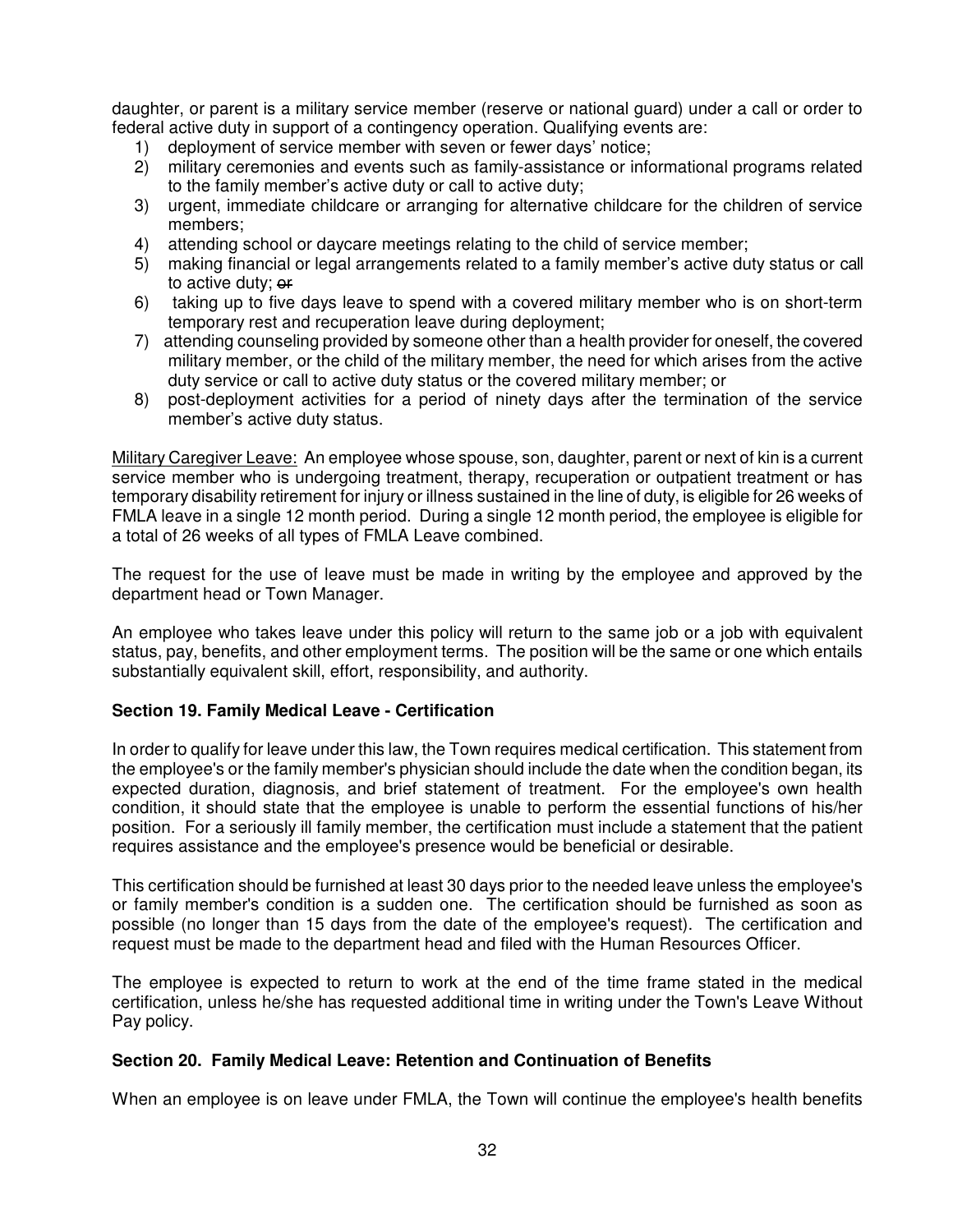daughter, or parent is a military service member (reserve or national guard) under a call or order to federal active duty in support of a contingency operation. Qualifying events are:

- 1) deployment of service member with seven or fewer days' notice;
- 2) military ceremonies and events such as family-assistance or informational programs related to the family member's active duty or call to active duty;
- 3) urgent, immediate childcare or arranging for alternative childcare for the children of service members;
- 4) attending school or daycare meetings relating to the child of service member;
- 5) making financial or legal arrangements related to a family member's active duty status or call to active duty; or
- 6) taking up to five days leave to spend with a covered military member who is on short-term temporary rest and recuperation leave during deployment;
- 7) attending counseling provided by someone other than a health provider for oneself, the covered military member, or the child of the military member, the need for which arises from the active duty service or call to active duty status or the covered military member; or
- 8) post-deployment activities for a period of ninety days after the termination of the service member's active duty status.

Military Caregiver Leave: An employee whose spouse, son, daughter, parent or next of kin is a current service member who is undergoing treatment, therapy, recuperation or outpatient treatment or has temporary disability retirement for injury or illness sustained in the line of duty, is eligible for 26 weeks of FMLA leave in a single 12 month period. During a single 12 month period, the employee is eligible for a total of 26 weeks of all types of FMLA Leave combined.

The request for the use of leave must be made in writing by the employee and approved by the department head or Town Manager.

An employee who takes leave under this policy will return to the same job or a job with equivalent status, pay, benefits, and other employment terms. The position will be the same or one which entails substantially equivalent skill, effort, responsibility, and authority.

### **Section 19. Family Medical Leave - Certification**

In order to qualify for leave under this law, the Town requires medical certification. This statement from the employee's or the family member's physician should include the date when the condition began, its expected duration, diagnosis, and brief statement of treatment. For the employee's own health condition, it should state that the employee is unable to perform the essential functions of his/her position. For a seriously ill family member, the certification must include a statement that the patient requires assistance and the employee's presence would be beneficial or desirable.

This certification should be furnished at least 30 days prior to the needed leave unless the employee's or family member's condition is a sudden one. The certification should be furnished as soon as possible (no longer than 15 days from the date of the employee's request). The certification and request must be made to the department head and filed with the Human Resources Officer.

The employee is expected to return to work at the end of the time frame stated in the medical certification, unless he/she has requested additional time in writing under the Town's Leave Without Pay policy.

### **Section 20. Family Medical Leave: Retention and Continuation of Benefits**

When an employee is on leave under FMLA, the Town will continue the employee's health benefits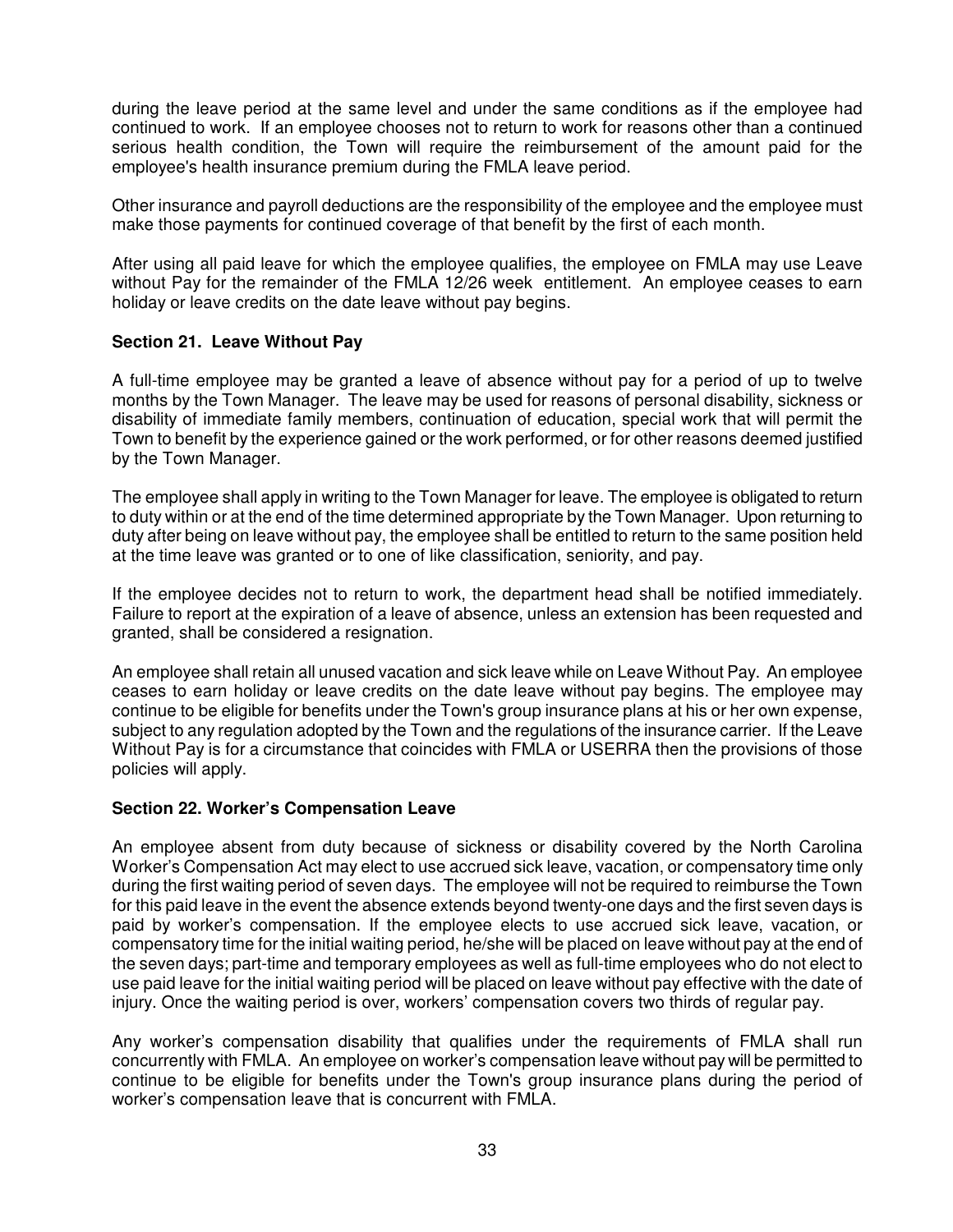during the leave period at the same level and under the same conditions as if the employee had continued to work. If an employee chooses not to return to work for reasons other than a continued serious health condition, the Town will require the reimbursement of the amount paid for the employee's health insurance premium during the FMLA leave period.

Other insurance and payroll deductions are the responsibility of the employee and the employee must make those payments for continued coverage of that benefit by the first of each month.

After using all paid leave for which the employee qualifies, the employee on FMLA may use Leave without Pay for the remainder of the FMLA 12/26 week entitlement. An employee ceases to earn holiday or leave credits on the date leave without pay begins.

### **Section 21. Leave Without Pay**

A full-time employee may be granted a leave of absence without pay for a period of up to twelve months by the Town Manager. The leave may be used for reasons of personal disability, sickness or disability of immediate family members, continuation of education, special work that will permit the Town to benefit by the experience gained or the work performed, or for other reasons deemed justified by the Town Manager.

The employee shall apply in writing to the Town Manager for leave. The employee is obligated to return to duty within or at the end of the time determined appropriate by the Town Manager. Upon returning to duty after being on leave without pay, the employee shall be entitled to return to the same position held at the time leave was granted or to one of like classification, seniority, and pay.

If the employee decides not to return to work, the department head shall be notified immediately. Failure to report at the expiration of a leave of absence, unless an extension has been requested and granted, shall be considered a resignation.

An employee shall retain all unused vacation and sick leave while on Leave Without Pay. An employee ceases to earn holiday or leave credits on the date leave without pay begins. The employee may continue to be eligible for benefits under the Town's group insurance plans at his or her own expense, subject to any regulation adopted by the Town and the regulations of the insurance carrier. If the Leave Without Pay is for a circumstance that coincides with FMLA or USERRA then the provisions of those policies will apply.

### **Section 22. Worker's Compensation Leave**

An employee absent from duty because of sickness or disability covered by the North Carolina Worker's Compensation Act may elect to use accrued sick leave, vacation, or compensatory time only during the first waiting period of seven days. The employee will not be required to reimburse the Town for this paid leave in the event the absence extends beyond twenty-one days and the first seven days is paid by worker's compensation. If the employee elects to use accrued sick leave, vacation, or compensatory time for the initial waiting period, he/she will be placed on leave without pay at the end of the seven days; part-time and temporary employees as well as full-time employees who do not elect to use paid leave for the initial waiting period will be placed on leave without pay effective with the date of injury. Once the waiting period is over, workers' compensation covers two thirds of regular pay.

Any worker's compensation disability that qualifies under the requirements of FMLA shall run concurrently with FMLA. An employee on worker's compensation leave without pay will be permitted to continue to be eligible for benefits under the Town's group insurance plans during the period of worker's compensation leave that is concurrent with FMLA.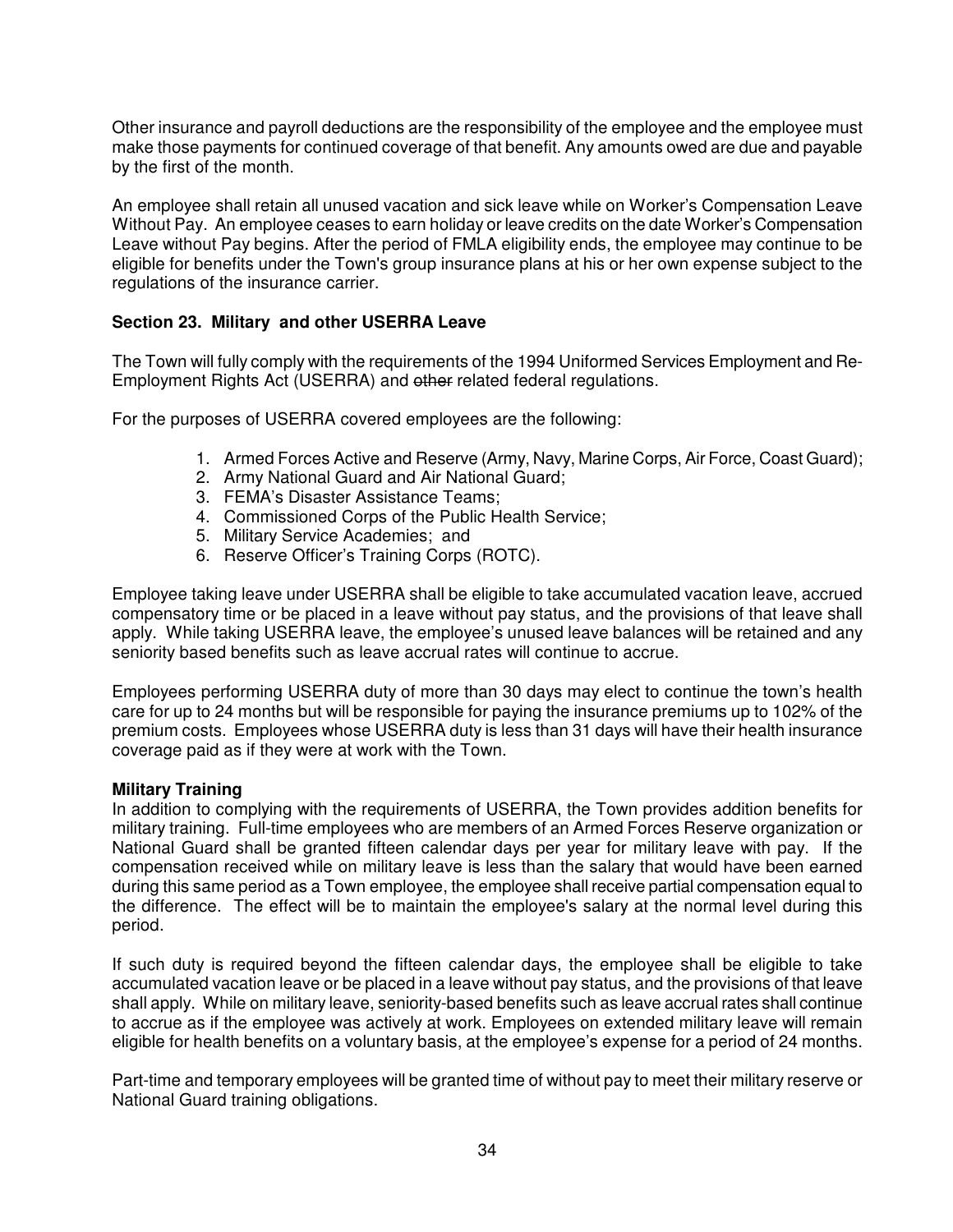Other insurance and payroll deductions are the responsibility of the employee and the employee must make those payments for continued coverage of that benefit. Any amounts owed are due and payable by the first of the month.

An employee shall retain all unused vacation and sick leave while on Worker's Compensation Leave Without Pay. An employee ceases to earn holiday or leave credits on the date Worker's Compensation Leave without Pay begins. After the period of FMLA eligibility ends, the employee may continue to be eligible for benefits under the Town's group insurance plans at his or her own expense subject to the regulations of the insurance carrier.

# **Section 23. Military and other USERRA Leave**

The Town will fully comply with the requirements of the 1994 Uniformed Services Employment and Re-Employment Rights Act (USERRA) and other related federal regulations.

For the purposes of USERRA covered employees are the following:

- 1. Armed Forces Active and Reserve (Army, Navy, Marine Corps, Air Force, Coast Guard);
- 2. Army National Guard and Air National Guard;
- 3. FEMA's Disaster Assistance Teams;
- 4. Commissioned Corps of the Public Health Service;
- 5. Military Service Academies; and
- 6. Reserve Officer's Training Corps (ROTC).

Employee taking leave under USERRA shall be eligible to take accumulated vacation leave, accrued compensatory time or be placed in a leave without pay status, and the provisions of that leave shall apply. While taking USERRA leave, the employee's unused leave balances will be retained and any seniority based benefits such as leave accrual rates will continue to accrue.

Employees performing USERRA duty of more than 30 days may elect to continue the town's health care for up to 24 months but will be responsible for paying the insurance premiums up to 102% of the premium costs. Employees whose USERRA duty is less than 31 days will have their health insurance coverage paid as if they were at work with the Town.

### **Military Training**

In addition to complying with the requirements of USERRA, the Town provides addition benefits for military training. Full-time employees who are members of an Armed Forces Reserve organization or National Guard shall be granted fifteen calendar days per year for military leave with pay. If the compensation received while on military leave is less than the salary that would have been earned during this same period as a Town employee, the employee shall receive partial compensation equal to the difference. The effect will be to maintain the employee's salary at the normal level during this period.

If such duty is required beyond the fifteen calendar days, the employee shall be eligible to take accumulated vacation leave or be placed in a leave without pay status, and the provisions of that leave shall apply. While on military leave, seniority-based benefits such as leave accrual rates shall continue to accrue as if the employee was actively at work. Employees on extended military leave will remain eligible for health benefits on a voluntary basis, at the employee's expense for a period of 24 months.

Part-time and temporary employees will be granted time of without pay to meet their military reserve or National Guard training obligations.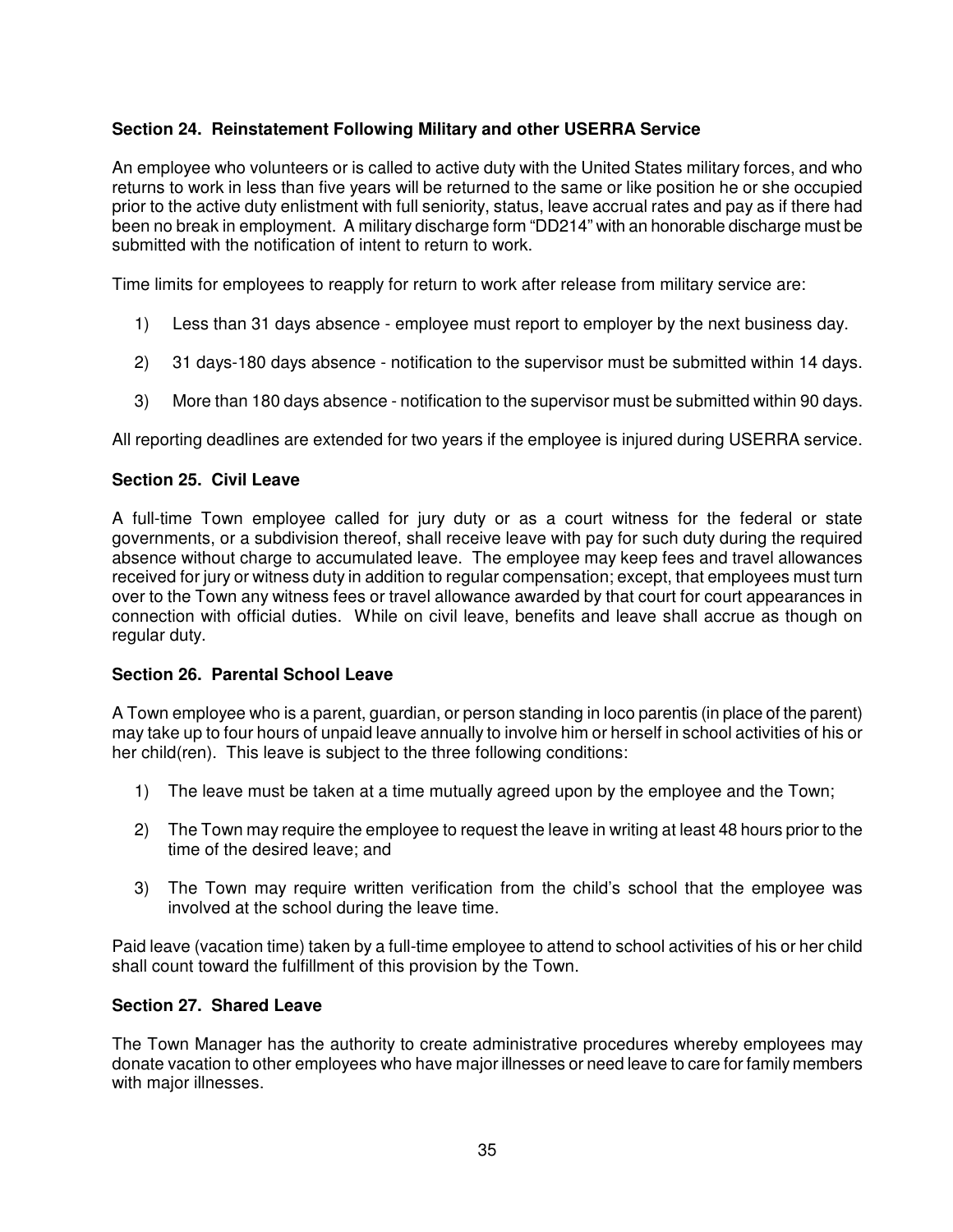# **Section 24. Reinstatement Following Military and other USERRA Service**

An employee who volunteers or is called to active duty with the United States military forces, and who returns to work in less than five years will be returned to the same or like position he or she occupied prior to the active duty enlistment with full seniority, status, leave accrual rates and pay as if there had been no break in employment. A military discharge form "DD214" with an honorable discharge must be submitted with the notification of intent to return to work.

Time limits for employees to reapply for return to work after release from military service are:

- 1) Less than 31 days absence employee must report to employer by the next business day.
- 2) 31 days-180 days absence notification to the supervisor must be submitted within 14 days.
- 3) More than 180 days absence notification to the supervisor must be submitted within 90 days.

All reporting deadlines are extended for two years if the employee is injured during USERRA service.

# **Section 25. Civil Leave**

A full-time Town employee called for jury duty or as a court witness for the federal or state governments, or a subdivision thereof, shall receive leave with pay for such duty during the required absence without charge to accumulated leave. The employee may keep fees and travel allowances received for jury or witness duty in addition to regular compensation; except, that employees must turn over to the Town any witness fees or travel allowance awarded by that court for court appearances in connection with official duties. While on civil leave, benefits and leave shall accrue as though on regular duty.

### **Section 26. Parental School Leave**

A Town employee who is a parent, guardian, or person standing in loco parentis (in place of the parent) may take up to four hours of unpaid leave annually to involve him or herself in school activities of his or her child(ren). This leave is subject to the three following conditions:

- 1) The leave must be taken at a time mutually agreed upon by the employee and the Town;
- 2) The Town may require the employee to request the leave in writing at least 48 hours prior to the time of the desired leave; and
- 3) The Town may require written verification from the child's school that the employee was involved at the school during the leave time.

Paid leave (vacation time) taken by a full-time employee to attend to school activities of his or her child shall count toward the fulfillment of this provision by the Town.

# **Section 27. Shared Leave**

The Town Manager has the authority to create administrative procedures whereby employees may donate vacation to other employees who have major illnesses or need leave to care for family members with major illnesses.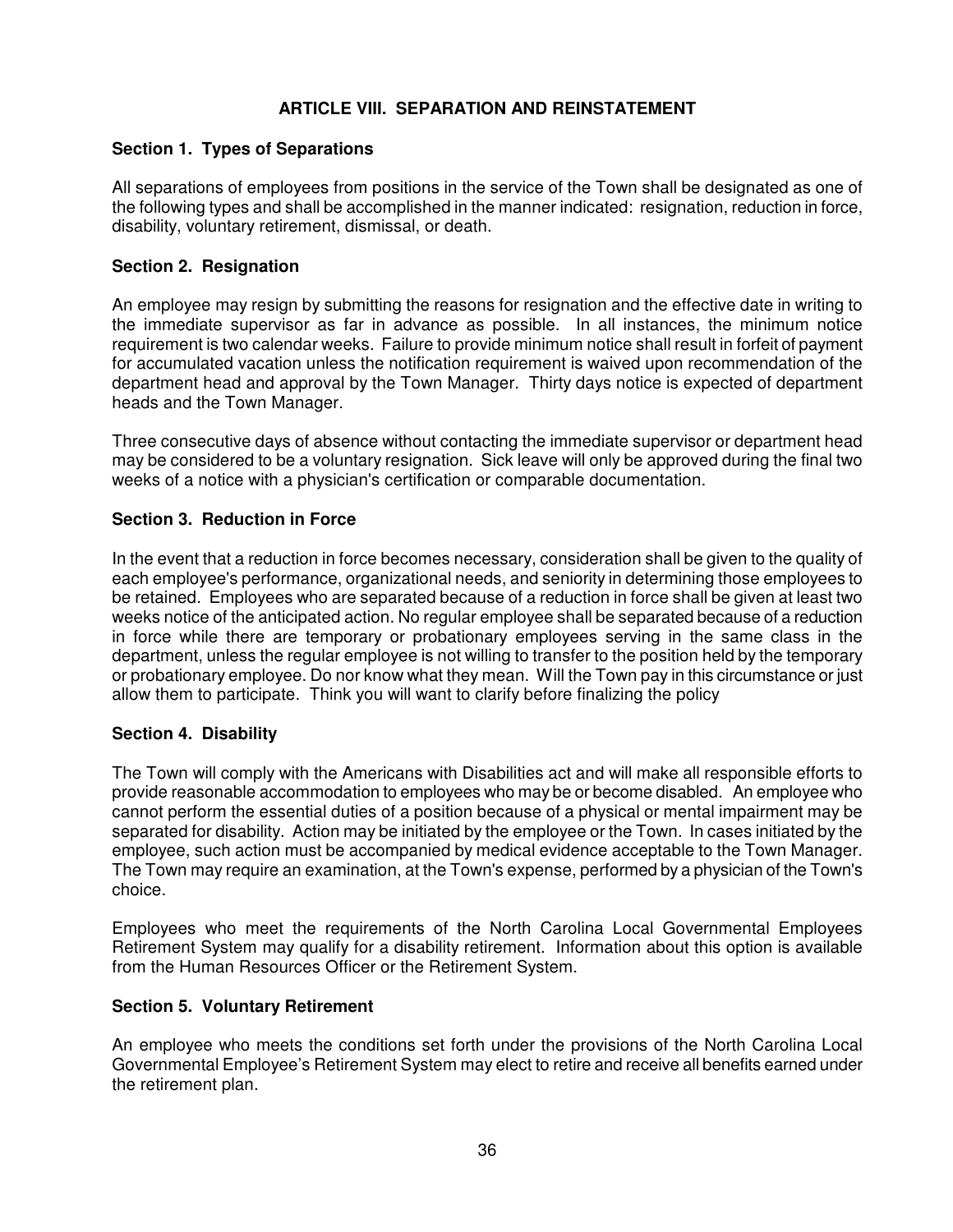# **ARTICLE VIII. SEPARATION AND REINSTATEMENT**

# **Section 1. Types of Separations**

All separations of employees from positions in the service of the Town shall be designated as one of the following types and shall be accomplished in the manner indicated: resignation, reduction in force, disability, voluntary retirement, dismissal, or death.

### **Section 2. Resignation**

An employee may resign by submitting the reasons for resignation and the effective date in writing to the immediate supervisor as far in advance as possible. In all instances, the minimum notice requirement is two calendar weeks. Failure to provide minimum notice shall result in forfeit of payment for accumulated vacation unless the notification requirement is waived upon recommendation of the department head and approval by the Town Manager. Thirty days notice is expected of department heads and the Town Manager.

Three consecutive days of absence without contacting the immediate supervisor or department head may be considered to be a voluntary resignation. Sick leave will only be approved during the final two weeks of a notice with a physician's certification or comparable documentation.

### **Section 3. Reduction in Force**

In the event that a reduction in force becomes necessary, consideration shall be given to the quality of each employee's performance, organizational needs, and seniority in determining those employees to be retained. Employees who are separated because of a reduction in force shall be given at least two weeks notice of the anticipated action. No regular employee shall be separated because of a reduction in force while there are temporary or probationary employees serving in the same class in the department, unless the regular employee is not willing to transfer to the position held by the temporary or probationary employee. Do nor know what they mean. Will the Town pay in this circumstance or just allow them to participate. Think you will want to clarify before finalizing the policy

### **Section 4. Disability**

The Town will comply with the Americans with Disabilities act and will make all responsible efforts to provide reasonable accommodation to employees who may be or become disabled. An employee who cannot perform the essential duties of a position because of a physical or mental impairment may be separated for disability. Action may be initiated by the employee or the Town. In cases initiated by the employee, such action must be accompanied by medical evidence acceptable to the Town Manager. The Town may require an examination, at the Town's expense, performed by a physician of the Town's choice.

Employees who meet the requirements of the North Carolina Local Governmental Employees Retirement System may qualify for a disability retirement. Information about this option is available from the Human Resources Officer or the Retirement System.

# **Section 5. Voluntary Retirement**

An employee who meets the conditions set forth under the provisions of the North Carolina Local Governmental Employee's Retirement System may elect to retire and receive all benefits earned under the retirement plan.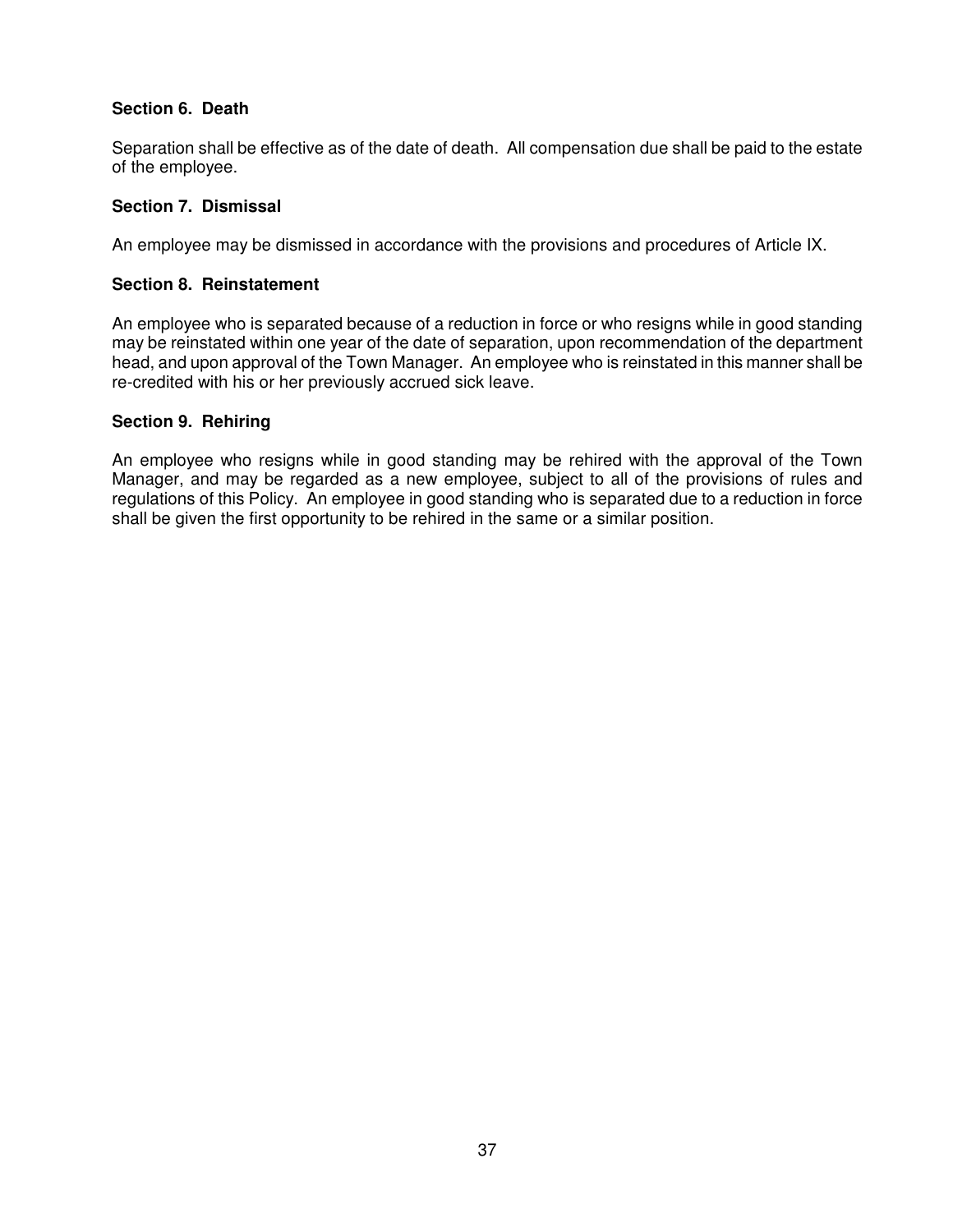# **Section 6. Death**

Separation shall be effective as of the date of death. All compensation due shall be paid to the estate of the employee.

# **Section 7. Dismissal**

An employee may be dismissed in accordance with the provisions and procedures of Article IX.

### **Section 8. Reinstatement**

An employee who is separated because of a reduction in force or who resigns while in good standing may be reinstated within one year of the date of separation, upon recommendation of the department head, and upon approval of the Town Manager. An employee who is reinstated in this manner shall be re-credited with his or her previously accrued sick leave.

### **Section 9. Rehiring**

An employee who resigns while in good standing may be rehired with the approval of the Town Manager, and may be regarded as a new employee, subject to all of the provisions of rules and regulations of this Policy. An employee in good standing who is separated due to a reduction in force shall be given the first opportunity to be rehired in the same or a similar position.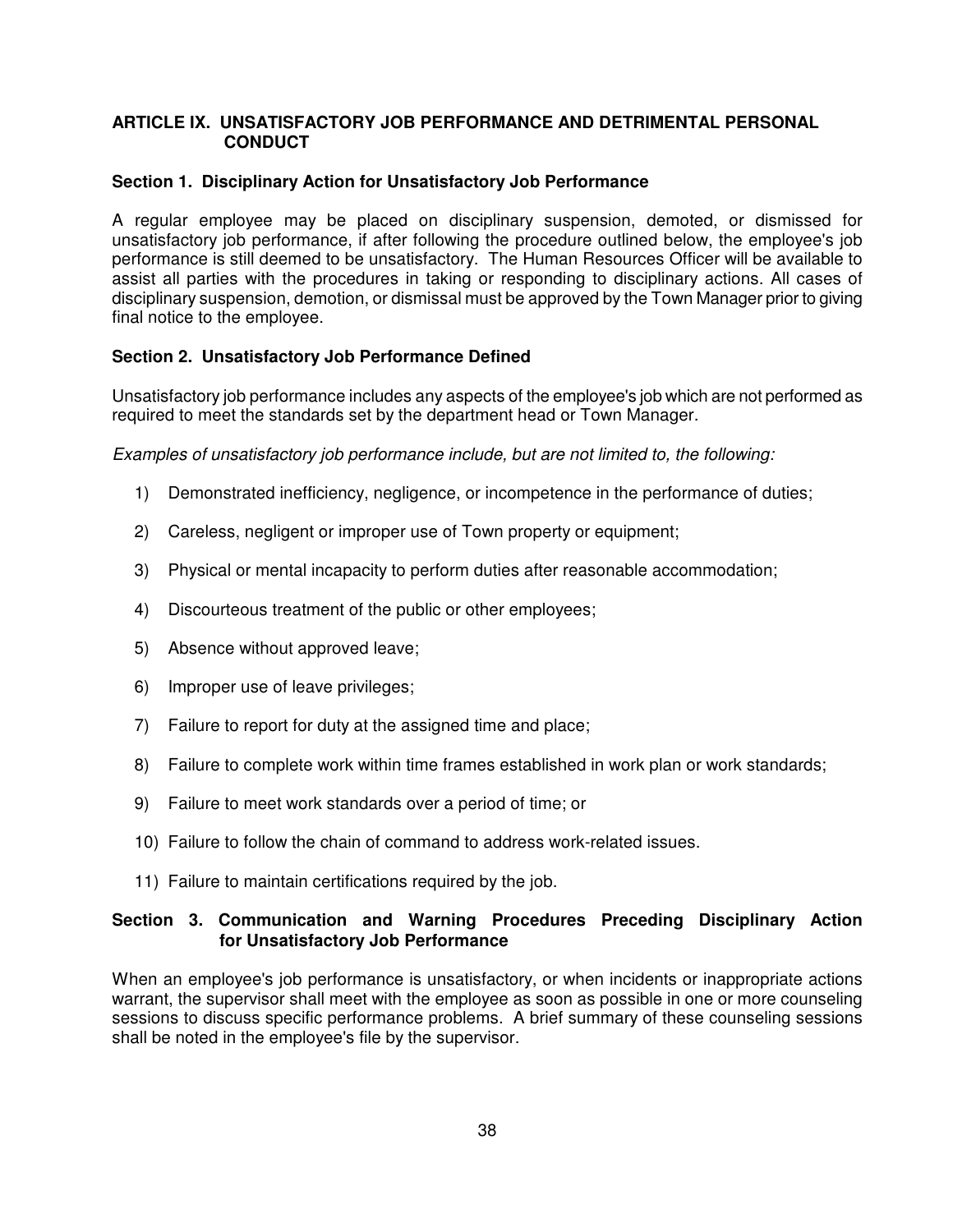# **ARTICLE IX. UNSATISFACTORY JOB PERFORMANCE AND DETRIMENTAL PERSONAL CONDUCT**

### **Section 1. Disciplinary Action for Unsatisfactory Job Performance**

A regular employee may be placed on disciplinary suspension, demoted, or dismissed for unsatisfactory job performance, if after following the procedure outlined below, the employee's job performance is still deemed to be unsatisfactory. The Human Resources Officer will be available to assist all parties with the procedures in taking or responding to disciplinary actions. All cases of disciplinary suspension, demotion, or dismissal must be approved by the Town Manager prior to giving final notice to the employee.

# **Section 2. Unsatisfactory Job Performance Defined**

Unsatisfactory job performance includes any aspects of the employee's job which are not performed as required to meet the standards set by the department head or Town Manager.

Examples of unsatisfactory job performance include, but are not limited to, the following:

- 1) Demonstrated inefficiency, negligence, or incompetence in the performance of duties;
- 2) Careless, negligent or improper use of Town property or equipment;
- 3) Physical or mental incapacity to perform duties after reasonable accommodation;
- 4) Discourteous treatment of the public or other employees;
- 5) Absence without approved leave;
- 6) Improper use of leave privileges;
- 7) Failure to report for duty at the assigned time and place;
- 8) Failure to complete work within time frames established in work plan or work standards;
- 9) Failure to meet work standards over a period of time; or
- 10) Failure to follow the chain of command to address work-related issues.
- 11) Failure to maintain certifications required by the job.

### **Section 3. Communication and Warning Procedures Preceding Disciplinary Action for Unsatisfactory Job Performance**

When an employee's job performance is unsatisfactory, or when incidents or inappropriate actions warrant, the supervisor shall meet with the employee as soon as possible in one or more counseling sessions to discuss specific performance problems. A brief summary of these counseling sessions shall be noted in the employee's file by the supervisor.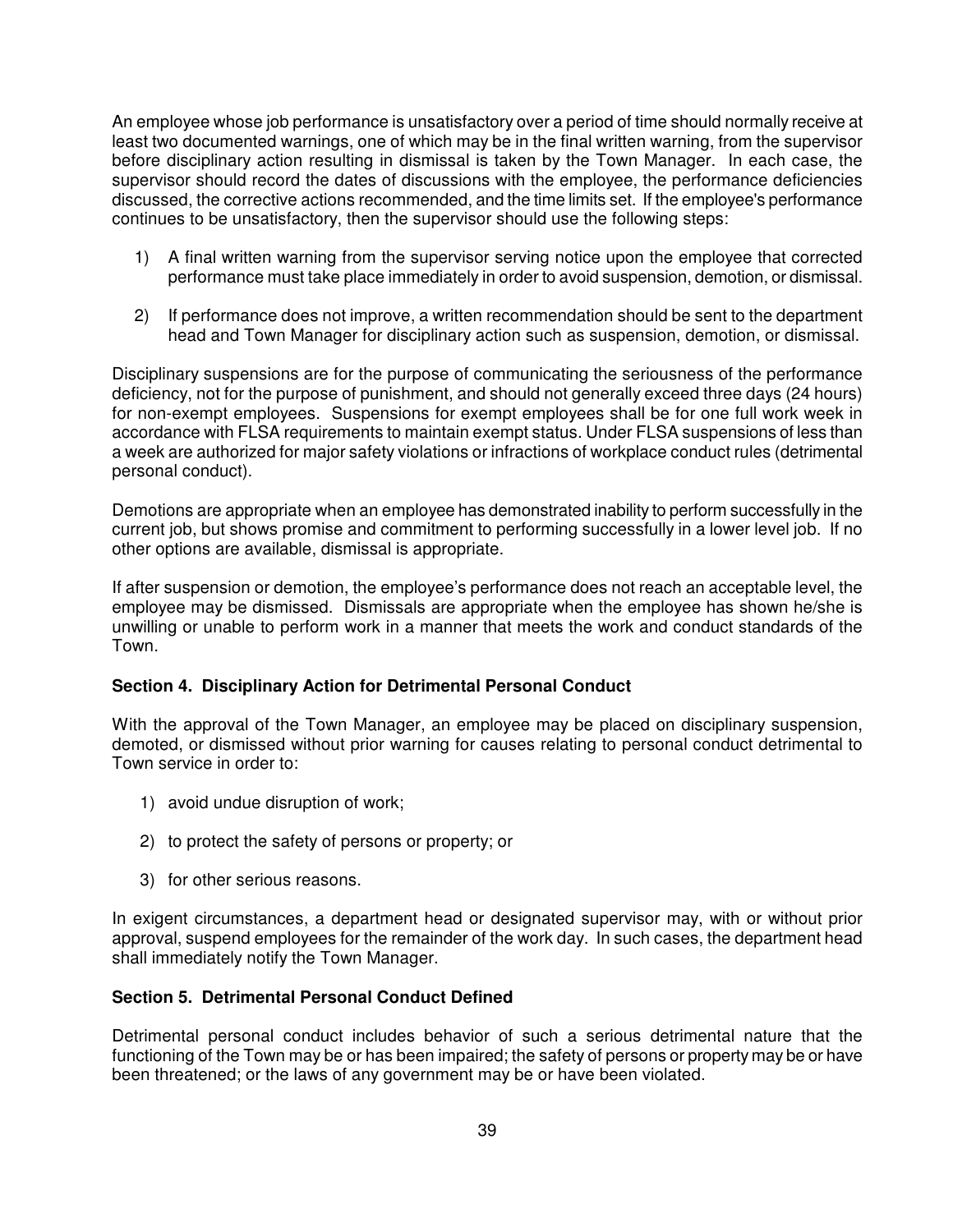An employee whose job performance is unsatisfactory over a period of time should normally receive at least two documented warnings, one of which may be in the final written warning, from the supervisor before disciplinary action resulting in dismissal is taken by the Town Manager. In each case, the supervisor should record the dates of discussions with the employee, the performance deficiencies discussed, the corrective actions recommended, and the time limits set. If the employee's performance continues to be unsatisfactory, then the supervisor should use the following steps:

- 1) A final written warning from the supervisor serving notice upon the employee that corrected performance must take place immediately in order to avoid suspension, demotion, or dismissal.
- 2) If performance does not improve, a written recommendation should be sent to the department head and Town Manager for disciplinary action such as suspension, demotion, or dismissal.

Disciplinary suspensions are for the purpose of communicating the seriousness of the performance deficiency, not for the purpose of punishment, and should not generally exceed three days (24 hours) for non-exempt employees. Suspensions for exempt employees shall be for one full work week in accordance with FLSA requirements to maintain exempt status. Under FLSA suspensions of less than a week are authorized for major safety violations or infractions of workplace conduct rules (detrimental personal conduct).

Demotions are appropriate when an employee has demonstrated inability to perform successfully in the current job, but shows promise and commitment to performing successfully in a lower level job. If no other options are available, dismissal is appropriate.

If after suspension or demotion, the employee's performance does not reach an acceptable level, the employee may be dismissed. Dismissals are appropriate when the employee has shown he/she is unwilling or unable to perform work in a manner that meets the work and conduct standards of the Town.

### **Section 4. Disciplinary Action for Detrimental Personal Conduct**

With the approval of the Town Manager, an employee may be placed on disciplinary suspension, demoted, or dismissed without prior warning for causes relating to personal conduct detrimental to Town service in order to:

- 1) avoid undue disruption of work;
- 2) to protect the safety of persons or property; or
- 3) for other serious reasons.

In exigent circumstances, a department head or designated supervisor may, with or without prior approval, suspend employees for the remainder of the work day. In such cases, the department head shall immediately notify the Town Manager.

### **Section 5. Detrimental Personal Conduct Defined**

Detrimental personal conduct includes behavior of such a serious detrimental nature that the functioning of the Town may be or has been impaired; the safety of persons or property may be or have been threatened; or the laws of any government may be or have been violated.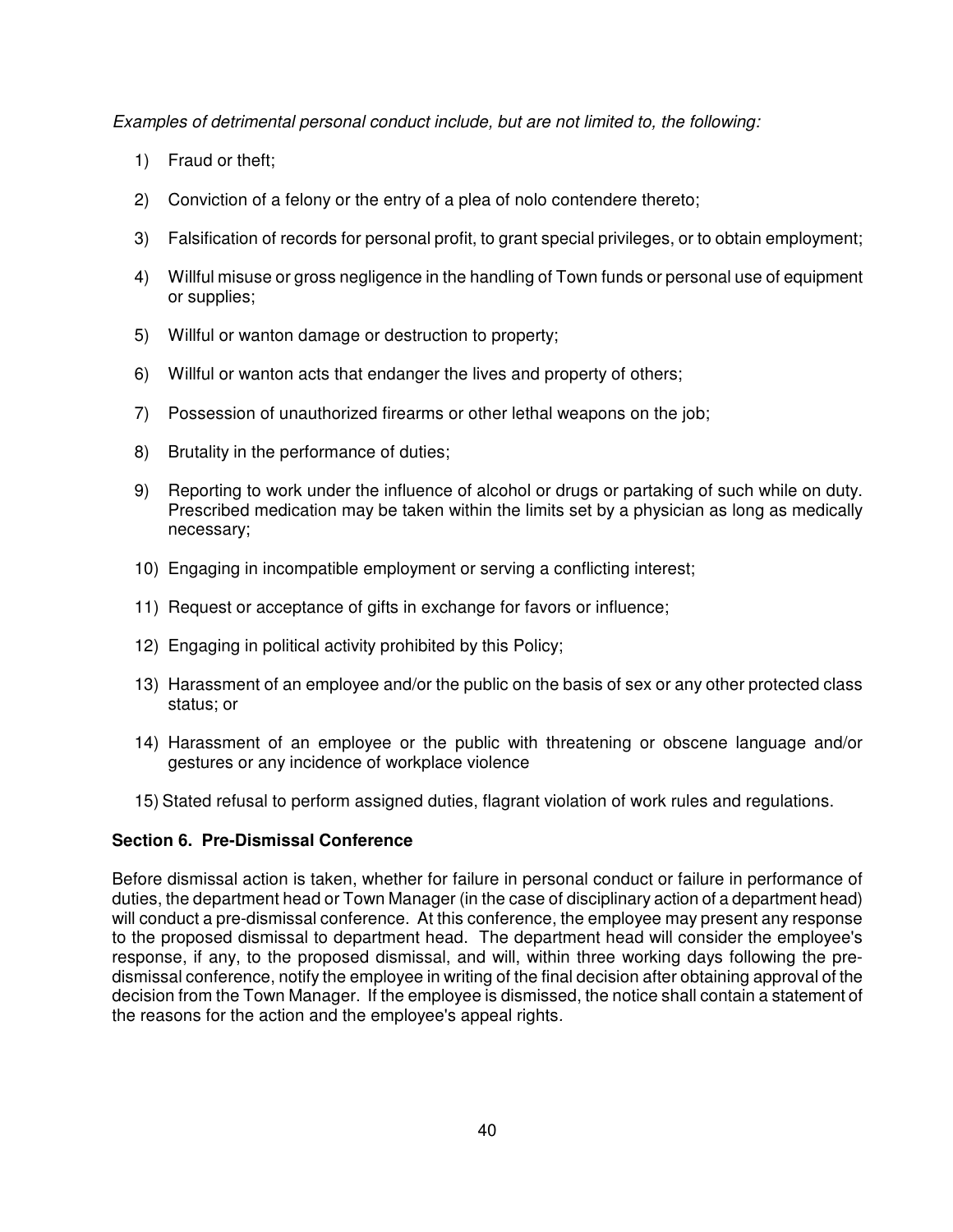Examples of detrimental personal conduct include, but are not limited to, the following:

- 1) Fraud or theft;
- 2) Conviction of a felony or the entry of a plea of nolo contendere thereto;
- 3) Falsification of records for personal profit, to grant special privileges, or to obtain employment;
- 4) Willful misuse or gross negligence in the handling of Town funds or personal use of equipment or supplies;
- 5) Willful or wanton damage or destruction to property;
- 6) Willful or wanton acts that endanger the lives and property of others;
- 7) Possession of unauthorized firearms or other lethal weapons on the job;
- 8) Brutality in the performance of duties;
- 9) Reporting to work under the influence of alcohol or drugs or partaking of such while on duty. Prescribed medication may be taken within the limits set by a physician as long as medically necessary;
- 10) Engaging in incompatible employment or serving a conflicting interest;
- 11) Request or acceptance of gifts in exchange for favors or influence;
- 12) Engaging in political activity prohibited by this Policy;
- 13) Harassment of an employee and/or the public on the basis of sex or any other protected class status; or
- 14) Harassment of an employee or the public with threatening or obscene language and/or gestures or any incidence of workplace violence
- 15) Stated refusal to perform assigned duties, flagrant violation of work rules and regulations.

# **Section 6. Pre-Dismissal Conference**

Before dismissal action is taken, whether for failure in personal conduct or failure in performance of duties, the department head or Town Manager (in the case of disciplinary action of a department head) will conduct a pre-dismissal conference. At this conference, the employee may present any response to the proposed dismissal to department head. The department head will consider the employee's response, if any, to the proposed dismissal, and will, within three working days following the predismissal conference, notify the employee in writing of the final decision after obtaining approval of the decision from the Town Manager. If the employee is dismissed, the notice shall contain a statement of the reasons for the action and the employee's appeal rights.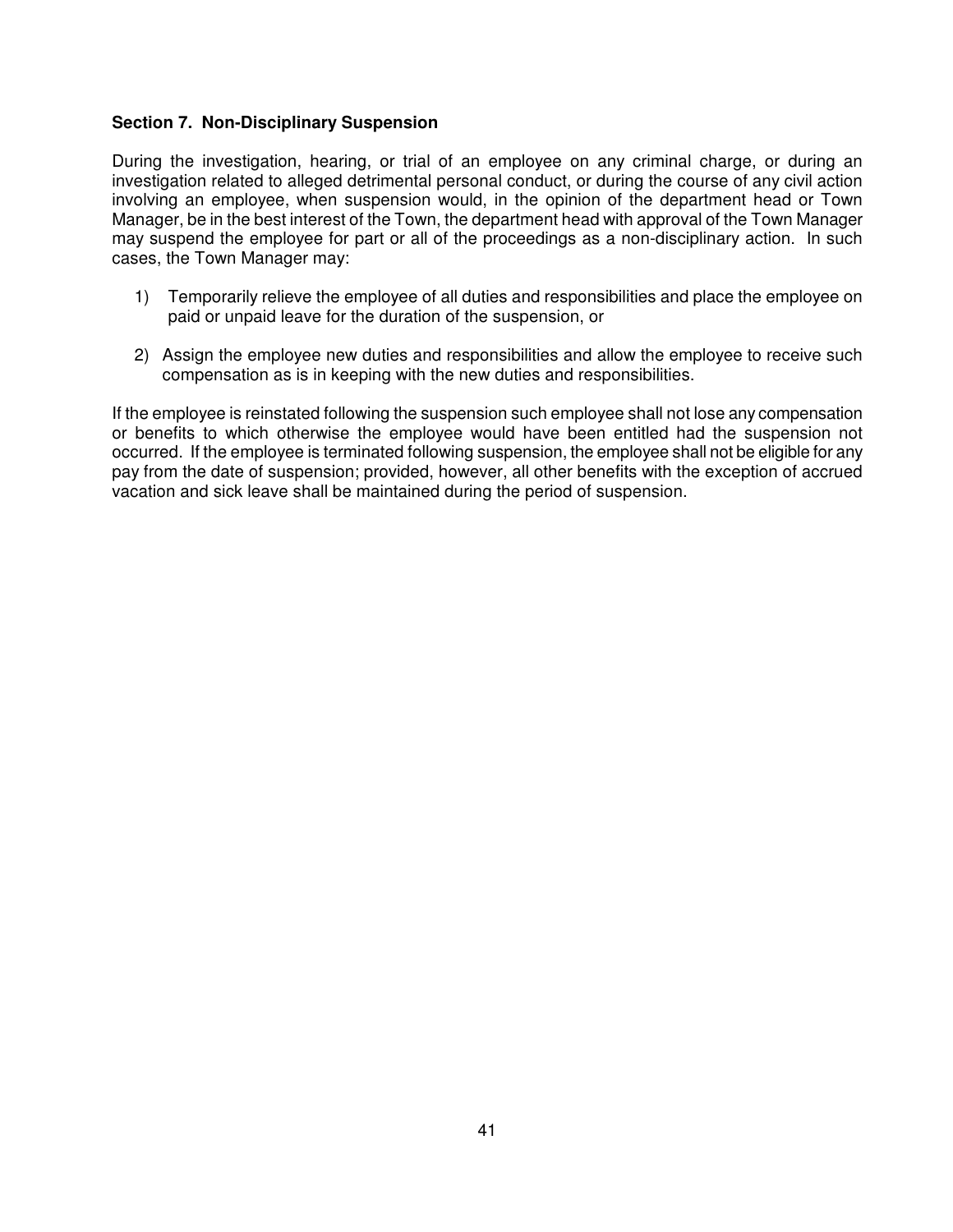### **Section 7. Non-Disciplinary Suspension**

During the investigation, hearing, or trial of an employee on any criminal charge, or during an investigation related to alleged detrimental personal conduct, or during the course of any civil action involving an employee, when suspension would, in the opinion of the department head or Town Manager, be in the best interest of the Town, the department head with approval of the Town Manager may suspend the employee for part or all of the proceedings as a non-disciplinary action. In such cases, the Town Manager may:

- 1) Temporarily relieve the employee of all duties and responsibilities and place the employee on paid or unpaid leave for the duration of the suspension, or
- 2) Assign the employee new duties and responsibilities and allow the employee to receive such compensation as is in keeping with the new duties and responsibilities.

If the employee is reinstated following the suspension such employee shall not lose any compensation or benefits to which otherwise the employee would have been entitled had the suspension not occurred. If the employee is terminated following suspension, the employee shall not be eligible for any pay from the date of suspension; provided, however, all other benefits with the exception of accrued vacation and sick leave shall be maintained during the period of suspension.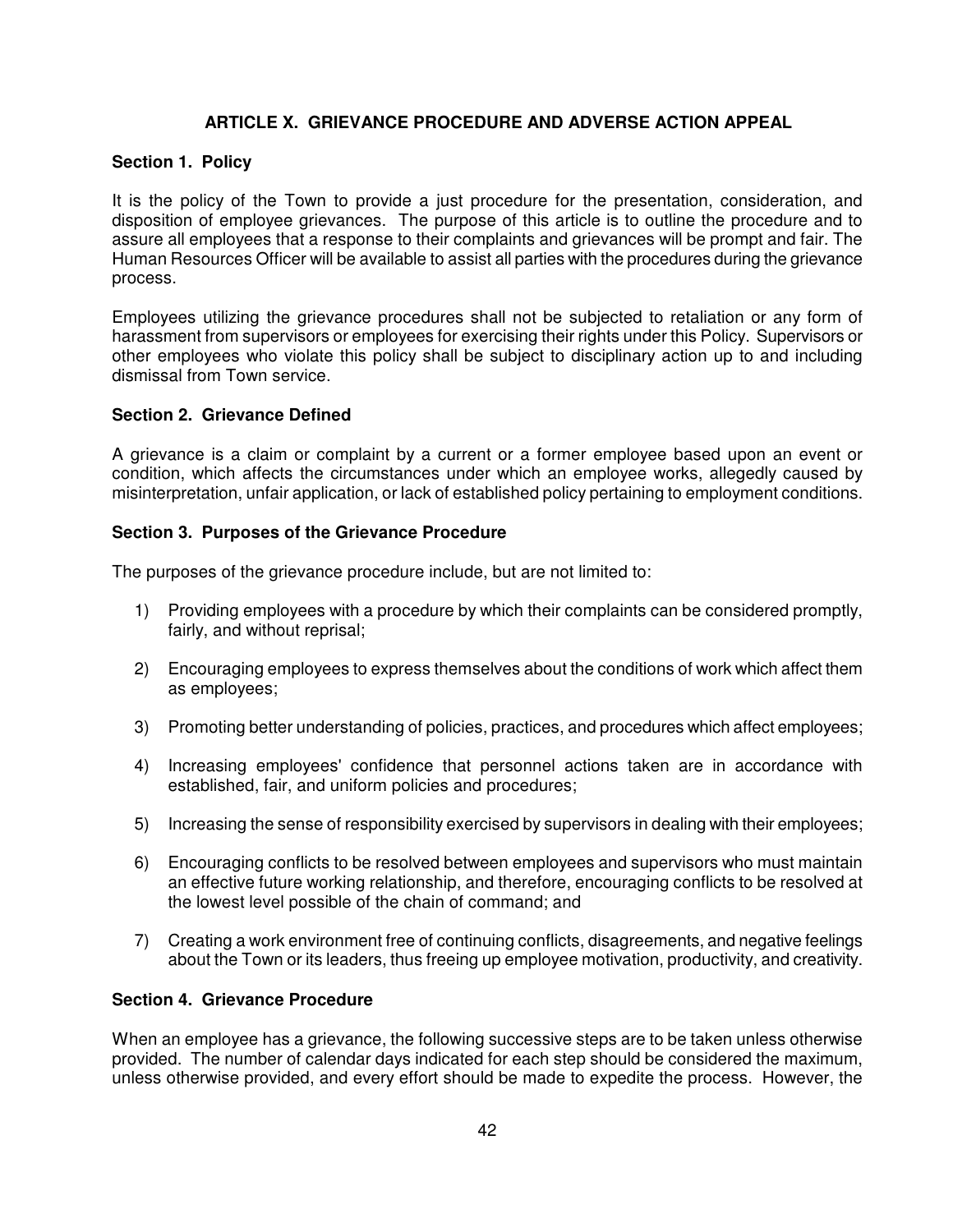# **ARTICLE X. GRIEVANCE PROCEDURE AND ADVERSE ACTION APPEAL**

### **Section 1. Policy**

It is the policy of the Town to provide a just procedure for the presentation, consideration, and disposition of employee grievances. The purpose of this article is to outline the procedure and to assure all employees that a response to their complaints and grievances will be prompt and fair. The Human Resources Officer will be available to assist all parties with the procedures during the grievance process.

Employees utilizing the grievance procedures shall not be subjected to retaliation or any form of harassment from supervisors or employees for exercising their rights under this Policy. Supervisors or other employees who violate this policy shall be subject to disciplinary action up to and including dismissal from Town service.

#### **Section 2. Grievance Defined**

A grievance is a claim or complaint by a current or a former employee based upon an event or condition, which affects the circumstances under which an employee works, allegedly caused by misinterpretation, unfair application, or lack of established policy pertaining to employment conditions.

### **Section 3. Purposes of the Grievance Procedure**

The purposes of the grievance procedure include, but are not limited to:

- 1) Providing employees with a procedure by which their complaints can be considered promptly, fairly, and without reprisal;
- 2) Encouraging employees to express themselves about the conditions of work which affect them as employees;
- 3) Promoting better understanding of policies, practices, and procedures which affect employees;
- 4) Increasing employees' confidence that personnel actions taken are in accordance with established, fair, and uniform policies and procedures;
- 5) Increasing the sense of responsibility exercised by supervisors in dealing with their employees;
- 6) Encouraging conflicts to be resolved between employees and supervisors who must maintain an effective future working relationship, and therefore, encouraging conflicts to be resolved at the lowest level possible of the chain of command; and
- 7) Creating a work environment free of continuing conflicts, disagreements, and negative feelings about the Town or its leaders, thus freeing up employee motivation, productivity, and creativity.

# **Section 4. Grievance Procedure**

When an employee has a grievance, the following successive steps are to be taken unless otherwise provided. The number of calendar days indicated for each step should be considered the maximum, unless otherwise provided, and every effort should be made to expedite the process. However, the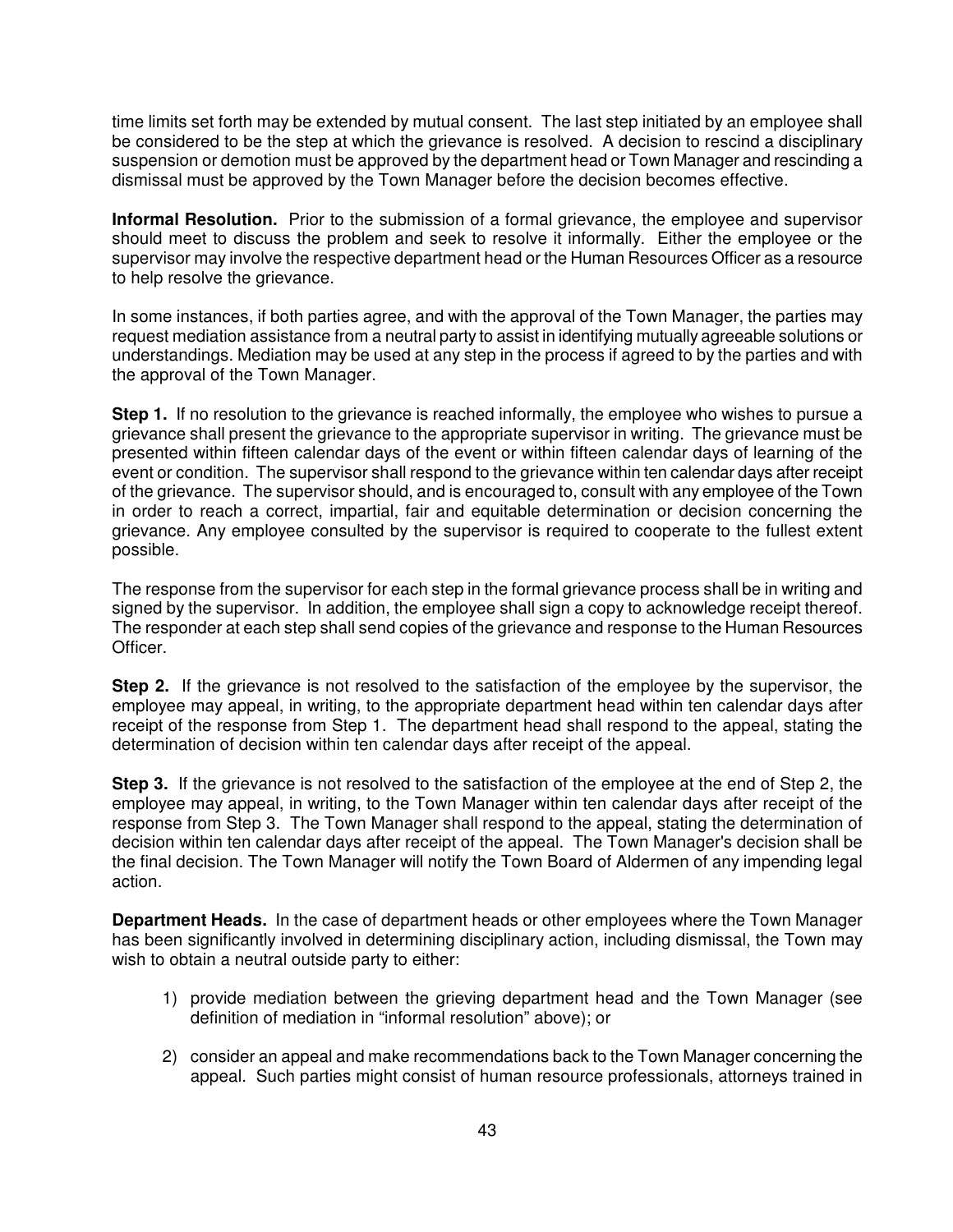time limits set forth may be extended by mutual consent. The last step initiated by an employee shall be considered to be the step at which the grievance is resolved. A decision to rescind a disciplinary suspension or demotion must be approved by the department head or Town Manager and rescinding a dismissal must be approved by the Town Manager before the decision becomes effective.

**Informal Resolution.** Prior to the submission of a formal grievance, the employee and supervisor should meet to discuss the problem and seek to resolve it informally. Either the employee or the supervisor may involve the respective department head or the Human Resources Officer as a resource to help resolve the grievance.

In some instances, if both parties agree, and with the approval of the Town Manager, the parties may request mediation assistance from a neutral party to assist in identifying mutually agreeable solutions or understandings. Mediation may be used at any step in the process if agreed to by the parties and with the approval of the Town Manager.

**Step 1.** If no resolution to the grievance is reached informally, the employee who wishes to pursue a grievance shall present the grievance to the appropriate supervisor in writing. The grievance must be presented within fifteen calendar days of the event or within fifteen calendar days of learning of the event or condition. The supervisor shall respond to the grievance within ten calendar days after receipt of the grievance. The supervisor should, and is encouraged to, consult with any employee of the Town in order to reach a correct, impartial, fair and equitable determination or decision concerning the grievance. Any employee consulted by the supervisor is required to cooperate to the fullest extent possible.

The response from the supervisor for each step in the formal grievance process shall be in writing and signed by the supervisor. In addition, the employee shall sign a copy to acknowledge receipt thereof. The responder at each step shall send copies of the grievance and response to the Human Resources Officer.

**Step 2.** If the grievance is not resolved to the satisfaction of the employee by the supervisor, the employee may appeal, in writing, to the appropriate department head within ten calendar days after receipt of the response from Step 1. The department head shall respond to the appeal, stating the determination of decision within ten calendar days after receipt of the appeal.

**Step 3.** If the grievance is not resolved to the satisfaction of the employee at the end of Step 2, the employee may appeal, in writing, to the Town Manager within ten calendar days after receipt of the response from Step 3. The Town Manager shall respond to the appeal, stating the determination of decision within ten calendar days after receipt of the appeal. The Town Manager's decision shall be the final decision. The Town Manager will notify the Town Board of Aldermen of any impending legal action.

**Department Heads.** In the case of department heads or other employees where the Town Manager has been significantly involved in determining disciplinary action, including dismissal, the Town may wish to obtain a neutral outside party to either:

- 1) provide mediation between the grieving department head and the Town Manager (see definition of mediation in "informal resolution" above); or
- 2) consider an appeal and make recommendations back to the Town Manager concerning the appeal. Such parties might consist of human resource professionals, attorneys trained in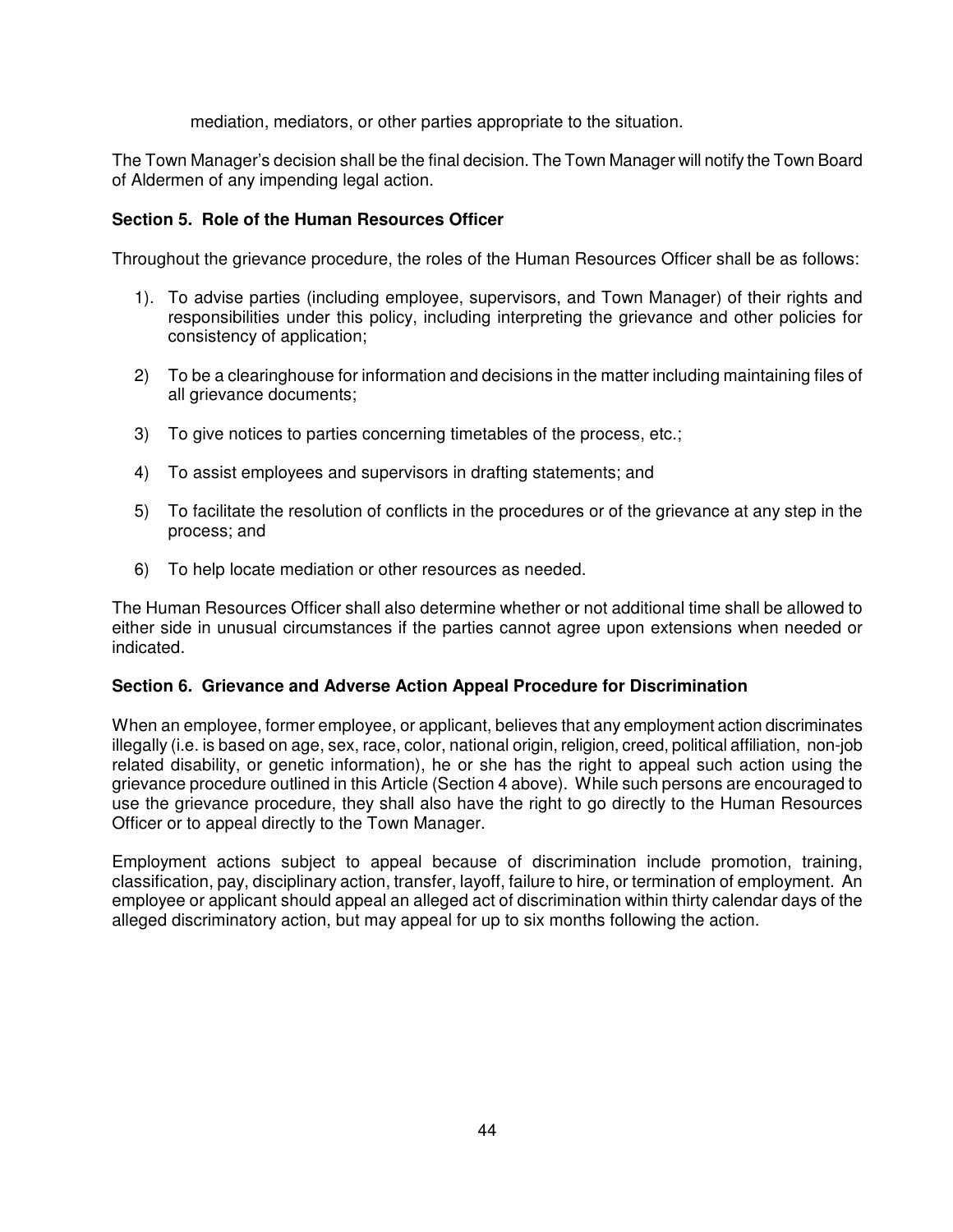mediation, mediators, or other parties appropriate to the situation.

The Town Manager's decision shall be the final decision. The Town Manager will notify the Town Board of Aldermen of any impending legal action.

# **Section 5. Role of the Human Resources Officer**

Throughout the grievance procedure, the roles of the Human Resources Officer shall be as follows:

- 1). To advise parties (including employee, supervisors, and Town Manager) of their rights and responsibilities under this policy, including interpreting the grievance and other policies for consistency of application;
- 2) To be a clearinghouse for information and decisions in the matter including maintaining files of all grievance documents;
- 3) To give notices to parties concerning timetables of the process, etc.;
- 4) To assist employees and supervisors in drafting statements; and
- 5) To facilitate the resolution of conflicts in the procedures or of the grievance at any step in the process; and
- 6) To help locate mediation or other resources as needed.

The Human Resources Officer shall also determine whether or not additional time shall be allowed to either side in unusual circumstances if the parties cannot agree upon extensions when needed or indicated.

### **Section 6. Grievance and Adverse Action Appeal Procedure for Discrimination**

When an employee, former employee, or applicant, believes that any employment action discriminates illegally (i.e. is based on age, sex, race, color, national origin, religion, creed, political affiliation, non-job related disability, or genetic information), he or she has the right to appeal such action using the grievance procedure outlined in this Article (Section 4 above). While such persons are encouraged to use the grievance procedure, they shall also have the right to go directly to the Human Resources Officer or to appeal directly to the Town Manager.

Employment actions subject to appeal because of discrimination include promotion, training, classification, pay, disciplinary action, transfer, layoff, failure to hire, or termination of employment. An employee or applicant should appeal an alleged act of discrimination within thirty calendar days of the alleged discriminatory action, but may appeal for up to six months following the action.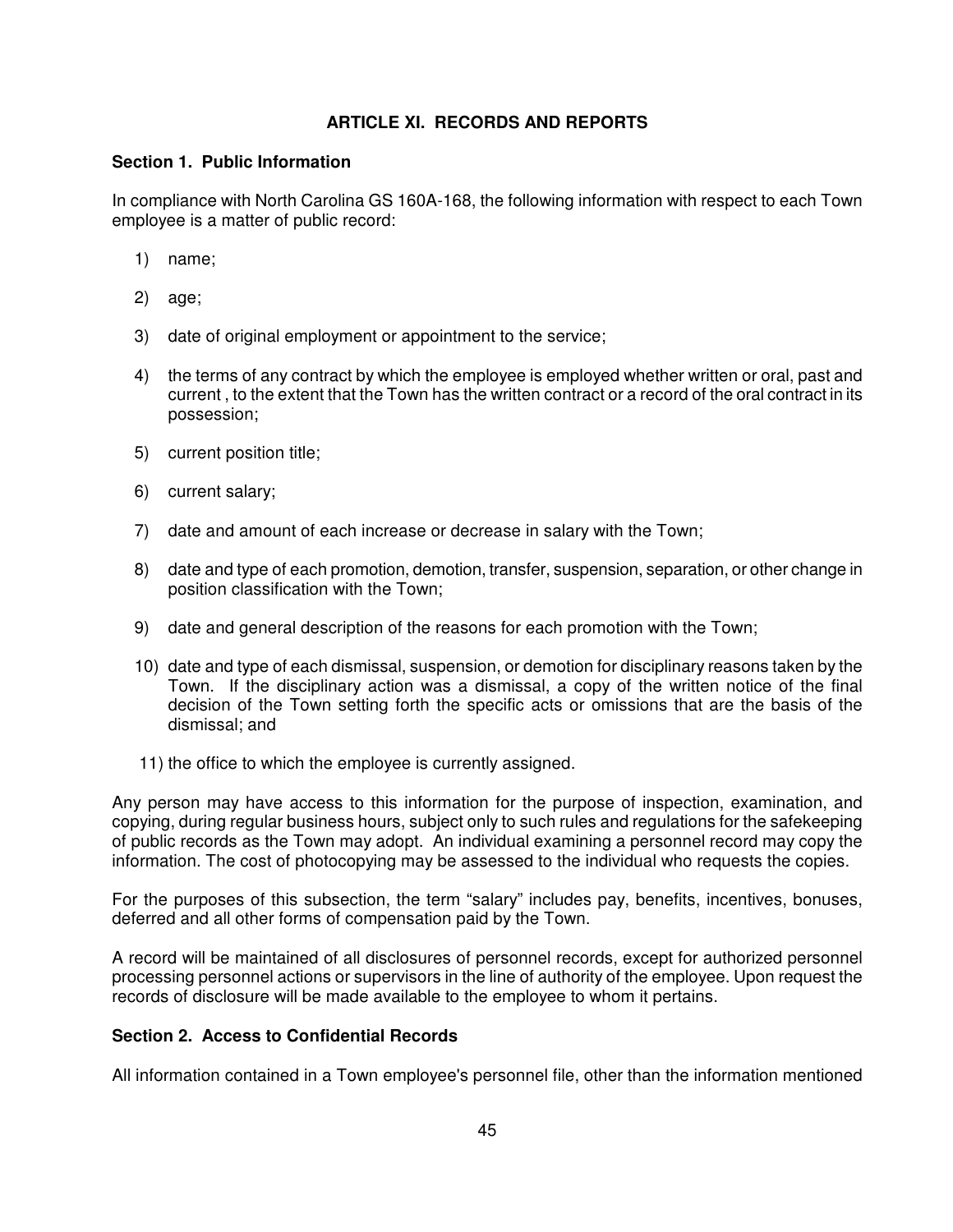# **ARTICLE XI. RECORDS AND REPORTS**

### **Section 1. Public Information**

In compliance with North Carolina GS 160A-168, the following information with respect to each Town employee is a matter of public record:

- 1) name;
- 2) age;
- 3) date of original employment or appointment to the service;
- 4) the terms of any contract by which the employee is employed whether written or oral, past and current , to the extent that the Town has the written contract or a record of the oral contract in its possession;
- 5) current position title;
- 6) current salary;
- 7) date and amount of each increase or decrease in salary with the Town;
- 8) date and type of each promotion, demotion, transfer, suspension, separation, or other change in position classification with the Town;
- 9) date and general description of the reasons for each promotion with the Town;
- 10) date and type of each dismissal, suspension, or demotion for disciplinary reasons taken by the Town. If the disciplinary action was a dismissal, a copy of the written notice of the final decision of the Town setting forth the specific acts or omissions that are the basis of the dismissal; and
- 11) the office to which the employee is currently assigned.

Any person may have access to this information for the purpose of inspection, examination, and copying, during regular business hours, subject only to such rules and regulations for the safekeeping of public records as the Town may adopt. An individual examining a personnel record may copy the information. The cost of photocopying may be assessed to the individual who requests the copies.

For the purposes of this subsection, the term "salary" includes pay, benefits, incentives, bonuses, deferred and all other forms of compensation paid by the Town.

A record will be maintained of all disclosures of personnel records, except for authorized personnel processing personnel actions or supervisors in the line of authority of the employee. Upon request the records of disclosure will be made available to the employee to whom it pertains.

#### **Section 2. Access to Confidential Records**

All information contained in a Town employee's personnel file, other than the information mentioned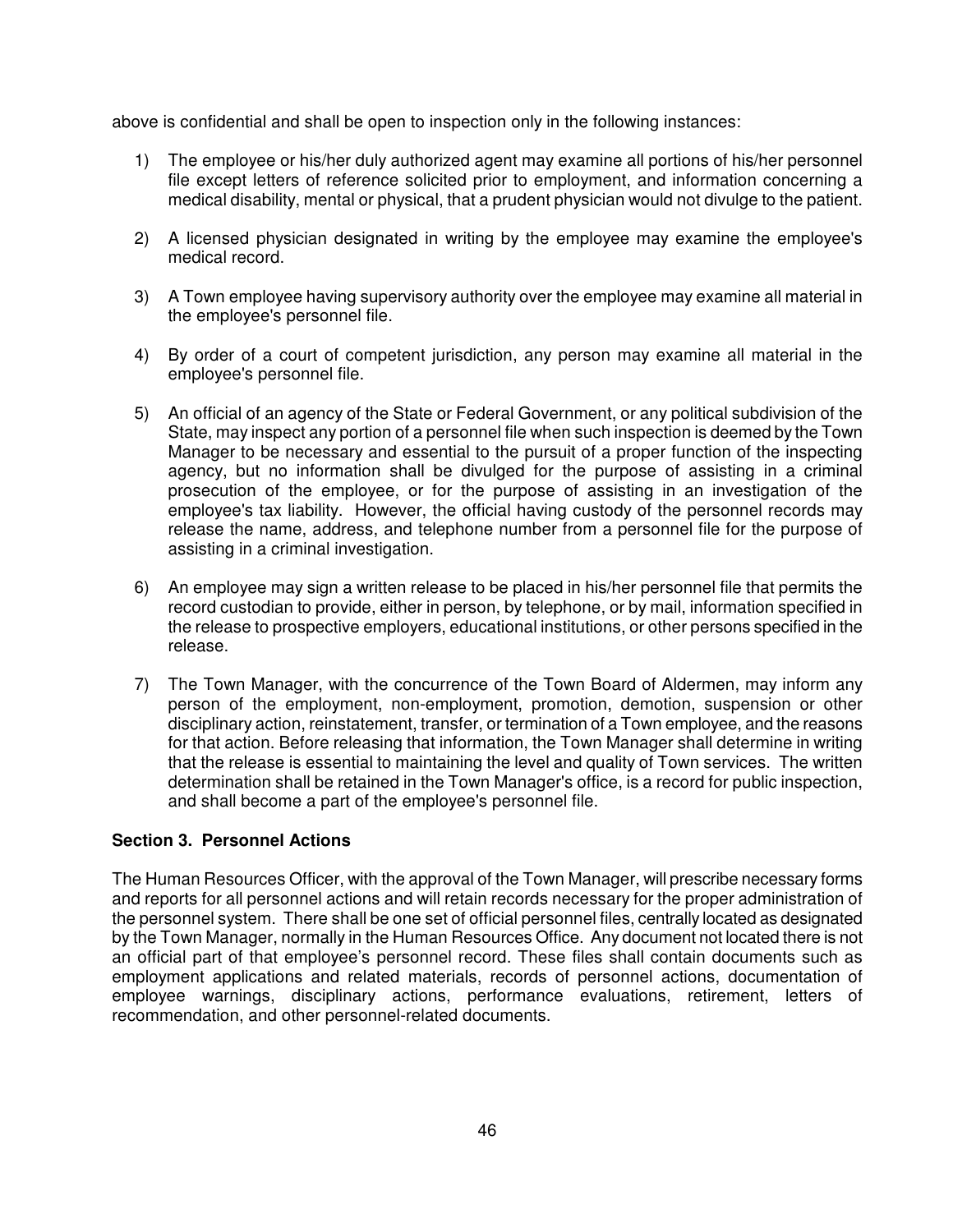above is confidential and shall be open to inspection only in the following instances:

- 1) The employee or his/her duly authorized agent may examine all portions of his/her personnel file except letters of reference solicited prior to employment, and information concerning a medical disability, mental or physical, that a prudent physician would not divulge to the patient.
- 2) A licensed physician designated in writing by the employee may examine the employee's medical record.
- 3) A Town employee having supervisory authority over the employee may examine all material in the employee's personnel file.
- 4) By order of a court of competent jurisdiction, any person may examine all material in the employee's personnel file.
- 5) An official of an agency of the State or Federal Government, or any political subdivision of the State, may inspect any portion of a personnel file when such inspection is deemed by the Town Manager to be necessary and essential to the pursuit of a proper function of the inspecting agency, but no information shall be divulged for the purpose of assisting in a criminal prosecution of the employee, or for the purpose of assisting in an investigation of the employee's tax liability. However, the official having custody of the personnel records may release the name, address, and telephone number from a personnel file for the purpose of assisting in a criminal investigation.
- 6) An employee may sign a written release to be placed in his/her personnel file that permits the record custodian to provide, either in person, by telephone, or by mail, information specified in the release to prospective employers, educational institutions, or other persons specified in the release.
- 7) The Town Manager, with the concurrence of the Town Board of Aldermen, may inform any person of the employment, non-employment, promotion, demotion, suspension or other disciplinary action, reinstatement, transfer, or termination of a Town employee, and the reasons for that action. Before releasing that information, the Town Manager shall determine in writing that the release is essential to maintaining the level and quality of Town services. The written determination shall be retained in the Town Manager's office, is a record for public inspection, and shall become a part of the employee's personnel file.

# **Section 3. Personnel Actions**

The Human Resources Officer, with the approval of the Town Manager, will prescribe necessary forms and reports for all personnel actions and will retain records necessary for the proper administration of the personnel system. There shall be one set of official personnel files, centrally located as designated by the Town Manager, normally in the Human Resources Office. Any document not located there is not an official part of that employee's personnel record. These files shall contain documents such as employment applications and related materials, records of personnel actions, documentation of employee warnings, disciplinary actions, performance evaluations, retirement, letters of recommendation, and other personnel-related documents.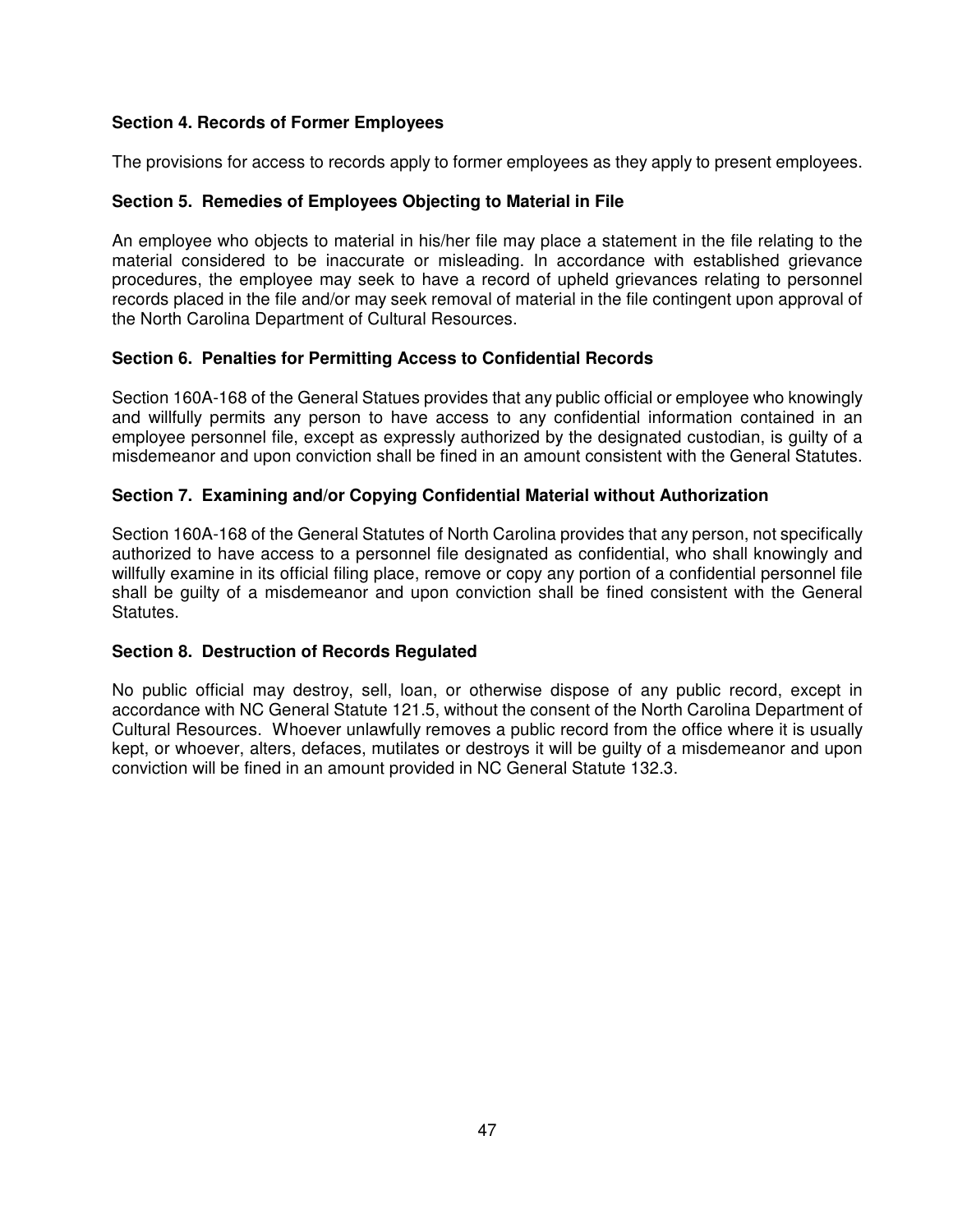# **Section 4. Records of Former Employees**

The provisions for access to records apply to former employees as they apply to present employees.

### **Section 5. Remedies of Employees Objecting to Material in File**

An employee who objects to material in his/her file may place a statement in the file relating to the material considered to be inaccurate or misleading. In accordance with established grievance procedures, the employee may seek to have a record of upheld grievances relating to personnel records placed in the file and/or may seek removal of material in the file contingent upon approval of the North Carolina Department of Cultural Resources.

### **Section 6. Penalties for Permitting Access to Confidential Records**

Section 160A-168 of the General Statues provides that any public official or employee who knowingly and willfully permits any person to have access to any confidential information contained in an employee personnel file, except as expressly authorized by the designated custodian, is guilty of a misdemeanor and upon conviction shall be fined in an amount consistent with the General Statutes.

### **Section 7. Examining and/or Copying Confidential Material without Authorization**

Section 160A-168 of the General Statutes of North Carolina provides that any person, not specifically authorized to have access to a personnel file designated as confidential, who shall knowingly and willfully examine in its official filing place, remove or copy any portion of a confidential personnel file shall be guilty of a misdemeanor and upon conviction shall be fined consistent with the General Statutes.

### **Section 8. Destruction of Records Regulated**

No public official may destroy, sell, loan, or otherwise dispose of any public record, except in accordance with NC General Statute 121.5, without the consent of the North Carolina Department of Cultural Resources. Whoever unlawfully removes a public record from the office where it is usually kept, or whoever, alters, defaces, mutilates or destroys it will be guilty of a misdemeanor and upon conviction will be fined in an amount provided in NC General Statute 132.3.